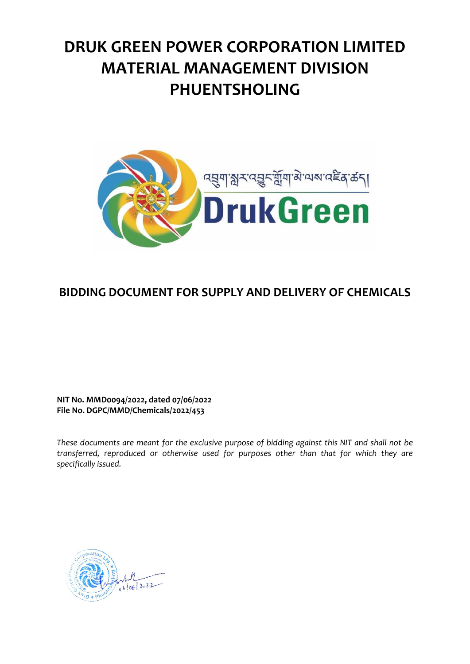# **DRUK GREEN POWER CORPORATION LIMITED MATERIAL MANAGEMENT DIVISION PHUENTSHOLING**



## **BIDDING DOCUMENT FOR SUPPLY AND DELIVERY OF CHEMICALS**

**NIT No. MMD0094/2022, dated 07/06/2022 File No. DGPC/MMD/Chemicals/2022/453**

*These documents are meant for the exclusive purpose of bidding against this NIT and shall not be transferred, reproduced or otherwise used for purposes other than that for which they are specifically issued.*

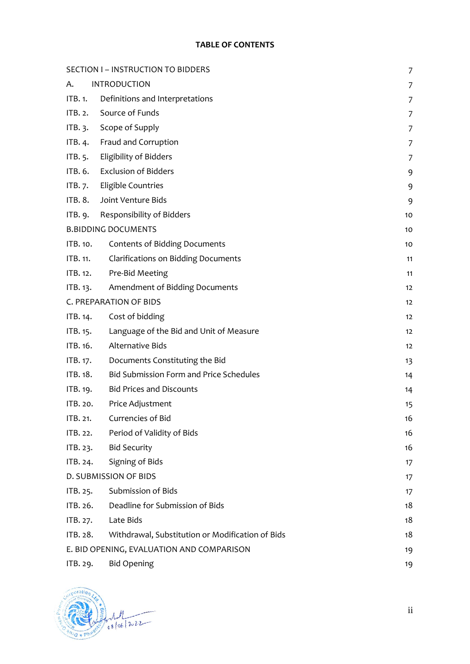#### **TABLE OF CONTENTS**

| SECTION I - INSTRUCTION TO BIDDERS<br>$\overline{7}$ |                                                  |                |  |
|------------------------------------------------------|--------------------------------------------------|----------------|--|
| А.                                                   | <b>INTRODUCTION</b>                              | 7              |  |
| ITB.1.                                               | Definitions and Interpretations                  | 7              |  |
| IFB.2.                                               | Source of Funds                                  | 7              |  |
| ITB. $3$ .                                           | Scope of Supply                                  | 7              |  |
| ITB. 4.                                              | Fraud and Corruption                             | 7              |  |
| ITB. 5.                                              | Eligibility of Bidders                           | $\overline{7}$ |  |
| ITB. 6.                                              | <b>Exclusion of Bidders</b>                      | 9              |  |
| ITB.7.                                               | Eligible Countries                               | 9              |  |
| ITB. 8.                                              | Joint Venture Bids                               | 9              |  |
| ITB. 9.                                              | Responsibility of Bidders                        | 10             |  |
|                                                      | <b>B.BIDDING DOCUMENTS</b>                       | 10             |  |
| ITB. 10.                                             | <b>Contents of Bidding Documents</b>             | 10             |  |
| ITB. 11.                                             | <b>Clarifications on Bidding Documents</b>       | 11             |  |
| ITB. 12.                                             | Pre-Bid Meeting                                  | 11             |  |
| ITB. 13.                                             | Amendment of Bidding Documents                   | 12             |  |
|                                                      | C. PREPARATION OF BIDS                           | 12             |  |
| ITB. 14.                                             | Cost of bidding                                  | 12             |  |
| ITB. 15.                                             | Language of the Bid and Unit of Measure          | 12             |  |
| ITB. 16.                                             | Alternative Bids                                 | 12             |  |
| ITB. 17.                                             | Documents Constituting the Bid                   | 13             |  |
| ITB. 18.                                             | <b>Bid Submission Form and Price Schedules</b>   | 14             |  |
| ITB. 19.                                             | <b>Bid Prices and Discounts</b>                  | 14             |  |
| ITB. 20.                                             | Price Adjustment                                 | 15             |  |
| ITB. 21.                                             | Currencies of Bid                                | 16             |  |
| ITB. 22.                                             | Period of Validity of Bids                       | 16             |  |
| ITB. 23.                                             | <b>Bid Security</b>                              | 16             |  |
| ITB. 24.                                             | Signing of Bids                                  | 17             |  |
|                                                      | D. SUBMISSION OF BIDS                            | 17             |  |
| ITB. 25.                                             | Submission of Bids                               | 17             |  |
| ITB. 26.                                             | Deadline for Submission of Bids                  | 18             |  |
| ITB. 27.                                             | Late Bids                                        | 18             |  |
| ITB. 28.                                             | Withdrawal, Substitution or Modification of Bids | 18             |  |
|                                                      | E. BID OPENING, EVALUATION AND COMPARISON        | 19             |  |
| ITB. 29.                                             | <b>Bid Opening</b>                               | 19             |  |
|                                                      |                                                  |                |  |



ii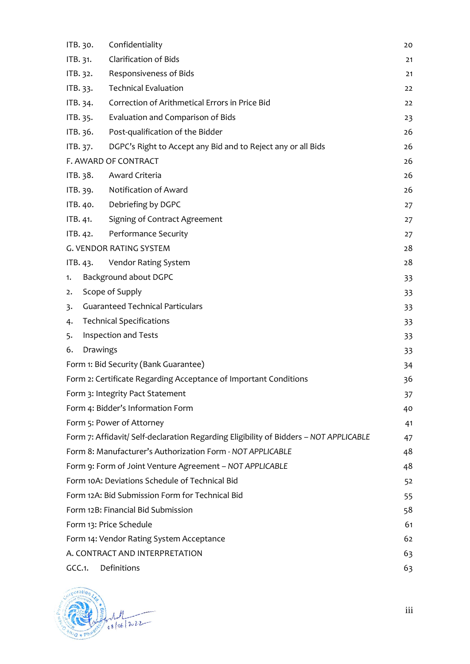| ITB. 30.                                                         |                                      | Confidentiality                                                                       | 20 |
|------------------------------------------------------------------|--------------------------------------|---------------------------------------------------------------------------------------|----|
| ITB. 31.                                                         |                                      | <b>Clarification of Bids</b>                                                          | 21 |
| ITB. 32.                                                         |                                      | Responsiveness of Bids                                                                | 21 |
| ITB. 33.                                                         |                                      | <b>Technical Evaluation</b>                                                           | 22 |
| ITB. 34.                                                         |                                      | Correction of Arithmetical Errors in Price Bid                                        | 22 |
| ITB. 35.                                                         |                                      | Evaluation and Comparison of Bids                                                     | 23 |
| ITB. 36.                                                         |                                      | Post-qualification of the Bidder                                                      | 26 |
| ITB. 37.                                                         |                                      | DGPC's Right to Accept any Bid and to Reject any or all Bids                          | 26 |
|                                                                  |                                      | F. AWARD OF CONTRACT                                                                  | 26 |
| ITB. 38.                                                         |                                      | Award Criteria                                                                        | 26 |
| ITB. 39.                                                         |                                      | Notification of Award                                                                 | 26 |
| ITB. 40.                                                         |                                      | Debriefing by DGPC                                                                    | 27 |
| ITB. 41.                                                         |                                      | Signing of Contract Agreement                                                         | 27 |
| ITB. 42.                                                         |                                      | Performance Security                                                                  | 27 |
|                                                                  |                                      | <b>G. VENDOR RATING SYSTEM</b>                                                        | 28 |
| ITB. 43.                                                         |                                      | Vendor Rating System                                                                  | 28 |
| 1.                                                               |                                      | Background about DGPC                                                                 | 33 |
| Scope of Supply<br>33<br>2.                                      |                                      |                                                                                       |    |
| <b>Guaranteed Technical Particulars</b><br>3.<br>33              |                                      |                                                                                       |    |
| 4.                                                               |                                      | <b>Technical Specifications</b>                                                       | 33 |
| Inspection and Tests<br>5.                                       |                                      |                                                                                       | 33 |
| Drawings<br>6.<br>33                                             |                                      |                                                                                       |    |
| Form 1: Bid Security (Bank Guarantee)<br>34                      |                                      |                                                                                       |    |
| Form 2: Certificate Regarding Acceptance of Important Conditions |                                      |                                                                                       | 36 |
| Form 3: Integrity Pact Statement                                 |                                      |                                                                                       | 37 |
|                                                                  |                                      | Form 4: Bidder's Information Form                                                     | 40 |
|                                                                  |                                      | Form 5: Power of Attorney                                                             | 41 |
|                                                                  |                                      | Form 7: Affidavit/ Self-declaration Regarding Eligibility of Bidders - NOT APPLICABLE | 47 |
|                                                                  |                                      | Form 8: Manufacturer's Authorization Form - NOT APPLICABLE                            | 48 |
|                                                                  |                                      | Form 9: Form of Joint Venture Agreement - NOT APPLICABLE                              | 48 |
| Form 10A: Deviations Schedule of Technical Bid                   |                                      |                                                                                       | 52 |
|                                                                  |                                      | Form 12A: Bid Submission Form for Technical Bid                                       | 55 |
| Form 12B: Financial Bid Submission                               |                                      |                                                                                       | 58 |
|                                                                  |                                      | Form 13: Price Schedule                                                               | 61 |
|                                                                  |                                      | Form 14: Vendor Rating System Acceptance                                              | 62 |
|                                                                  | A. CONTRACT AND INTERPRETATION<br>63 |                                                                                       |    |
| GCC.1.                                                           |                                      | Definitions                                                                           | 63 |



iii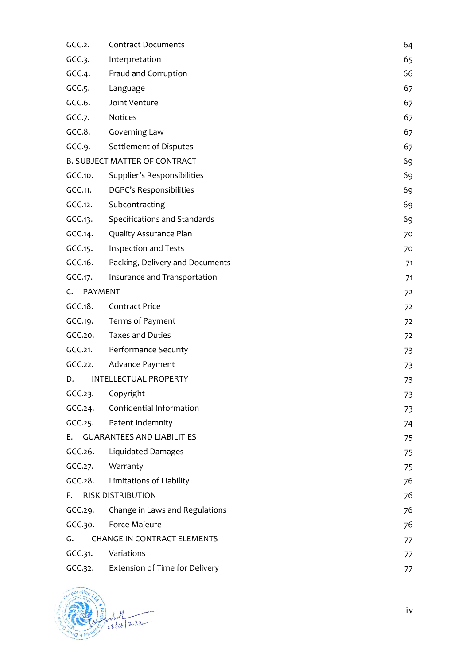| GCC.2.     | <b>Contract Documents</b>              | 64 |
|------------|----------------------------------------|----|
| GCC.3.     | Interpretation                         | 65 |
| GCC.4.     | Fraud and Corruption                   | 66 |
| GCC.5.     | Language                               | 67 |
| GCC.6.     | Joint Venture                          | 67 |
| GCC.7.     | Notices                                | 67 |
| GCC.8.     | Governing Law                          | 67 |
| GCC.9.     | Settlement of Disputes                 | 67 |
|            | <b>B. SUBJECT MATTER OF CONTRACT</b>   | 69 |
| GCC.10.    | Supplier's Responsibilities            | 69 |
| GCC.11.    | DGPC's Responsibilities                | 69 |
| GCC.12.    | Subcontracting                         | 69 |
| GCC.13.    | Specifications and Standards           | 69 |
| GCC.14.    | Quality Assurance Plan                 | 70 |
| GCC.15.    | Inspection and Tests                   | 70 |
| GCC.16.    | Packing, Delivery and Documents        | 71 |
| GCC.17.    | Insurance and Transportation           | 71 |
| C. PAYMENT |                                        | 72 |
| CCC.18.    | <b>Contract Price</b>                  | 72 |
| GCC.19.    | Terms of Payment                       | 72 |
| GCC.20.    | <b>Taxes and Duties</b>                | 72 |
| GCC.21.    | Performance Security                   | 73 |
| GCC.22.    | Advance Payment                        | 73 |
| D.         | <b>INTELLECTUAL PROPERTY</b>           | 73 |
|            | GCC.23. Copyright                      | 73 |
| GCC.24.    | Confidential Information               | 73 |
| GCC.25.    | Patent Indemnity                       | 74 |
|            | E. GUARANTEES AND LIABILITIES          | 75 |
| CCC.26.    | Liquidated Damages                     | 75 |
| GCC.27.    | Warranty                               | 75 |
| CCC.28.    | Limitations of Liability               | 76 |
|            | F. RISK DISTRIBUTION                   | 76 |
| GCC.29.    | Change in Laws and Regulations         | 76 |
| GCC.30.    | Force Majeure                          | 76 |
| G.         | <b>CHANGE IN CONTRACT ELEMENTS</b>     | 77 |
| GCC.31.    | Variations                             | 77 |
|            | GCC.32. Extension of Time for Delivery | 77 |



iv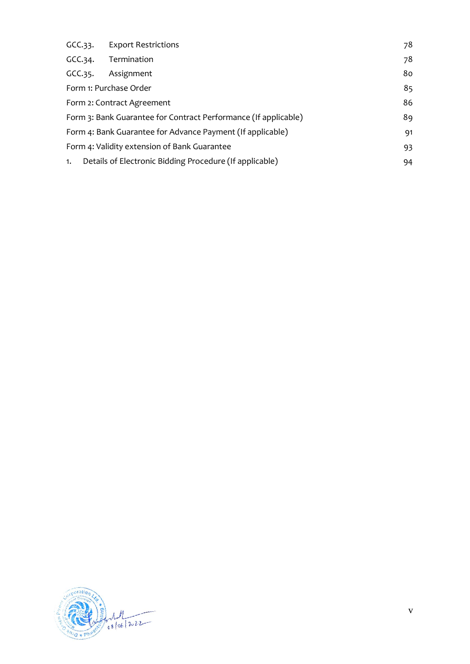|         | GCC.33. Export Restrictions                                           | 78 |  |
|---------|-----------------------------------------------------------------------|----|--|
|         | GCC.34. Termination                                                   | 78 |  |
| GCC.35. | Assignment                                                            | 80 |  |
|         | Form 1: Purchase Order                                                | 85 |  |
|         | 86<br>Form 2: Contract Agreement                                      |    |  |
|         | Form 3: Bank Guarantee for Contract Performance (If applicable)<br>89 |    |  |
|         | Form 4: Bank Guarantee for Advance Payment (If applicable)<br>91      |    |  |
|         | Form 4: Validity extension of Bank Guarantee<br>93                    |    |  |
| 1.      | Details of Electronic Bidding Procedure (If applicable)               | 94 |  |

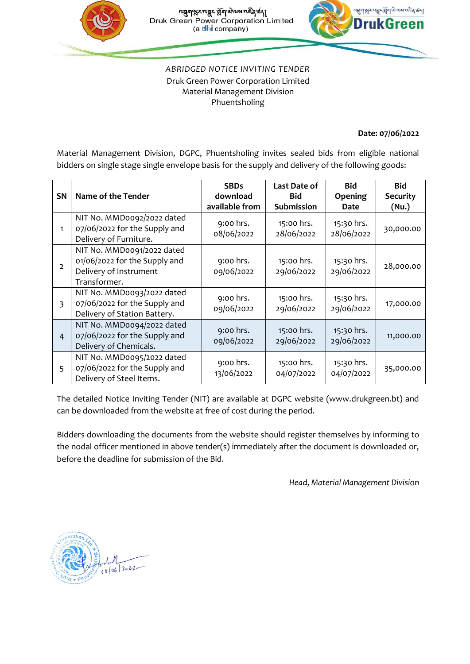



*ABRIDGED NOTICE INVITING TENDER* Druk Green Power Corporation Limited Material Management Division Phuentsholing

#### **Date: 07/06/2022**

Material Management Division, DGPC, Phuentsholing invites sealed bids from eligible national bidders on single stage single envelope basis for the supply and delivery of the following goods:

|              |                                                                                                       | <b>SBDs</b>             | Last Date of             | <b>Bid</b>               | <b>Bid</b>      |
|--------------|-------------------------------------------------------------------------------------------------------|-------------------------|--------------------------|--------------------------|-----------------|
| <b>SN</b>    | Name of the Tender                                                                                    | download                | <b>Bid</b>               | <b>Opening</b>           | <b>Security</b> |
|              |                                                                                                       | available from          | <b>Submission</b>        | Date                     | (Nu.)           |
| 1            | NIT No. MMDoo92/2022 dated<br>07/06/2022 for the Supply and<br>Delivery of Furniture.                 | 9:00 hrs.<br>08/06/2022 | 15:00 hrs.<br>28/06/2022 | 15:30 hrs.<br>28/06/2022 | 30,000.00       |
| $\mathbf{2}$ | NIT No. MMDoo91/2022 dated<br>01/06/2022 for the Supply and<br>Delivery of Instrument<br>Transformer. | 9:00 hrs.<br>09/06/2022 | 15:00 hrs.<br>29/06/2022 | 15:30 hrs.<br>29/06/2022 | 28,000.00       |
| 3            | NIT No. MMD0093/2022 dated<br>07/06/2022 for the Supply and<br>Delivery of Station Battery.           | 9:00 hrs.<br>09/06/2022 | 15:00 hrs.<br>29/06/2022 | 15:30 hrs.<br>29/06/2022 | 17,000.00       |
| 4            | NIT No. MMDoo94/2022 dated<br>07/06/2022 for the Supply and<br>Delivery of Chemicals.                 | 9:00 hrs.<br>09/06/2022 | 15:00 hrs.<br>29/06/2022 | 15:30 hrs.<br>29/06/2022 | 11,000.00       |
| 5            | NIT No. MMD0095/2022 dated<br>07/06/2022 for the Supply and<br>Delivery of Steel Items.               | 9:00 hrs.<br>13/06/2022 | 15:00 hrs.<br>04/07/2022 | 15:30 hrs.<br>04/07/2022 | 35,000.00       |

The detailed Notice Inviting Tender (NIT) are available at DGPC website (www.drukgreen.bt) and can be downloaded from the website at free of cost during the period.

Bidders downloading the documents from the website should register themselves by informing to the nodal officer mentioned in above tender(s) immediately after the document is downloaded or, before the deadline for submission of the Bid.

*Head, Material Management Division*

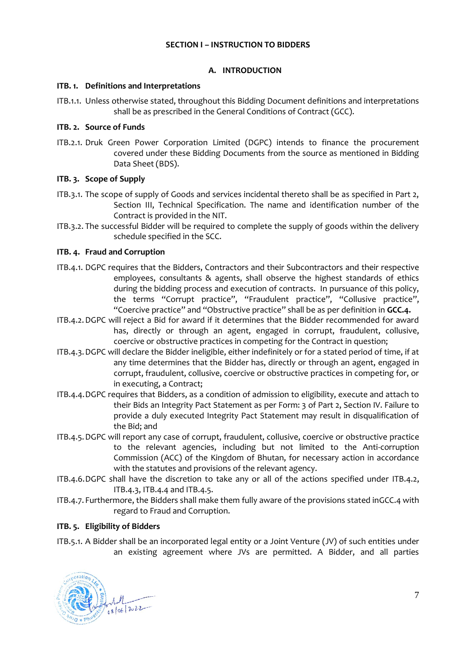#### **SECTION I – INSTRUCTION TO BIDDERS**

#### **A. INTRODUCTION**

#### <span id="page-6-2"></span><span id="page-6-1"></span><span id="page-6-0"></span>**ITB. 1. Definitions and Interpretations**

ITB.1.1. Unless otherwise stated, throughout this Bidding Document definitions and interpretations shall be as prescribed in the General Conditions of Contract (GCC).

#### <span id="page-6-3"></span>**ITB. 2. Source of Funds**

<span id="page-6-11"></span>ITB.2.1. Druk Green Power Corporation Limited (DGPC) intends to finance the procurement covered under these Bidding Documents from the source as mentioned in Bidding Data Sheet (BDS).

#### <span id="page-6-4"></span>**ITB. 3. Scope of Supply**

- ITB.3.1. The scope of supply of Goods and services incidental thereto shall be as specified in Part 2, Section III, Technical Specification. The name and identification number of the Contract is provided in the NIT.
- ITB.3.2. The successful Bidder will be required to complete the supply of goods within the delivery schedule specified in the SCC.

#### <span id="page-6-5"></span>**ITB. 4. Fraud and Corruption**

- ITB.4.1. DGPC requires that the Bidders, Contractors and their Subcontractors and their respective employees, consultants & agents, shall observe the highest standards of ethics during the bidding process and execution of contracts. In pursuance of this policy, the terms "Corrupt practice", "Fraudulent practice", "Collusive practice", "Coercive practice" and "Obstructive practice" shall be as per definition in **GCC.4.**
- <span id="page-6-7"></span>ITB.4.2.DGPC will reject a Bid for award if it determines that the Bidder recommended for award has, directly or through an agent, engaged in corrupt, fraudulent, collusive, coercive or obstructive practices in competing for the Contract in question;
- <span id="page-6-8"></span>ITB.4.3.DGPC will declare the Bidder ineligible, either indefinitely or for a stated period of time, if at any time determines that the Bidder has, directly or through an agent, engaged in corrupt, fraudulent, collusive, coercive or obstructive practices in competing for, or in executing, a Contract;
- <span id="page-6-9"></span>ITB.4.4.DGPC requires that Bidders, as a condition of admission to eligibility, execute and attach to their Bids an Integrity Pact Statement as per Form: 3 of Part 2, Section IV. Failure to provide a duly executed Integrity Pact Statement may result in disqualification of the Bid; and
- <span id="page-6-10"></span>ITB.4.5.DGPC will report any case of corrupt, fraudulent, collusive, coercive or obstructive practice to the relevant agencies, including but not limited to the Anti-corruption Commission (ACC) of the Kingdom of Bhutan, for necessary action in accordance with the statutes and provisions of the relevant agency.
- ITB.4.6.DGPC shall have the discretion to take any or all of the actions specified under [ITB.4.2,](#page-6-7) [ITB.4.3,](#page-6-8) [ITB.4.4](#page-6-9) an[d ITB.4.5.](#page-6-10)
- ITB.4.7. Furthermore, the Bidders shall make them fully aware of the provisions stated i[nGCC.4](#page-65-0) with regard to Fraud and Corruption.

#### <span id="page-6-6"></span>**ITB. 5. Eligibility of Bidders**

ITB.5.1. A Bidder shall be an incorporated legal entity or a Joint Venture (JV) of such entities under an existing agreement where JVs are permitted. A Bidder, and all parties

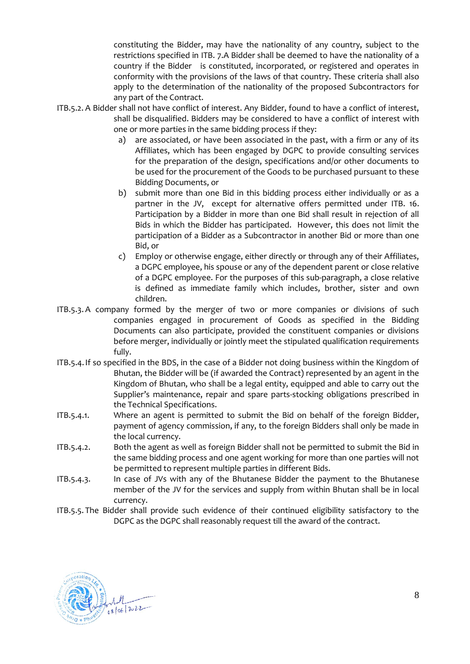constituting the Bidder, may have the nationality of any country, subject to the restrictions specified in [ITB. 7.](#page-8-1)A Bidder shall be deemed to have the nationality of a country if the Bidder is constituted, incorporated, or registered and operates in conformity with the provisions of the laws of that country. These criteria shall also apply to the determination of the nationality of the proposed Subcontractors for any part of the Contract.

- ITB.5.2. A Bidder shall not have conflict of interest. Any Bidder, found to have a conflict of interest, shall be disqualified. Bidders may be considered to have a conflict of interest with one or more parties in the same bidding process if they:
	- a) are associated, or have been associated in the past, with a firm or any of its Affiliates, which has been engaged by DGPC to provide consulting services for the preparation of the design, specifications and/or other documents to be used for the procurement of the Goods to be purchased pursuant to these Bidding Documents, or
	- b) submit more than one Bid in this bidding process either individually or as a partner in the JV, except for alternative offers permitted under [ITB. 16.](#page-11-4) Participation by a Bidder in more than one Bid shall result in rejection of all Bids in which the Bidder has participated. However, this does not limit the participation of a Bidder as a Subcontractor in another Bid or more than one Bid, or
	- c) Employ or otherwise engage, either directly or through any of their Affiliates, a DGPC employee, his spouse or any of the dependent parent or close relative of a DGPC employee. For the purposes of this sub-paragraph, a close relative is defined as immediate family which includes, brother, sister and own children.
- ITB.5.3. A company formed by the merger of two or more companies or divisions of such companies engaged in procurement of Goods as specified in the Bidding Documents can also participate, provided the constituent companies or divisions before merger, individually or jointly meet the stipulated qualification requirements fully.
- <span id="page-7-0"></span>ITB.5.4.If so specified in the BDS, in the case of a Bidder not doing business within the Kingdom of Bhutan, the Bidder will be (if awarded the Contract) represented by an agent in the Kingdom of Bhutan, who shall be a legal entity, equipped and able to carry out the Supplier's maintenance, repair and spare parts-stocking obligations prescribed in the Technical Specifications.
- ITB.5.4.1. Where an agent is permitted to submit the Bid on behalf of the foreign Bidder, payment of agency commission, if any, to the foreign Bidders shall only be made in the local currency.
- ITB.5.4.2. Both the agent as well as foreign Bidder shall not be permitted to submit the Bid in the same bidding process and one agent working for more than one parties will not be permitted to represent multiple parties in different Bids.
- ITB.5.4.3. In case of JVs with any of the Bhutanese Bidder the payment to the Bhutanese member of the JV for the services and supply from within Bhutan shall be in local currency.
- ITB.5.5. The Bidder shall provide such evidence of their continued eligibility satisfactory to the DGPC as the DGPC shall reasonably request till the award of the contract.

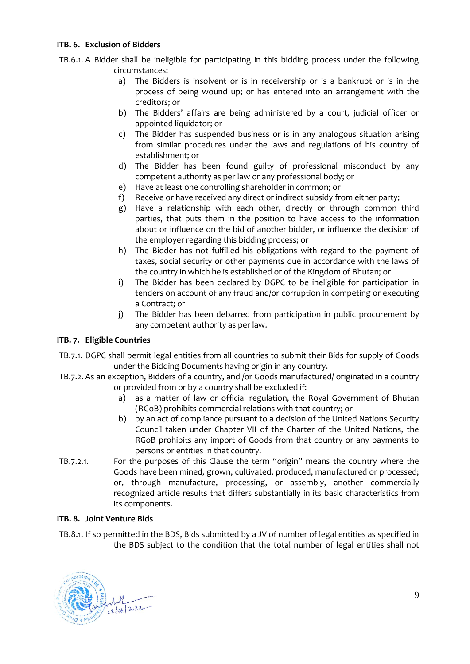#### <span id="page-8-0"></span>**ITB. 6. Exclusion of Bidders**

ITB.6.1. A Bidder shall be ineligible for participating in this bidding process under the following circumstances:

- a) The Bidders is insolvent or is in receivership or is a bankrupt or is in the process of being wound up; or has entered into an arrangement with the creditors; or
- b) The Bidders' affairs are being administered by a court, judicial officer or appointed liquidator; or
- c) The Bidder has suspended business or is in any analogous situation arising from similar procedures under the laws and regulations of his country of establishment; or
- d) The Bidder has been found guilty of professional misconduct by any competent authority as per law or any professional body; or
- e) Have at least one controlling shareholder in common; or
- f) Receive or have received any direct or indirect subsidy from either party;
- g) Have a relationship with each other, directly or through common third parties, that puts them in the position to have access to the information about or influence on the bid of another bidder, or influence the decision of the employer regarding this bidding process; or
- h) The Bidder has not fulfilled his obligations with regard to the payment of taxes, social security or other payments due in accordance with the laws of the country in which he is established or of the Kingdom of Bhutan; or
- i) The Bidder has been declared by DGPC to be ineligible for participation in tenders on account of any fraud and/or corruption in competing or executing a Contract; or
- j) The Bidder has been debarred from participation in public procurement by any competent authority as per law.

#### <span id="page-8-1"></span>**ITB. 7. Eligible Countries**

- ITB.7.1. DGPC shall permit legal entities from all countries to submit their Bids for supply of Goods under the Bidding Documents having origin in any country.
- ITB.7.2. As an exception, Bidders of a country, and /or Goods manufactured/ originated in a country or provided from or by a country shall be excluded if:
	- a) as a matter of law or official regulation, the Royal Government of Bhutan (RGoB) prohibits commercial relations with that country; or
	- b) by an act of compliance pursuant to a decision of the United Nations Security Council taken under Chapter VII of the Charter of the United Nations, the RGoB prohibits any import of Goods from that country or any payments to persons or entities in that country.
- ITB.7.2.1. For the purposes of this Clause the term "origin" means the country where the Goods have been mined, grown, cultivated, produced, manufactured or processed; or, through manufacture, processing, or assembly, another commercially recognized article results that differs substantially in its basic characteristics from its components.

#### <span id="page-8-2"></span>**ITB. 8. Joint Venture Bids**

<span id="page-8-3"></span>ITB.8.1. If so permitted in the BDS, Bids submitted by a JV of number of legal entities as specified in the BDS subject to the condition that the total number of legal entities shall not

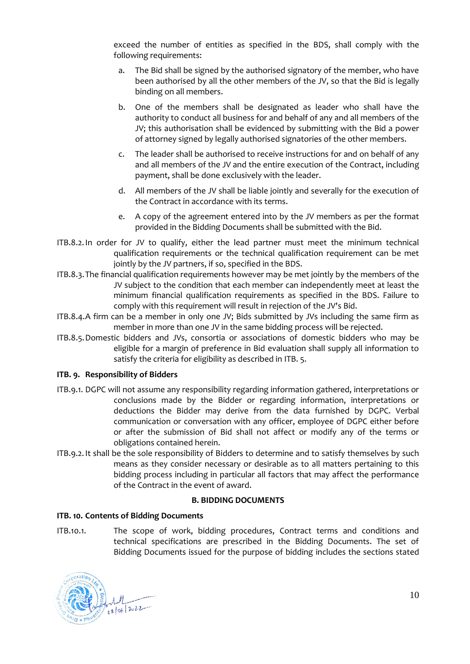exceed the number of entities as specified in the BDS, shall comply with the following requirements:

- a. The Bid shall be signed by the authorised signatory of the member, who have been authorised by all the other members of the JV, so that the Bid is legally binding on all members.
- b. One of the members shall be designated as leader who shall have the authority to conduct all business for and behalf of any and all members of the JV; this authorisation shall be evidenced by submitting with the Bid a power of attorney signed by legally authorised signatories of the other members.
- c. The leader shall be authorised to receive instructions for and on behalf of any and all members of the JV and the entire execution of the Contract, including payment, shall be done exclusively with the leader.
- d. All members of the JV shall be liable jointly and severally for the execution of the Contract in accordance with its terms.
- e. A copy of the agreement entered into by the JV members as per the format provided in the Bidding Documents shall be submitted with the Bid.
- ITB.8.2.In order for JV to qualify, either the lead partner must meet the minimum technical qualification requirements or the technical qualification requirement can be met jointly by the JV partners, if so, specified in the BDS.
- ITB.8.3.The financial qualification requirements however may be met jointly by the members of the JV subject to the condition that each member can independently meet at least the minimum financial qualification requirements as specified in the BDS. Failure to comply with this requirement will result in rejection of the JV's Bid.
- ITB.8.4.A firm can be a member in only one JV; Bids submitted by JVs including the same firm as member in more than one JV in the same bidding process will be rejected.
- ITB.8.5.Domestic bidders and JVs, consortia or associations of domestic bidders who may be eligible for a margin of preference in Bid evaluation shall supply all information to satisfy the criteria for eligibility as described in [ITB. 5.](#page-6-6)

#### <span id="page-9-0"></span>**ITB. 9. Responsibility of Bidders**

- ITB.9.1. DGPC will not assume any responsibility regarding information gathered, interpretations or conclusions made by the Bidder or regarding information, interpretations or deductions the Bidder may derive from the data furnished by DGPC. Verbal communication or conversation with any officer, employee of DGPC either before or after the submission of Bid shall not affect or modify any of the terms or obligations contained herein.
- ITB.9.2.It shall be the sole responsibility of Bidders to determine and to satisfy themselves by such means as they consider necessary or desirable as to all matters pertaining to this bidding process including in particular all factors that may affect the performance of the Contract in the event of award.

#### **B. BIDDING DOCUMENTS**

#### <span id="page-9-2"></span><span id="page-9-1"></span>**ITB. 10. Contents of Bidding Documents**

ITB.10.1. The scope of work, bidding procedures, Contract terms and conditions and technical specifications are prescribed in the Bidding Documents. The set of Bidding Documents issued for the purpose of bidding includes the sections stated

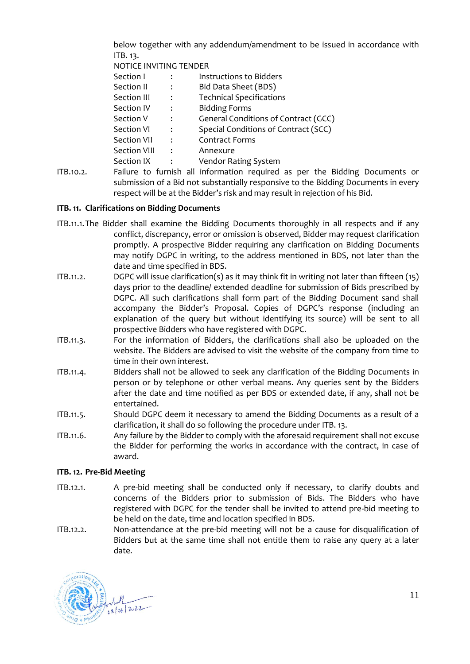below together with any addendum/amendment to be issued in accordance with [ITB. 13.](#page-11-0)

NOTICE INVITING TENDER

| Section I           |                | Instructions to Bidders              |
|---------------------|----------------|--------------------------------------|
| Section II          | $\ddot{\cdot}$ | Bid Data Sheet (BDS)                 |
| Section III         | $\cdot$        | <b>Technical Specifications</b>      |
| Section IV          | $\cdot$        | <b>Bidding Forms</b>                 |
| Section V           | $\ddot{\cdot}$ | General Conditions of Contract (GCC) |
| Section VI          | $\cdot$        | Special Conditions of Contract (SCC) |
| Section VII         | $\cdot$        | <b>Contract Forms</b>                |
| <b>Section VIII</b> | $\ddot{\cdot}$ | Annexure                             |
| Section IX          |                | Vendor Rating System                 |
|                     |                |                                      |

ITB.10.2. Failure to furnish all information required as per the Bidding Documents or submission of a Bid not substantially responsive to the Bidding Documents in every respect will be at the Bidder's risk and may result in rejection of his Bid.

#### <span id="page-10-0"></span>**ITB. 11. Clarifications on Bidding Documents**

- <span id="page-10-2"></span>ITB.11.1.The Bidder shall examine the Bidding Documents thoroughly in all respects and if any conflict, discrepancy, error or omission is observed, Bidder may request clarification promptly. A prospective Bidder requiring any clarification on Bidding Documents may notify DGPC in writing, to the address mentioned in BDS, not later than the date and time specified in BDS.
- ITB.11.2. DGPC will issue clarification(s) as it may think fit in writing not later than fifteen (15) days prior to the deadline/ extended deadline for submission of Bids prescribed by DGPC. All such clarifications shall form part of the Bidding Document sand shall accompany the Bidder's Proposal. Copies of DGPC's response (including an explanation of the query but without identifying its source) will be sent to all prospective Bidders who have registered with DGPC.
- ITB.11.3. For the information of Bidders, the clarifications shall also be uploaded on the website. The Bidders are advised to visit the website of the company from time to time in their own interest.
- <span id="page-10-3"></span>ITB.11.4. Bidders shall not be allowed to seek any clarification of the Bidding Documents in person or by telephone or other verbal means. Any queries sent by the Bidders after the date and time notified as per BDS or extended date, if any, shall not be entertained.
- ITB.11.5. Should DGPC deem it necessary to amend the Bidding Documents as a result of a clarification, it shall do so following the procedure unde[r ITB. 13.](#page-11-0)
- ITB.11.6. Any failure by the Bidder to comply with the aforesaid requirement shall not excuse the Bidder for performing the works in accordance with the contract, in case of award.

#### <span id="page-10-1"></span>**ITB. 12. Pre-Bid Meeting**

- <span id="page-10-4"></span>ITB.12.1. A pre-bid meeting shall be conducted only if necessary, to clarify doubts and concerns of the Bidders prior to submission of Bids. The Bidders who have registered with DGPC for the tender shall be invited to attend pre-bid meeting to be held on the date, time and location specified in BDS.
- ITB.12.2. Non-attendance at the pre-bid meeting will not be a cause for disqualification of Bidders but at the same time shall not entitle them to raise any query at a later date.

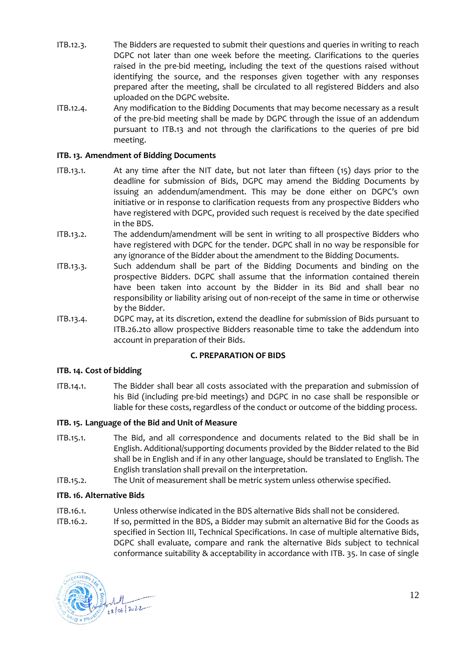- ITB.12.3. The Bidders are requested to submit their questions and queries in writing to reach DGPC not later than one week before the meeting. Clarifications to the queries raised in the pre-bid meeting, including the text of the questions raised without identifying the source, and the responses given together with any responses prepared after the meeting, shall be circulated to all registered Bidders and also uploaded on the DGPC website.
- ITB.12.4. Any modification to the Bidding Documents that may become necessary as a result of the pre-bid meeting shall be made by DGPC through the issue of an addendum pursuant to ITB.13 and not through the clarifications to the queries of pre bid meeting.

#### <span id="page-11-0"></span>**ITB. 13. Amendment of Bidding Documents**

- <span id="page-11-5"></span>ITB.13.1. At any time after the NIT date, but not later than fifteen (15) days prior to the deadline for submission of Bids, DGPC may amend the Bidding Documents by issuing an addendum/amendment. This may be done either on DGPC's own initiative or in response to clarification requests from any prospective Bidders who have registered with DGPC, provided such request is received by the date specified in the BDS.
- ITB.13.2. The addendum/amendment will be sent in writing to all prospective Bidders who have registered with DGPC for the tender. DGPC shall in no way be responsible for any ignorance of the Bidder about the amendment to the Bidding Documents.
- ITB.13.3. Such addendum shall be part of the Bidding Documents and binding on the prospective Bidders. DGPC shall assume that the information contained therein have been taken into account by the Bidder in its Bid and shall bear no responsibility or liability arising out of non-receipt of the same in time or otherwise by the Bidder.
- ITB.13.4. DGPC may, at its discretion, extend the deadline for submission of Bids pursuant to [ITB.26.2t](#page-17-3)o allow prospective Bidders reasonable time to take the addendum into account in preparation of their Bids.

#### **C. PREPARATION OF BIDS**

#### <span id="page-11-2"></span><span id="page-11-1"></span>**ITB. 14. Cost of bidding**

ITB.14.1. The Bidder shall bear all costs associated with the preparation and submission of his Bid (including pre-bid meetings) and DGPC in no case shall be responsible or liable for these costs, regardless of the conduct or outcome of the bidding process.

#### <span id="page-11-3"></span>**ITB. 15. Language of the Bid and Unit of Measure**

- ITB.15.1. The Bid, and all correspondence and documents related to the Bid shall be in English. Additional/supporting documents provided by the Bidder related to the Bid shall be in English and if in any other language, should be translated to English. The English translation shall prevail on the interpretation.
- ITB.15.2. The Unit of measurement shall be metric system unless otherwise specified.

#### <span id="page-11-4"></span>**ITB. 16. Alternative Bids**

- <span id="page-11-6"></span>ITB.16.1. Unless otherwise indicated in the BDS alternative Bids shall not be considered.
- <span id="page-11-7"></span>ITB.16.2. If so, permitted in the BDS, a Bidder may submit an alternative Bid for the Goods as specified in Section III, Technical Specifications. In case of multiple alternative Bids, DGPC shall evaluate, compare and rank the alternative Bids subject to technical conformance suitability & acceptability in accordance with ITB. 35. In case of single

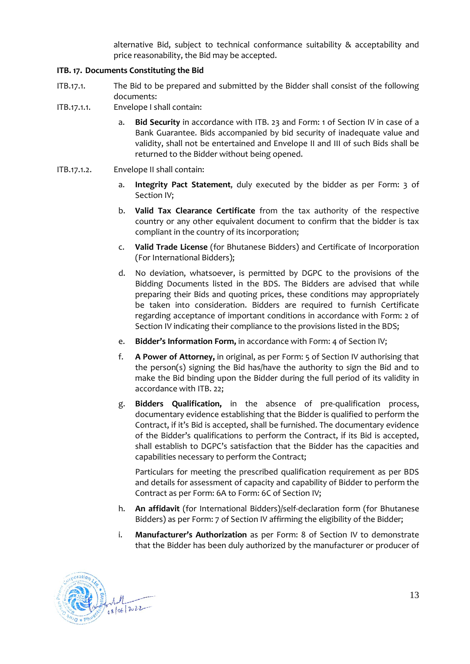alternative Bid, subject to technical conformance suitability & acceptability and price reasonability, the Bid may be accepted.

#### <span id="page-12-0"></span>**ITB. 17. Documents Constituting the Bid**

- ITB.17.1. The Bid to be prepared and submitted by the Bidder shall consist of the following documents:
- ITB.17.1.1. Envelope I shall contain:
	- a. **Bid Security** in accordance with [ITB. 23](#page-15-2) and Form: 1 of Section IV in case of a Bank Guarantee. Bids accompanied by bid security of inadequate value and validity, shall not be entertained and Envelope II and III of such Bids shall be returned to the Bidder without being opened.
- <span id="page-12-2"></span><span id="page-12-1"></span>ITB.17.1.2. Envelope II shall contain:
	- a. **Integrity Pact Statement**, duly executed by the bidder as per Form: 3 of Section IV;
	- b. **Valid Tax Clearance Certificate** from the tax authority of the respective country or any other equivalent document to confirm that the bidder is tax compliant in the country of its incorporation;
	- c. **Valid Trade License** (for Bhutanese Bidders) and Certificate of Incorporation (For International Bidders);
	- d. No deviation, whatsoever, is permitted by DGPC to the provisions of the Bidding Documents listed in the BDS. The Bidders are advised that while preparing their Bids and quoting prices, these conditions may appropriately be taken into consideration. Bidders are required to furnish Certificate regarding acceptance of important conditions in accordance with Form: 2 of Section IV indicating their compliance to the provisions listed in the BDS;
	- e. **Bidder's Information Form,** in accordance with Form: 4 of Section IV;
	- f. **A Power of Attorney,** in original, as per Form: 5 of Section IV authorising that the person(s) signing the Bid has/have the authority to sign the Bid and to make the Bid binding upon the Bidder during the full period of its validity in accordance with [ITB. 22;](#page-15-1)
	- g. **Bidders Qualification,** in the absence of pre-qualification process, documentary evidence establishing that the Bidder is qualified to perform the Contract, if it's Bid is accepted, shall be furnished. The documentary evidence of the Bidder's qualifications to perform the Contract, if its Bid is accepted, shall establish to DGPC's satisfaction that the Bidder has the capacities and capabilities necessary to perform the Contract;

Particulars for meeting the prescribed qualification requirement as per BDS and details for assessment of capacity and capability of Bidder to perform the Contract as per Form: 6A to Form: 6C of Section IV;

- h. **An affidavit** (for International Bidders)/self-declaration form (for Bhutanese Bidders) as per Form: 7 of Section IV affirming the eligibility of the Bidder;
- i. **Manufacturer's Authorization** as per Form: 8 of Section IV to demonstrate that the Bidder has been duly authorized by the manufacturer or producer of

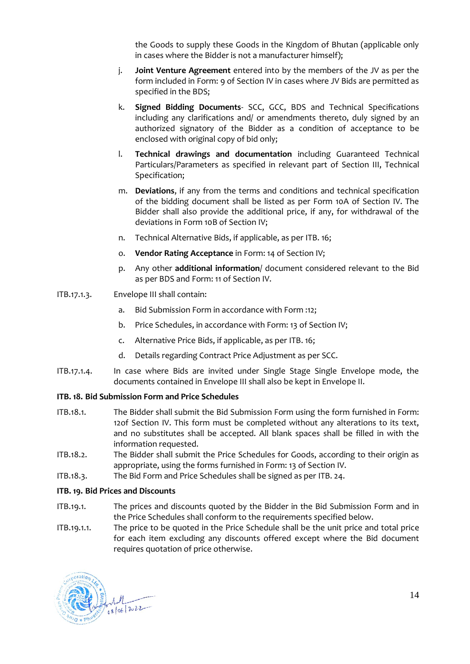the Goods to supply these Goods in the Kingdom of Bhutan (applicable only in cases where the Bidder is not a manufacturer himself);

- j. **Joint Venture Agreement** entered into by the members of the JV as per the form included in Form: 9 of Section IV in cases where JV Bids are permitted as specified in the BDS;
- k. **Signed Bidding Documents** SCC, GCC, BDS and Technical Specifications including any clarifications and/ or amendments thereto, duly signed by an authorized signatory of the Bidder as a condition of acceptance to be enclosed with original copy of bid only;
- l. **Technical drawings and documentation** including Guaranteed Technical Particulars/Parameters as specified in relevant part of Section III, Technical Specification;
- m. **Deviations**, if any from the terms and conditions and technical specification of the bidding document shall be listed as per Form 10A of Section IV. The Bidder shall also provide the additional price, if any, for withdrawal of the deviations in Form 10B of Section IV;
- n. Technical Alternative Bids, if applicable, as per [ITB. 16;](#page-11-4)
- o. **Vendor Rating Acceptance** in Form: 14 of Section IV;
- p. Any other **additional information**/ document considered relevant to the Bid as per BDS and Form: 11 of Section IV.
- ITB.17.1.3. Envelope III shall contain:
	- a. Bid Submission Form in accordance with Form :12;
	- b. Price Schedules, in accordance with Form: 13 of Section IV;
	- c. Alternative Price Bids, if applicable, as per [ITB. 16;](#page-11-4)
	- d. Details regarding Contract Price Adjustment as per SCC.
- ITB.17.1.4. In case where Bids are invited under Single Stage Single Envelope mode, the documents contained in Envelope III shall also be kept in Envelope II.

#### <span id="page-13-0"></span>**ITB. 18. Bid Submission Form and Price Schedules**

- ITB.18.1. The Bidder shall submit the Bid Submission Form using the form furnished in Form: 12of Section IV. This form must be completed without any alterations to its text, and no substitutes shall be accepted. All blank spaces shall be filled in with the information requested.
- ITB.18.2. The Bidder shall submit the Price Schedules for Goods, according to their origin as appropriate, using the forms furnished in Form: 13 of Section IV.
- ITB.18.3. The Bid Form and Price Schedules shall be signed as per [ITB. 24.](#page-16-0)

#### <span id="page-13-1"></span>**ITB. 19. Bid Prices and Discounts**

- ITB.19.1. The prices and discounts quoted by the Bidder in the Bid Submission Form and in the Price Schedules shall conform to the requirements specified below.
- ITB.19.1.1. The price to be quoted in the Price Schedule shall be the unit price and total price for each item excluding any discounts offered except where the Bid document requires quotation of price otherwise.

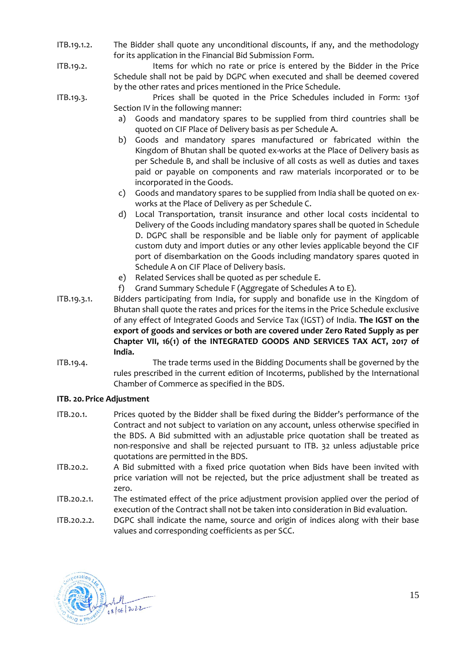- <span id="page-14-1"></span>ITB.19.1.2. The Bidder shall quote any unconditional discounts, if any, and the methodology for its application in the Financial Bid Submission Form.
- ITB.19.2. Items for which no rate or price is entered by the Bidder in the Price Schedule shall not be paid by DGPC when executed and shall be deemed covered by the other rates and prices mentioned in the Price Schedule.
- ITB.19.3. Prices shall be quoted in the Price Schedules included in Form: 13of Section IV in the following manner:
	- a) Goods and mandatory spares to be supplied from third countries shall be quoted on CIF Place of Delivery basis as per Schedule A.
	- b) Goods and mandatory spares manufactured or fabricated within the Kingdom of Bhutan shall be quoted ex-works at the Place of Delivery basis as per Schedule B, and shall be inclusive of all costs as well as duties and taxes paid or payable on components and raw materials incorporated or to be incorporated in the Goods.
	- c) Goods and mandatory spares to be supplied from India shall be quoted on exworks at the Place of Delivery as per Schedule C.
	- d) Local Transportation, transit insurance and other local costs incidental to Delivery of the Goods including mandatory spares shall be quoted in Schedule D. DGPC shall be responsible and be liable only for payment of applicable custom duty and import duties or any other levies applicable beyond the CIF port of disembarkation on the Goods including mandatory spares quoted in Schedule A on CIF Place of Delivery basis.
	- e) Related Services shall be quoted as per schedule E.
	- f) Grand Summary Schedule F (Aggregate of Schedules A to E).
- ITB.19.3.1. Bidders participating from India, for supply and bonafide use in the Kingdom of Bhutan shall quote the rates and prices for the items in the Price Schedule exclusive of any effect of Integrated Goods and Service Tax (IGST) of India. **The IGST on the export of goods and services or both are covered under Zero Rated Supply as per Chapter VII, 16(1) of the INTEGRATED GOODS AND SERVICES TAX ACT, 2017 of India.**
- <span id="page-14-2"></span>ITB.19.4. The trade terms used in the Bidding Documents shall be governed by the rules prescribed in the current edition of Incoterms, published by the International Chamber of Commerce as specified in the BDS.

#### <span id="page-14-0"></span>**ITB. 20.Price Adjustment**

- <span id="page-14-3"></span>ITB.20.1. Prices quoted by the Bidder shall be fixed during the Bidder's performance of the Contract and not subject to variation on any account, unless otherwise specified in the BDS. A Bid submitted with an adjustable price quotation shall be treated as non-responsive and shall be rejected pursuant to [ITB. 32](#page-20-1) unless adjustable price quotations are permitted in the BDS.
- ITB.20.2. A Bid submitted with a fixed price quotation when Bids have been invited with price variation will not be rejected, but the price adjustment shall be treated as zero.
- ITB.20.2.1. The estimated effect of the price adjustment provision applied over the period of execution of the Contract shall not be taken into consideration in Bid evaluation.
- ITB.20.2.2. DGPC shall indicate the name, source and origin of indices along with their base values and corresponding coefficients as per SCC.

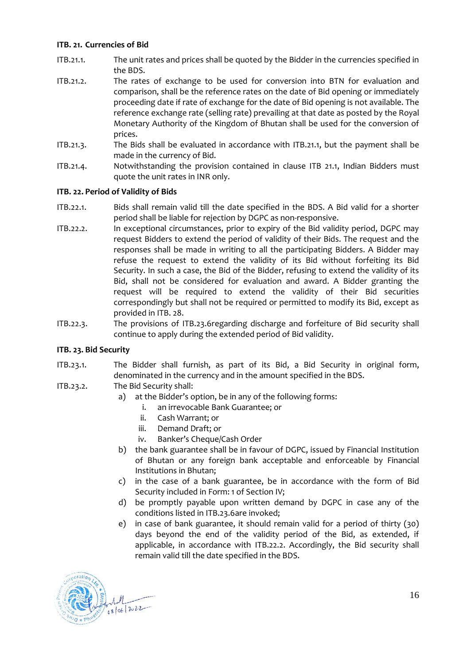#### <span id="page-15-0"></span>**ITB. 21. Currencies of Bid**

- <span id="page-15-3"></span>ITB.21.1. The unit rates and prices shall be quoted by the Bidder in the currencies specified in the BDS.
- ITB.21.2. The rates of exchange to be used for conversion into BTN for evaluation and comparison, shall be the reference rates on the date of Bid opening or immediately proceeding date if rate of exchange for the date of Bid opening is not available. The reference exchange rate (selling rate) prevailing at that date as posted by the Royal Monetary Authority of the Kingdom of Bhutan shall be used for the conversion of prices.
- ITB.21.3. The Bids shall be evaluated in accordance with [ITB.21.1,](#page-15-3) but the payment shall be made in the currency of Bid.
- ITB.21.4. Notwithstanding the provision contained in clause ITB 21.1, Indian Bidders must quote the unit rates in INR only.

#### <span id="page-15-1"></span>**ITB. 22. Period of Validity of Bids**

- <span id="page-15-5"></span>ITB.22.1. Bids shall remain valid till the date specified in the BDS. A Bid valid for a shorter period shall be liable for rejection by DGPC as non-responsive.
- <span id="page-15-4"></span>ITB.22.2. In exceptional circumstances, prior to expiry of the Bid validity period, DGPC may request Bidders to extend the period of validity of their Bids. The request and the responses shall be made in writing to all the participating Bidders. A Bidder may refuse the request to extend the validity of its Bid without forfeiting its Bid Security. In such a case, the Bid of the Bidder, refusing to extend the validity of its Bid, shall not be considered for evaluation and award. A Bidder granting the request will be required to extend the validity of their Bid securities correspondingly but shall not be required or permitted to modify its Bid, except as provided i[n ITB. 28.](#page-17-2)
- ITB.22.3. The provisions of [ITB.23.6r](#page-16-3)egarding discharge and forfeiture of Bid security shall continue to apply during the extended period of Bid validity.

#### <span id="page-15-2"></span>**ITB. 23. Bid Security**

- <span id="page-15-6"></span>ITB.23.1. The Bidder shall furnish, as part of its Bid, a Bid Security in original form, denominated in the currency and in the amount specified in the BDS.
- <span id="page-15-7"></span>ITB.23.2. The Bid Security shall:
	- a) at the Bidder's option, be in any of the following forms:
		- i. an irrevocable Bank Guarantee; or
		- ii. Cash Warrant; or
		- iii. Demand Draft; or
		- iv. Banker's Cheque/Cash Order
	- b) the bank guarantee shall be in favour of DGPC, issued by Financial Institution of Bhutan or any foreign bank acceptable and enforceable by Financial Institutions in Bhutan;
	- c) in the case of a bank guarantee, be in accordance with the form of Bid Security included in Form: 1 of Section IV;
	- d) be promptly payable upon written demand by DGPC in case any of the conditions listed i[n ITB.23.6a](#page-16-3)re invoked;
	- e) in case of bank guarantee, it should remain valid for a period of thirty (30) days beyond the end of the validity period of the Bid, as extended, if applicable, in accordance with [ITB.22.2.](#page-15-4) Accordingly, the Bid security shall remain valid till the date specified in the BDS.

<span id="page-15-8"></span>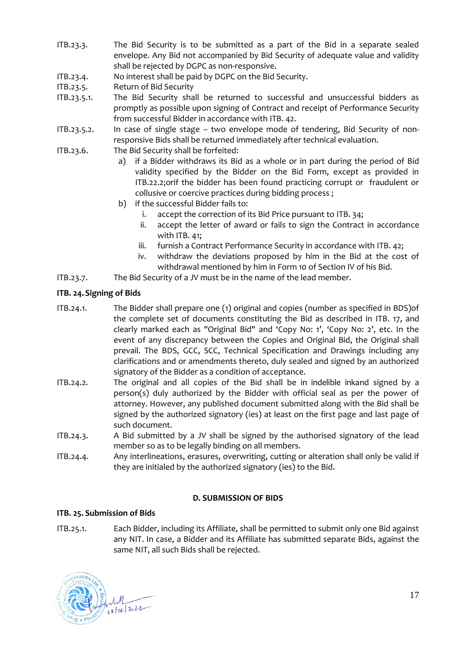- ITB.23.3. The Bid Security is to be submitted as a part of the Bid in a separate sealed envelope. Any Bid not accompanied by Bid Security of adequate value and validity shall be rejected by DGPC as non-responsive.
- ITB.23.4. No interest shall be paid by DGPC on the Bid Security.
- ITB.23.5. Return of Bid Security
- ITB.23.5.1. The Bid Security shall be returned to successful and unsuccessful bidders as promptly as possible upon signing of Contract and receipt of Performance Security from successful Bidder in accordance wit[h ITB. 42.](#page-26-2)
- ITB.23.5.2. In case of single stage two envelope mode of tendering, Bid Security of nonresponsive Bids shall be returned immediately after technical evaluation.
- <span id="page-16-3"></span>ITB.23.6. The Bid Security shall be forfeited:
	- a) if a Bidder withdraws its Bid as a whole or in part during the period of Bid validity specified by the Bidder on the Bid Form, except as provided in [ITB.22.2;](#page-15-4)orif the bidder has been found practicing corrupt or fraudulent or collusive or coercive practices during bidding process ;
	- b) if the successful Bidder fails to:
		- i. accept the correction of its Bid Price pursuant to [ITB. 34;](#page-21-1)
		- ii. accept the letter of award or fails to sign the Contract in accordance wit[h ITB. 41;](#page-26-1)
		- iii. furnish a Contract Performance Security in accordance with [ITB. 42;](#page-26-2)
		- iv. withdraw the deviations proposed by him in the Bid at the cost of withdrawal mentioned by him in Form 10 of Section IV of his Bid.
- ITB.23.7. The Bid Security of a JV must be in the name of the lead member.

#### <span id="page-16-0"></span>**ITB. 24.Signing of Bids**

<span id="page-16-5"></span>ITB.24.1. The Bidder shall prepare one (1) original and copies (number as specified in BDS)of the complete set of documents constituting the Bid as described in [ITB. 17,](#page-12-0) and clearly marked each as "Original Bid" and 'Copy No: 1', 'Copy No: 2', etc. In the event of any discrepancy between the Copies and Original Bid, the Original shall prevail. The BDS, GCC, SCC, Technical Specification and Drawings including any clarifications and or amendments thereto, duly sealed and signed by an authorized signatory of the Bidder as a condition of acceptance.

- ITB.24.2. The original and all copies of the Bid shall be in indelible inkand signed by a person(s) duly authorized by the Bidder with official seal as per the power of attorney. However, any published document submitted along with the Bid shall be signed by the authorized signatory (ies) at least on the first page and last page of such document.
- ITB.24.3. A Bid submitted by a JV shall be signed by the authorised signatory of the lead member so as to be legally binding on all members.
- ITB.24.4. Any interlineations, erasures, overwriting, cutting or alteration shall only be valid if they are initialed by the authorized signatory (ies) to the Bid.

#### **D. SUBMISSION OF BIDS**

#### <span id="page-16-2"></span><span id="page-16-1"></span>**ITB. 25. Submission of Bids**

<span id="page-16-4"></span>ITB.25.1. Each Bidder, including its Affiliate, shall be permitted to submit only one Bid against any NIT. In case, a Bidder and its Affiliate has submitted separate Bids, against the same NIT, all such Bids shall be rejected.

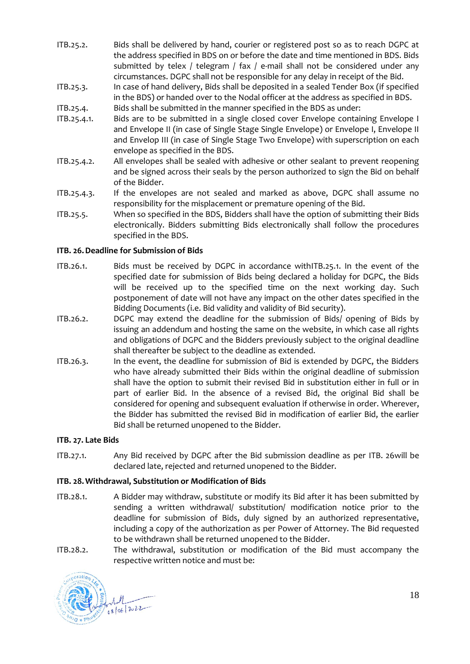- <span id="page-17-6"></span>ITB.25.2. Bids shall be delivered by hand, courier or registered post so as to reach DGPC at the address specified in BDS on or before the date and time mentioned in BDS. Bids submitted by telex / telegram / fax / e-mail shall not be considered under any circumstances. DGPC shall not be responsible for any delay in receipt of the Bid.
- <span id="page-17-7"></span>ITB.25.3. In case of hand delivery, Bids shall be deposited in a sealed Tender Box (if specified in the BDS) or handed over to the Nodal officer at the address as specified in BDS.
- <span id="page-17-8"></span>ITB.25.4. Bids shall be submitted in the manner specified in the BDS as under:
- <span id="page-17-9"></span>ITB.25.4.1. Bids are to be submitted in a single closed cover Envelope containing Envelope I and Envelope II (in case of Single Stage Single Envelope) or Envelope I, Envelope II and Envelop III (in case of Single Stage Two Envelope) with superscription on each envelope as specified in the BDS.
- ITB.25.4.2. All envelopes shall be sealed with adhesive or other sealant to prevent reopening and be signed across their seals by the person authorized to sign the Bid on behalf of the Bidder.
- ITB.25.4.3. If the envelopes are not sealed and marked as above, DGPC shall assume no responsibility for the misplacement or premature opening of the Bid.
- <span id="page-17-10"></span>ITB.25.5. When so specified in the BDS, Bidders shall have the option of submitting their Bids electronically. Bidders submitting Bids electronically shall follow the procedures specified in the BDS.

#### <span id="page-17-4"></span><span id="page-17-0"></span>**ITB. 26.Deadline for Submission of Bids**

- ITB.26.1. Bids must be received by DGPC in accordance wit[hITB.25.1.](#page-16-4) In the event of the specified date for submission of Bids being declared a holiday for DGPC, the Bids will be received up to the specified time on the next working day. Such postponement of date will not have any impact on the other dates specified in the Bidding Documents (i.e. Bid validity and validity of Bid security).
- <span id="page-17-3"></span>ITB.26.2. DGPC may extend the deadline for the submission of Bids/ opening of Bids by issuing an addendum and hosting the same on the website, in which case all rights and obligations of DGPC and the Bidders previously subject to the original deadline shall thereafter be subject to the deadline as extended.
- ITB.26.3. In the event, the deadline for submission of Bid is extended by DGPC, the Bidders who have already submitted their Bids within the original deadline of submission shall have the option to submit their revised Bid in substitution either in full or in part of earlier Bid. In the absence of a revised Bid, the original Bid shall be considered for opening and subsequent evaluation if otherwise in order. Wherever, the Bidder has submitted the revised Bid in modification of earlier Bid, the earlier Bid shall be returned unopened to the Bidder.

#### <span id="page-17-1"></span>**ITB. 27. Late Bids**

ITB.27.1. Any Bid received by DGPC after the Bid submission deadline as per [ITB. 26w](#page-17-0)ill be declared late, rejected and returned unopened to the Bidder.

#### <span id="page-17-2"></span>**ITB. 28.Withdrawal, Substitution or Modification of Bids**

- <span id="page-17-5"></span>ITB.28.1. A Bidder may withdraw, substitute or modify its Bid after it has been submitted by sending a written withdrawal/ substitution/ modification notice prior to the deadline for submission of Bids, duly signed by an authorized representative, including a copy of the authorization as per Power of Attorney. The Bid requested to be withdrawn shall be returned unopened to the Bidder.
- ITB.28.2. The withdrawal, substitution or modification of the Bid must accompany the respective written notice and must be:



18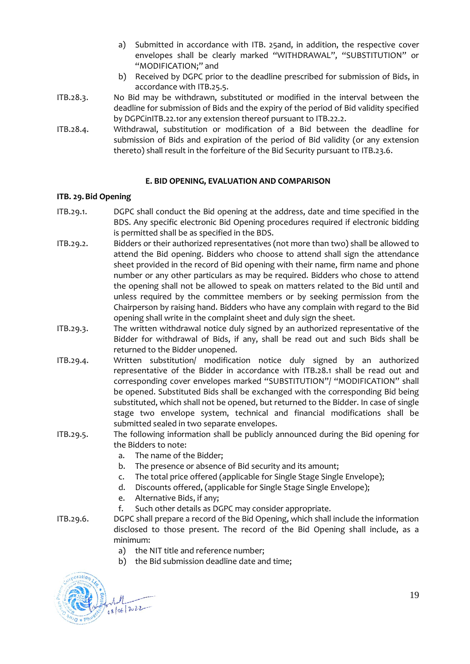- a) Submitted in accordance with [ITB. 25a](#page-16-2)nd, in addition, the respective cover envelopes shall be clearly marked "WITHDRAWAL", "SUBSTITUTION" or "MODIFICATION;" and
- b) Received by DGPC prior to the deadline prescribed for submission of Bids, in accordance with [ITB.25.5.](#page-17-4)
- ITB.28.3. No Bid may be withdrawn, substituted or modified in the interval between the deadline for submission of Bids and the expiry of the period of Bid validity specified by DGPCi[nITB.22.1o](#page-15-5)r any extension thereof pursuant to [ITB.22.2.](#page-15-4)
- ITB.28.4. Withdrawal, substitution or modification of a Bid between the deadline for submission of Bids and expiration of the period of Bid validity (or any extension thereto) shall result in the forfeiture of the Bid Security pursuant t[o ITB.23.6.](#page-16-3)

#### **E. BID OPENING, EVALUATION AND COMPARISON**

#### <span id="page-18-1"></span><span id="page-18-0"></span>**ITB. 29.Bid Opening**

- <span id="page-18-2"></span>ITB.29.1. DGPC shall conduct the Bid opening at the address, date and time specified in the BDS. Any specific electronic Bid Opening procedures required if electronic bidding is permitted shall be as specified in the BDS.
- ITB.29.2. Bidders or their authorized representatives (not more than two) shall be allowed to attend the Bid opening. Bidders who choose to attend shall sign the attendance sheet provided in the record of Bid opening with their name, firm name and phone number or any other particulars as may be required. Bidders who chose to attend the opening shall not be allowed to speak on matters related to the Bid until and unless required by the committee members or by seeking permission from the Chairperson by raising hand. Bidders who have any complain with regard to the Bid opening shall write in the complaint sheet and duly sign the sheet.
- ITB.29.3. The written withdrawal notice duly signed by an authorized representative of the Bidder for withdrawal of Bids, if any, shall be read out and such Bids shall be returned to the Bidder unopened.
- ITB.29.4. Written substitution/ modification notice duly signed by an authorized representative of the Bidder in accordance with [ITB.28.1](#page-17-5) shall be read out and corresponding cover envelopes marked "SUBSTITUTION"/ "MODIFICATION" shall be opened. Substituted Bids shall be exchanged with the corresponding Bid being substituted, which shall not be opened, but returned to the Bidder. In case of single stage two envelope system, technical and financial modifications shall be submitted sealed in two separate envelopes.
- ITB.29.5. The following information shall be publicly announced during the Bid opening for the Bidders to note:
	- a. The name of the Bidder;
	- b. The presence or absence of Bid security and its amount;
	- c. The total price offered (applicable for Single Stage Single Envelope);
	- d. Discounts offered, (applicable for Single Stage Single Envelope);
	- e. Alternative Bids, if any;
	- f. Such other details as DGPC may consider appropriate.
- ITB.29.6. DGPC shall prepare a record of the Bid Opening, which shall include the information disclosed to those present. The record of the Bid Opening shall include, as a minimum:
	- a) the NIT title and reference number;
	- b) the Bid submission deadline date and time;

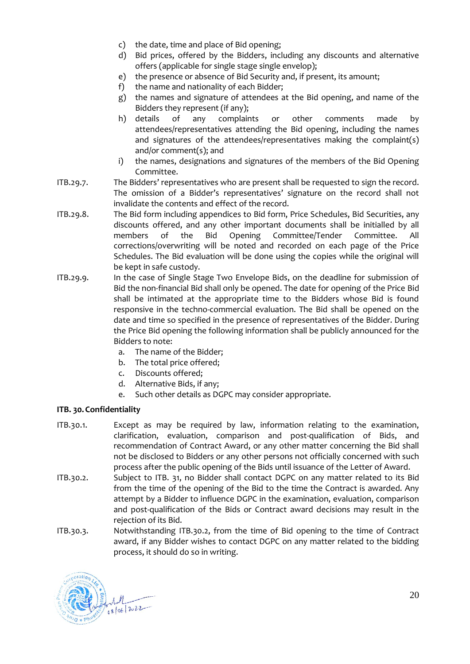- c) the date, time and place of Bid opening;
- d) Bid prices, offered by the Bidders, including any discounts and alternative offers (applicable for single stage single envelop);
- e) the presence or absence of Bid Security and, if present, its amount;
- f) the name and nationality of each Bidder;
- g) the names and signature of attendees at the Bid opening, and name of the Bidders they represent (if any);
- h) details of any complaints or other comments made by attendees/representatives attending the Bid opening, including the names and signatures of the attendees/representatives making the complaint(s) and/or comment(s); and
- i) the names, designations and signatures of the members of the Bid Opening Committee.
- ITB.29.7. The Bidders' representatives who are present shall be requested to sign the record. The omission of a Bidder's representatives' signature on the record shall not invalidate the contents and effect of the record.
- ITB.29.8. The Bid form including appendices to Bid form, Price Schedules, Bid Securities, any discounts offered, and any other important documents shall be initialled by all members of the Bid Opening Committee/Tender Committee. All corrections/overwriting will be noted and recorded on each page of the Price Schedules. The Bid evaluation will be done using the copies while the original will be kept in safe custody.
- ITB.29.9. In the case of Single Stage Two Envelope Bids, on the deadline for submission of Bid the non-financial Bid shall only be opened. The date for opening of the Price Bid shall be intimated at the appropriate time to the Bidders whose Bid is found responsive in the techno-commercial evaluation. The Bid shall be opened on the date and time so specified in the presence of representatives of the Bidder. During the Price Bid opening the following information shall be publicly announced for the Bidders to note:
	- a. The name of the Bidder;
	- b. The total price offered;
	- c. Discounts offered;
	- d. Alternative Bids, if any;
	- e. Such other details as DGPC may consider appropriate.

#### <span id="page-19-0"></span>**ITB. 30.Confidentiality**

- ITB.30.1. Except as may be required by law, information relating to the examination, clarification, evaluation, comparison and post-qualification of Bids, and recommendation of Contract Award, or any other matter concerning the Bid shall not be disclosed to Bidders or any other persons not officially concerned with such process after the public opening of the Bids until issuance of the Letter of Award.
- <span id="page-19-1"></span>ITB.30.2. Subject to [ITB. 31,](#page-20-0) no Bidder shall contact DGPC on any matter related to its Bid from the time of the opening of the Bid to the time the Contract is awarded. Any attempt by a Bidder to influence DGPC in the examination, evaluation, comparison and post-qualification of the Bids or Contract award decisions may result in the rejection of its Bid.
- ITB.30.3. Notwithstanding [ITB.30.2,](#page-19-1) from the time of Bid opening to the time of Contract award, if any Bidder wishes to contact DGPC on any matter related to the bidding process, it should do so in writing.

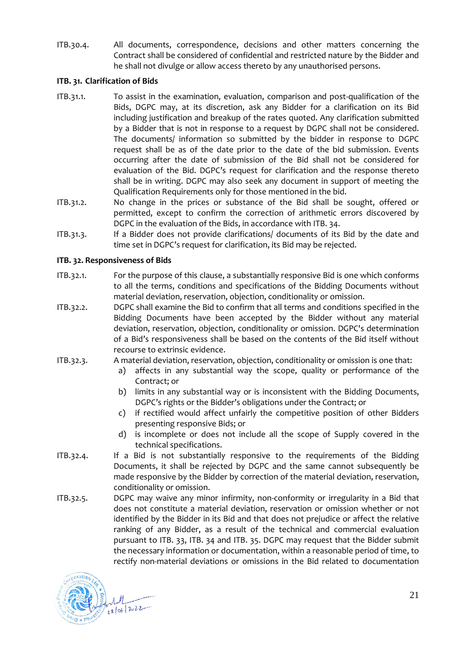ITB.30.4. All documents, correspondence, decisions and other matters concerning the Contract shall be considered of confidential and restricted nature by the Bidder and he shall not divulge or allow access thereto by any unauthorised persons.

#### <span id="page-20-0"></span>**ITB. 31. Clarification of Bids**

- ITB.31.1. To assist in the examination, evaluation, comparison and post-qualification of the Bids, DGPC may, at its discretion, ask any Bidder for a clarification on its Bid including justification and breakup of the rates quoted. Any clarification submitted by a Bidder that is not in response to a request by DGPC shall not be considered. The documents/ information so submitted by the bidder in response to DGPC request shall be as of the date prior to the date of the bid submission. Events occurring after the date of submission of the Bid shall not be considered for evaluation of the Bid. DGPC's request for clarification and the response thereto shall be in writing. DGPC may also seek any document in support of meeting the Qualification Requirements only for those mentioned in the bid.
- ITB.31.2. No change in the prices or substance of the Bid shall be sought, offered or permitted, except to confirm the correction of arithmetic errors discovered by DGPC in the evaluation of the Bids, in accordance wit[h ITB. 34.](#page-21-1)
- ITB.31.3. If a Bidder does not provide clarifications/ documents of its Bid by the date and time set in DGPC's request for clarification, its Bid may be rejected.

#### <span id="page-20-1"></span>**ITB. 32. Responsiveness of Bids**

- ITB.32.1. For the purpose of this clause, a substantially responsive Bid is one which conforms to all the terms, conditions and specifications of the Bidding Documents without material deviation, reservation, objection, conditionality or omission.
- ITB.32.2. DGPC shall examine the Bid to confirm that all terms and conditions specified in the Bidding Documents have been accepted by the Bidder without any material deviation, reservation, objection, conditionality or omission. DGPC's determination of a Bid's responsiveness shall be based on the contents of the Bid itself without recourse to extrinsic evidence.
- ITB.32.3. A material deviation, reservation, objection, conditionality or omission is one that:
	- a) affects in any substantial way the scope, quality or performance of the Contract; or
	- b) limits in any substantial way or is inconsistent with the Bidding Documents, DGPC's rights or the Bidder's obligations under the Contract; or
	- c) if rectified would affect unfairly the competitive position of other Bidders presenting responsive Bids; or
	- d) is incomplete or does not include all the scope of Supply covered in the technical specifications.
- ITB.32.4. If a Bid is not substantially responsive to the requirements of the Bidding Documents, it shall be rejected by DGPC and the same cannot subsequently be made responsive by the Bidder by correction of the material deviation, reservation, conditionality or omission.
- ITB.32.5. DGPC may waive any minor infirmity, non-conformity or irregularity in a Bid that does not constitute a material deviation, reservation or omission whether or not identified by the Bidder in its Bid and that does not prejudice or affect the relative ranking of any Bidder, as a result of the technical and commercial evaluation pursuant to [ITB. 33,](#page-21-0) [ITB. 34](#page-21-1) and [ITB. 35.](#page-22-0) DGPC may request that the Bidder submit the necessary information or documentation, within a reasonable period of time, to rectify non-material deviations or omissions in the Bid related to documentation

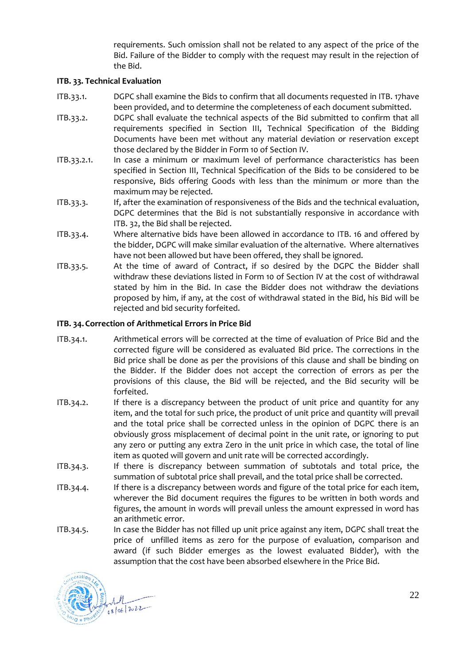requirements. Such omission shall not be related to any aspect of the price of the Bid. Failure of the Bidder to comply with the request may result in the rejection of the Bid.

#### <span id="page-21-0"></span>**ITB. 33. Technical Evaluation**

- ITB.33.1. DGPC shall examine the Bids to confirm that all documents requested i[n ITB. 17h](#page-12-0)ave been provided, and to determine the completeness of each document submitted.
- ITB.33.2. DGPC shall evaluate the technical aspects of the Bid submitted to confirm that all requirements specified in Section III, Technical Specification of the Bidding Documents have been met without any material deviation or reservation except those declared by the Bidder in Form 10 of Section IV.
- ITB.33.2.1. In case a minimum or maximum level of performance characteristics has been specified in Section III, Technical Specification of the Bids to be considered to be responsive, Bids offering Goods with less than the minimum or more than the maximum may be rejected.
- ITB.33.3. If, after the examination of responsiveness of the Bids and the technical evaluation, DGPC determines that the Bid is not substantially responsive in accordance with [ITB. 32,](#page-20-1) the Bid shall be rejected.
- ITB.33.4. Where alternative bids have been allowed in accordance to [ITB. 16](#page-11-4) and offered by the bidder, DGPC will make similar evaluation of the alternative. Where alternatives have not been allowed but have been offered, they shall be ignored.
- ITB.33.5. At the time of award of Contract, if so desired by the DGPC the Bidder shall withdraw these deviations listed in Form 10 of Section IV at the cost of withdrawal stated by him in the Bid. In case the Bidder does not withdraw the deviations proposed by him, if any, at the cost of withdrawal stated in the Bid, his Bid will be rejected and bid security forfeited.

#### <span id="page-21-1"></span>**ITB. 34. Correction of Arithmetical Errors in Price Bid**

- ITB.34.1. Arithmetical errors will be corrected at the time of evaluation of Price Bid and the corrected figure will be considered as evaluated Bid price. The corrections in the Bid price shall be done as per the provisions of this clause and shall be binding on the Bidder. If the Bidder does not accept the correction of errors as per the provisions of this clause, the Bid will be rejected, and the Bid security will be forfeited.
- ITB.34.2. If there is a discrepancy between the product of unit price and quantity for any item, and the total for such price, the product of unit price and quantity will prevail and the total price shall be corrected unless in the opinion of DGPC there is an obviously gross misplacement of decimal point in the unit rate, or ignoring to put any zero or putting any extra Zero in the unit price in which case, the total of line item as quoted will govern and unit rate will be corrected accordingly.
- ITB.34.3. If there is discrepancy between summation of subtotals and total price, the summation of subtotal price shall prevail, and the total price shall be corrected.
- ITB.34.4. If there is a discrepancy between words and figure of the total price for each item, wherever the Bid document requires the figures to be written in both words and figures, the amount in words will prevail unless the amount expressed in word has an arithmetic error.
- ITB.34.5. In case the Bidder has not filled up unit price against any item, DGPC shall treat the price of unfilled items as zero for the purpose of evaluation, comparison and award (if such Bidder emerges as the lowest evaluated Bidder), with the assumption that the cost have been absorbed elsewhere in the Price Bid.



22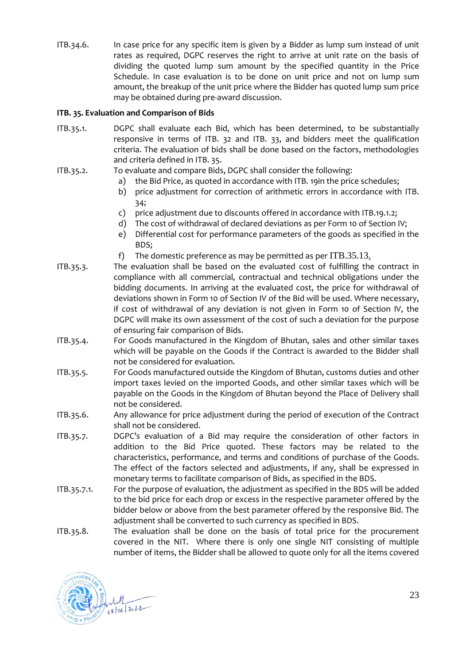ITB.34.6. In case price for any specific item is given by a Bidder as lump sum instead of unit rates as required, DGPC reserves the right to arrive at unit rate on the basis of dividing the quoted lump sum amount by the specified quantity in the Price Schedule. In case evaluation is to be done on unit price and not on lump sum amount, the breakup of the unit price where the Bidder has quoted lump sum price may be obtained during pre-award discussion.

#### <span id="page-22-0"></span>**ITB. 35. Evaluation and Comparison of Bids**

- ITB.35.1. DGPC shall evaluate each Bid, which has been determined, to be substantially responsive in terms of [ITB. 32](#page-20-1) and [ITB. 33,](#page-21-0) and bidders meet the qualification criteria. The evaluation of bids shall be done based on the factors, methodologies and criteria defined i[n ITB. 35.](#page-22-0)
- <span id="page-22-1"></span>ITB.35.2. To evaluate and compare Bids, DGPC shall consider the following:
	- a) the Bid Price, as quoted in accordance with [ITB. 19i](#page-13-1)n the price schedules;
	- b) price adjustment for correction of arithmetic errors in accordance with [ITB.](#page-21-1)  [34;](#page-21-1)
	- c) price adjustment due to discounts offered in accordance with [ITB.19.1.2;](#page-14-1)
	- d) The cost of withdrawal of declared deviations as per Form 10 of Section IV;
	- e) Differential cost for performance parameters of the goods as specified in the BDS;
	- f) The domestic preference as may be permitted as per [ITB.35.13](#page-23-0).
- <span id="page-22-2"></span>ITB.35.3. The evaluation shall be based on the evaluated cost of fulfilling the contract in compliance with all commercial, contractual and technical obligations under the bidding documents. In arriving at the evaluated cost, the price for withdrawal of deviations shown in Form 10 of Section IV of the Bid will be used. Where necessary, if cost of withdrawal of any deviation is not given in Form 10 of Section IV, the DGPC will make its own assessment of the cost of such a deviation for the purpose of ensuring fair comparison of Bids.
- ITB.35.4. For Goods manufactured in the Kingdom of Bhutan, sales and other similar taxes which will be payable on the Goods if the Contract is awarded to the Bidder shall not be considered for evaluation.
- ITB.35.5. For Goods manufactured outside the Kingdom of Bhutan, customs duties and other import taxes levied on the imported Goods, and other similar taxes which will be payable on the Goods in the Kingdom of Bhutan beyond the Place of Delivery shall not be considered.
- ITB.35.6. Any allowance for price adjustment during the period of execution of the Contract shall not be considered.
- <span id="page-22-3"></span>ITB.35.7. DGPC's evaluation of a Bid may require the consideration of other factors in addition to the Bid Price quoted. These factors may be related to the characteristics, performance, and terms and conditions of purchase of the Goods. The effect of the factors selected and adjustments, if any, shall be expressed in monetary terms to facilitate comparison of Bids, as specified in the BDS.
- ITB.35.7.1. For the purpose of evaluation, the adjustment as specified in the BDS will be added to the bid price for each drop or excess in the respective parameter offered by the bidder below or above from the best parameter offered by the responsive Bid. The adjustment shall be converted to such currency as specified in BDS.
- <span id="page-22-4"></span>ITB.35.8. The evaluation shall be done on the basis of total price for the procurement covered in the NIT. Where there is only one single NIT consisting of multiple number of items, the Bidder shall be allowed to quote only for all the items covered

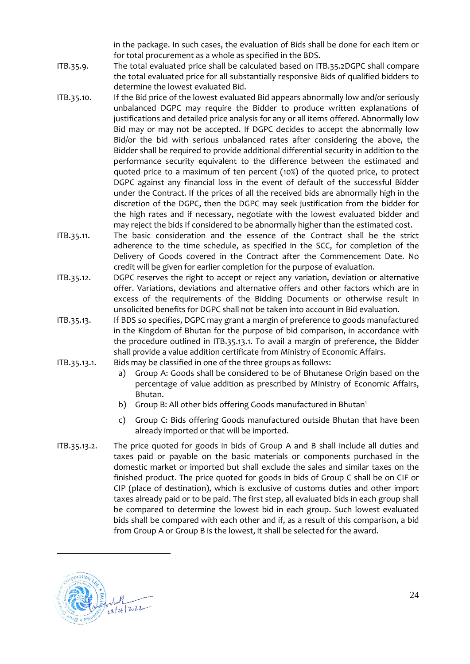in the package. In such cases, the evaluation of Bids shall be done for each item or for total procurement as a whole as specified in the BDS.

- ITB.35.9. The total evaluated price shall be calculated based on [ITB.35.2D](#page-22-1)GPC shall compare the total evaluated price for all substantially responsive Bids of qualified bidders to determine the lowest evaluated Bid.
- ITB.35.10. If the Bid price of the lowest evaluated Bid appears abnormally low and/or seriously unbalanced DGPC may require the Bidder to produce written explanations of justifications and detailed price analysis for any or all items offered. Abnormally low Bid may or may not be accepted. If DGPC decides to accept the abnormally low Bid/or the bid with serious unbalanced rates after considering the above, the Bidder shall be required to provide additional differential security in addition to the performance security equivalent to the difference between the estimated and quoted price to a maximum of ten percent (10%) of the quoted price, to protect DGPC against any financial loss in the event of default of the successful Bidder under the Contract. If the prices of all the received bids are abnormally high in the discretion of the DGPC, then the DGPC may seek justification from the bidder for the high rates and if necessary, negotiate with the lowest evaluated bidder and may reject the bids if considered to be abnormally higher than the estimated cost.
- ITB.35.11. The basic consideration and the essence of the Contract shall be the strict adherence to the time schedule, as specified in the SCC, for completion of the Delivery of Goods covered in the Contract after the Commencement Date. No credit will be given for earlier completion for the purpose of evaluation.
- ITB.35.12. DGPC reserves the right to accept or reject any variation, deviation or alternative offer. Variations, deviations and alternative offers and other factors which are in excess of the requirements of the Bidding Documents or otherwise result in unsolicited benefits for DGPC shall not be taken into account in Bid evaluation.
- <span id="page-23-0"></span>ITB.35.13. If BDS so specifies, DGPC may grant a margin of preference to goods manufactured in the Kingdom of Bhutan for the purpose of bid comparison, in accordance with the procedure outlined in [ITB.35.13.1.](#page-23-1) To avail a margin of preference, the Bidder shall provide a value addition certificate from Ministry of Economic Affairs.
- <span id="page-23-1"></span>ITB.35.13.1. Bids may be classified in one of the three groups as follows:
	- a) Group A: Goods shall be considered to be of Bhutanese Origin based on the percentage of value addition as prescribed by Ministry of Economic Affairs, Bhutan.
	- b) Group B: All other bids offering Goods manufactured in Bhutan<sup>1</sup>
	- c) Group C: Bids offering Goods manufactured outside Bhutan that have been already imported or that will be imported.
- ITB.35.13.2. The price quoted for goods in bids of Group A and B shall include all duties and taxes paid or payable on the basic materials or components purchased in the domestic market or imported but shall exclude the sales and similar taxes on the finished product. The price quoted for goods in bids of Group C shall be on CIF or CIP (place of destination), which is exclusive of customs duties and other import taxes already paid or to be paid. The first step, all evaluated bids in each group shall be compared to determine the lowest bid in each group. Such lowest evaluated bids shall be compared with each other and if, as a result of this comparison, a bid from Group A or Group B is the lowest, it shall be selected for the award.

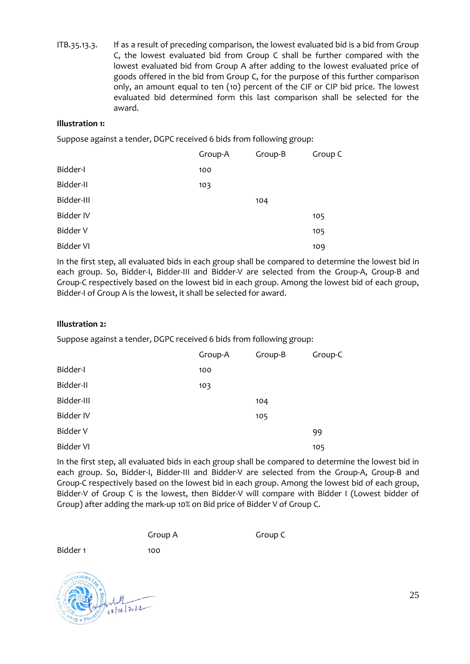ITB.35.13.3. If as a result of preceding comparison, the lowest evaluated bid is a bid from Group C, the lowest evaluated bid from Group C shall be further compared with the lowest evaluated bid from Group A after adding to the lowest evaluated price of goods offered in the bid from Group C, for the purpose of this further comparison only, an amount equal to ten (10) percent of the CIF or CIP bid price. The lowest evaluated bid determined form this last comparison shall be selected for the award.

#### **Illustration 1:**

Suppose against a tender, DGPC received 6 bids from following group:

|                  | Group-A | Group-B | Group C |
|------------------|---------|---------|---------|
| Bidder-I         | 100     |         |         |
| Bidder-II        | 103     |         |         |
| Bidder-III       |         | 104     |         |
| Bidder IV        |         |         | 105     |
| Bidder V         |         |         | 105     |
| <b>Bidder VI</b> |         |         | 109     |

In the first step, all evaluated bids in each group shall be compared to determine the lowest bid in each group. So, Bidder-I, Bidder-III and Bidder-V are selected from the Group-A, Group-B and Group-C respectively based on the lowest bid in each group. Among the lowest bid of each group, Bidder-I of Group A is the lowest, it shall be selected for award.

#### **Illustration 2:**

Suppose against a tender, DGPC received 6 bids from following group:

|                  | Group-A | Group-B | Group-C |
|------------------|---------|---------|---------|
| Bidder-I         | 100     |         |         |
| Bidder-II        | 103     |         |         |
| Bidder-III       |         | 104     |         |
| <b>Bidder IV</b> |         | 105     |         |
| Bidder V         |         |         | 99      |
| <b>Bidder VI</b> |         |         | 105     |

In the first step, all evaluated bids in each group shall be compared to determine the lowest bid in each group. So, Bidder-I, Bidder-III and Bidder-V are selected from the Group-A, Group-B and Group-C respectively based on the lowest bid in each group. Among the lowest bid of each group, Bidder-V of Group C is the lowest, then Bidder-V will compare with Bidder I (Lowest bidder of Group) after adding the mark-up 10% on Bid price of Bidder V of Group C.

Group A Group C

Bidder 1 100



25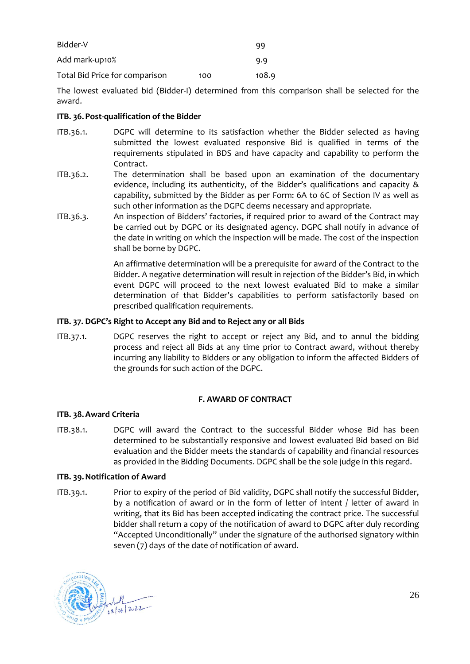| Bidder-V                       |     | gg    |
|--------------------------------|-----|-------|
| Add mark-up10%                 |     | 9.9   |
| Total Bid Price for comparison | 100 | 108.9 |

The lowest evaluated bid (Bidder-I) determined from this comparison shall be selected for the award.

#### <span id="page-25-0"></span>**ITB. 36. Post-qualification of the Bidder**

- <span id="page-25-6"></span>ITB.36.1. DGPC will determine to its satisfaction whether the Bidder selected as having submitted the lowest evaluated responsive Bid is qualified in terms of the requirements stipulated in BDS and have capacity and capability to perform the Contract.
- ITB.36.2. The determination shall be based upon an examination of the documentary evidence, including its authenticity, of the Bidder's qualifications and capacity & capability, submitted by the Bidder as per Form: 6A to 6C of Section IV as well as such other information as the DGPC deems necessary and appropriate.
- ITB.36.3. An inspection of Bidders' factories, if required prior to award of the Contract may be carried out by DGPC or its designated agency. DGPC shall notify in advance of the date in writing on which the inspection will be made. The cost of the inspection shall be borne by DGPC.

An affirmative determination will be a prerequisite for award of the Contract to the Bidder. A negative determination will result in rejection of the Bidder's Bid, in which event DGPC will proceed to the next lowest evaluated Bid to make a similar determination of that Bidder's capabilities to perform satisfactorily based on prescribed qualification requirements.

#### <span id="page-25-1"></span>**ITB. 37. DGPC's Right to Accept any Bid and to Reject any or all Bids**

ITB.37.1. DGPC reserves the right to accept or reject any Bid, and to annul the bidding process and reject all Bids at any time prior to Contract award, without thereby incurring any liability to Bidders or any obligation to inform the affected Bidders of the grounds for such action of the DGPC.

#### <span id="page-25-5"></span>**F. AWARD OF CONTRACT**

#### <span id="page-25-3"></span><span id="page-25-2"></span>**ITB. 38.Award Criteria**

ITB.38.1. DGPC will award the Contract to the successful Bidder whose Bid has been determined to be substantially responsive and lowest evaluated Bid based on Bid evaluation and the Bidder meets the standards of capability and financial resources as provided in the Bidding Documents. DGPC shall be the sole judge in this regard.

#### <span id="page-25-4"></span>**ITB. 39.Notification of Award**

ITB.39.1. Prior to expiry of the period of Bid validity, DGPC shall notify the successful Bidder, by a notification of award or in the form of letter of intent / letter of award in writing, that its Bid has been accepted indicating the contract price. The successful bidder shall return a copy of the notification of award to DGPC after duly recording "Accepted Unconditionally" under the signature of the authorised signatory within seven (7) days of the date of notification of award.

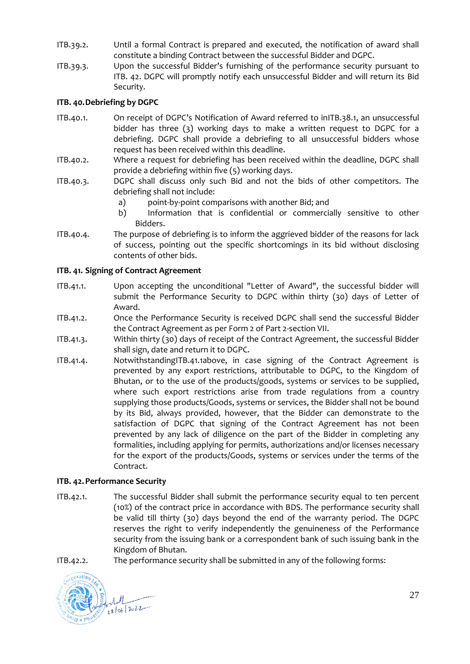- ITB.39.2. Until a formal Contract is prepared and executed, the notification of award shall constitute a binding Contract between the successful Bidder and DGPC.
- ITB.39.3. Upon the successful Bidder's furnishing of the performance security pursuant to [ITB. 42.](#page-26-2) DGPC will promptly notify each unsuccessful Bidder and will return its Bid Security.

#### <span id="page-26-0"></span>**ITB. 40.Debriefing by DGPC**

- ITB.40.1. On receipt of DGPC's Notification of Award referred to i[nITB.38.1,](#page-25-5) an unsuccessful bidder has three (3) working days to make a written request to DGPC for a debriefing. DGPC shall provide a debriefing to all unsuccessful bidders whose request has been received within this deadline.
- ITB.40.2. Where a request for debriefing has been received within the deadline, DGPC shall provide a debriefing within five (5) working days.
- ITB.40.3. DGPC shall discuss only such Bid and not the bids of other competitors. The debriefing shall not include:
	- a) point-by-point comparisons with another Bid; and
	- b) Information that is confidential or commercially sensitive to other Bidders.
- ITB.40.4. The purpose of debriefing is to inform the aggrieved bidder of the reasons for lack of success, pointing out the specific shortcomings in its bid without disclosing contents of other bids.

#### <span id="page-26-1"></span>**ITB. 41. Signing of Contract Agreement**

- <span id="page-26-3"></span>ITB.41.1. Upon accepting the unconditional "Letter of Award", the successful bidder will submit the Performance Security to DGPC within thirty (30) days of Letter of Award.
- ITB.41.2. Once the Performance Security is received DGPC shall send the successful Bidder the Contract Agreement as per Form 2 of Part 2-section VII.
- ITB.41.3. Within thirty (30) days of receipt of the Contract Agreement, the successful Bidder shall sign, date and return it to DGPC.
- ITB.41.4. Notwithstandin[gITB.41.1a](#page-26-3)bove, in case signing of the Contract Agreement is prevented by any export restrictions, attributable to DGPC, to the Kingdom of Bhutan, or to the use of the products/goods, systems or services to be supplied, where such export restrictions arise from trade regulations from a country supplying those products/Goods, systems or services, the Bidder shall not be bound by its Bid, always provided, however, that the Bidder can demonstrate to the satisfaction of DGPC that signing of the Contract Agreement has not been prevented by any lack of diligence on the part of the Bidder in completing any formalities, including applying for permits, authorizations and/or licenses necessary for the export of the products/Goods, systems or services under the terms of the Contract.

#### <span id="page-26-2"></span>**ITB. 42.Performance Security**

ITB.42.1. The successful Bidder shall submit the performance security equal to ten percent (10%) of the contract price in accordance with BDS. The performance security shall be valid till thirty (30) days beyond the end of the warranty period. The DGPC reserves the right to verify independently the genuineness of the Performance security from the issuing bank or a correspondent bank of such issuing bank in the Kingdom of Bhutan.

<span id="page-26-4"></span>ITB.42.2. The performance security shall be submitted in any of the following forms:



27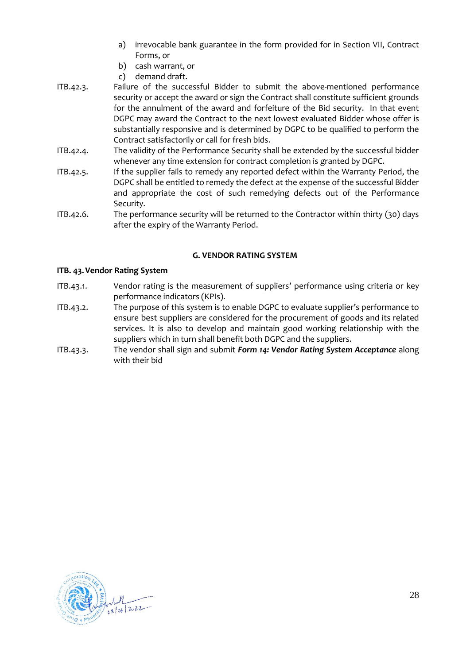- a) irrevocable bank guarantee in the form provided for in Section VII, Contract Forms, or
- b) cash warrant, or
- c) demand draft.
- ITB.42.3. Failure of the successful Bidder to submit the above-mentioned performance security or accept the award or sign the Contract shall constitute sufficient grounds for the annulment of the award and forfeiture of the Bid security. In that event DGPC may award the Contract to the next lowest evaluated Bidder whose offer is substantially responsive and is determined by DGPC to be qualified to perform the Contract satisfactorily or call for fresh bids.
- ITB.42.4. The validity of the Performance Security shall be extended by the successful bidder whenever any time extension for contract completion is granted by DGPC.
- ITB.42.5. If the supplier fails to remedy any reported defect within the Warranty Period, the DGPC shall be entitled to remedy the defect at the expense of the successful Bidder and appropriate the cost of such remedying defects out of the Performance Security.
- ITB.42.6. The performance security will be returned to the Contractor within thirty (30) days after the expiry of the Warranty Period.

#### **G. VENDOR RATING SYSTEM**

#### <span id="page-27-1"></span><span id="page-27-0"></span>**ITB. 43.Vendor Rating System**

- ITB.43.1. Vendor rating is the measurement of suppliers' performance using criteria or key performance indicators (KPIs).
- ITB.43.2. The purpose of this system is to enable DGPC to evaluate supplier's performance to ensure best suppliers are considered for the procurement of goods and its related services. It is also to develop and maintain good working relationship with the suppliers which in turn shall benefit both DGPC and the suppliers.
- ITB.43.3. The vendor shall sign and submit *[Form 14: Vendor Rating System Acceptance](#page-61-0)* along with their bid

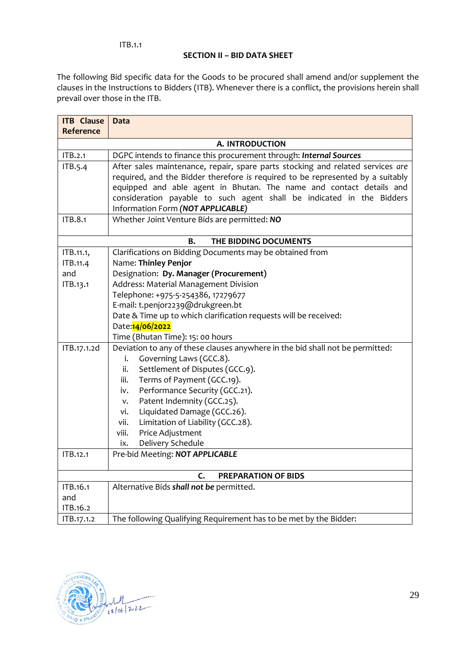#### **SECTION II – BID DATA SHEET**

The following Bid specific data for the Goods to be procured shall amend and/or supplement the clauses in the Instructions to Bidders (ITB). Whenever there is a conflict, the provisions herein shall prevail over those in the ITB.

| <b>ITB</b> Clause | <b>Data</b>                                                                                                                                                                                                                                                                                                                                           |
|-------------------|-------------------------------------------------------------------------------------------------------------------------------------------------------------------------------------------------------------------------------------------------------------------------------------------------------------------------------------------------------|
| Reference         |                                                                                                                                                                                                                                                                                                                                                       |
|                   | A. INTRODUCTION                                                                                                                                                                                                                                                                                                                                       |
| ITB.2.1           | DGPC intends to finance this procurement through: Internal Sources                                                                                                                                                                                                                                                                                    |
| ITB.5.4           | After sales maintenance, repair, spare parts stocking and related services are<br>required, and the Bidder therefore is required to be represented by a suitably<br>equipped and able agent in Bhutan. The name and contact details and<br>consideration payable to such agent shall be indicated in the Bidders<br>Information Form (NOT APPLICABLE) |
| ITB.8.1           | Whether Joint Venture Bids are permitted: NO                                                                                                                                                                                                                                                                                                          |
|                   | THE BIDDING DOCUMENTS<br>В.                                                                                                                                                                                                                                                                                                                           |
| ITB.11.1,         | Clarifications on Bidding Documents may be obtained from                                                                                                                                                                                                                                                                                              |
| ITB.11.4          | Name: Thinley Penjor                                                                                                                                                                                                                                                                                                                                  |
| and               | Designation: Dy. Manager (Procurement)                                                                                                                                                                                                                                                                                                                |
| ITB.13.1          | Address: Material Management Division                                                                                                                                                                                                                                                                                                                 |
|                   | Telephone: +975-5-254386, 17279677                                                                                                                                                                                                                                                                                                                    |
|                   | E-mail: t.penjor2239@drukgreen.bt                                                                                                                                                                                                                                                                                                                     |
|                   | Date & Time up to which clarification requests will be received:                                                                                                                                                                                                                                                                                      |
|                   | Date: 14/06/2022                                                                                                                                                                                                                                                                                                                                      |
|                   | Time (Bhutan Time): 15: 00 hours                                                                                                                                                                                                                                                                                                                      |
| ITB.17.1.2d       | Deviation to any of these clauses anywhere in the bid shall not be permitted:                                                                                                                                                                                                                                                                         |
|                   | Governing Laws (GCC.8).<br>i.                                                                                                                                                                                                                                                                                                                         |
|                   | Settlement of Disputes (GCC.9).<br>ii.                                                                                                                                                                                                                                                                                                                |
|                   | Terms of Payment (GCC.19).<br>iii.                                                                                                                                                                                                                                                                                                                    |
|                   | Performance Security (GCC.21).<br>iv.                                                                                                                                                                                                                                                                                                                 |
|                   | Patent Indemnity (GCC.25).<br>V.<br>Liquidated Damage (GCC.26).<br>vi.                                                                                                                                                                                                                                                                                |
|                   | Limitation of Liability (GCC.28).<br>vii.                                                                                                                                                                                                                                                                                                             |
|                   | viii.<br>Price Adjustment                                                                                                                                                                                                                                                                                                                             |
|                   | Delivery Schedule<br>ix.                                                                                                                                                                                                                                                                                                                              |
| ITB.12.1          | Pre-bid Meeting: NOT APPLICABLE                                                                                                                                                                                                                                                                                                                       |
|                   |                                                                                                                                                                                                                                                                                                                                                       |
|                   | PREPARATION OF BIDS<br>C.                                                                                                                                                                                                                                                                                                                             |
| ITB.16.1          | Alternative Bids shall not be permitted.                                                                                                                                                                                                                                                                                                              |
| and               |                                                                                                                                                                                                                                                                                                                                                       |
| ITB.16.2          |                                                                                                                                                                                                                                                                                                                                                       |
| ITB.17.1.2        | The following Qualifying Requirement has to be met by the Bidder:                                                                                                                                                                                                                                                                                     |

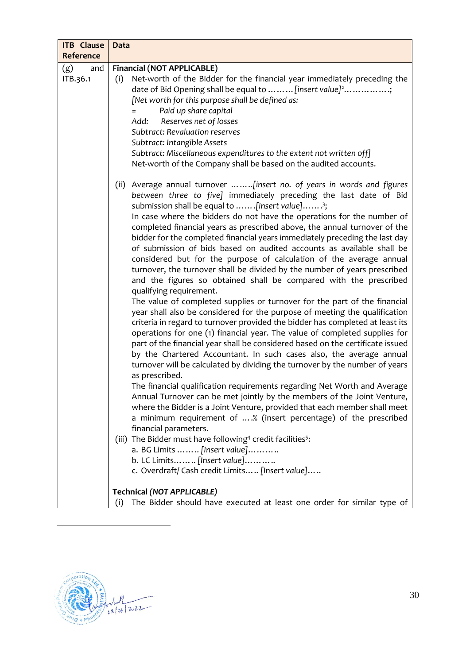| <b>ITB</b> Clause      | <b>Data</b>                                                                                                                                                                                                                                                                                                                                                                                                                                                                                                                                                                                                                                                                                                                                                                                                                                                                                                                                                                                                                                                                                                                                                                                                                                                                                                                                                                                                                                                                                                                                                                                                                                                                                                                                                                                                                                                                                                                                       |
|------------------------|---------------------------------------------------------------------------------------------------------------------------------------------------------------------------------------------------------------------------------------------------------------------------------------------------------------------------------------------------------------------------------------------------------------------------------------------------------------------------------------------------------------------------------------------------------------------------------------------------------------------------------------------------------------------------------------------------------------------------------------------------------------------------------------------------------------------------------------------------------------------------------------------------------------------------------------------------------------------------------------------------------------------------------------------------------------------------------------------------------------------------------------------------------------------------------------------------------------------------------------------------------------------------------------------------------------------------------------------------------------------------------------------------------------------------------------------------------------------------------------------------------------------------------------------------------------------------------------------------------------------------------------------------------------------------------------------------------------------------------------------------------------------------------------------------------------------------------------------------------------------------------------------------------------------------------------------------|
| Reference              |                                                                                                                                                                                                                                                                                                                                                                                                                                                                                                                                                                                                                                                                                                                                                                                                                                                                                                                                                                                                                                                                                                                                                                                                                                                                                                                                                                                                                                                                                                                                                                                                                                                                                                                                                                                                                                                                                                                                                   |
| (g)<br>and<br>ITB.36.1 | <b>Financial (NOT APPLICABLE)</b><br>Net-worth of the Bidder for the financial year immediately preceding the<br>(i)<br>date of Bid Opening shall be equal to  [insert value] <sup>2</sup> ;<br>[Net worth for this purpose shall be defined as:<br>Paid up share capital<br>$=$<br>Reserves net of losses<br>Add:<br>Subtract: Revaluation reserves<br>Subtract: Intangible Assets<br>Subtract: Miscellaneous expenditures to the extent not written off]<br>Net-worth of the Company shall be based on the audited accounts.                                                                                                                                                                                                                                                                                                                                                                                                                                                                                                                                                                                                                                                                                                                                                                                                                                                                                                                                                                                                                                                                                                                                                                                                                                                                                                                                                                                                                    |
|                        | (ii) Average annual turnover [insert no. of years in words and figures<br>between three to five] immediately preceding the last date of Bid<br>submission shall be equal to [insert value] <sup>3</sup> ;<br>In case where the bidders do not have the operations for the number of<br>completed financial years as prescribed above, the annual turnover of the<br>bidder for the completed financial years immediately preceding the last day<br>of submission of bids based on audited accounts as available shall be<br>considered but for the purpose of calculation of the average annual<br>turnover, the turnover shall be divided by the number of years prescribed<br>and the figures so obtained shall be compared with the prescribed<br>qualifying requirement.<br>The value of completed supplies or turnover for the part of the financial<br>year shall also be considered for the purpose of meeting the qualification<br>criteria in regard to turnover provided the bidder has completed at least its<br>operations for one (1) financial year. The value of completed supplies for<br>part of the financial year shall be considered based on the certificate issued<br>by the Chartered Accountant. In such cases also, the average annual<br>turnover will be calculated by dividing the turnover by the number of years<br>as prescribed.<br>The financial qualification requirements regarding Net Worth and Average<br>Annual Turnover can be met jointly by the members of the Joint Venture,<br>where the Bidder is a Joint Venture, provided that each member shall meet<br>a minimum requirement of % (insert percentage) of the prescribed<br>financial parameters.<br>(iii) The Bidder must have following <sup>4</sup> credit facilities <sup>5</sup> :<br>a. BG Limits    [Insert value]<br>b. LC Limits [Insert value]<br>c. Overdraft/ Cash credit Limits  [Insert value]<br><b>Technical (NOT APPLICABLE)</b> |
|                        | The Bidder should have executed at least one order for similar type of<br>(i)                                                                                                                                                                                                                                                                                                                                                                                                                                                                                                                                                                                                                                                                                                                                                                                                                                                                                                                                                                                                                                                                                                                                                                                                                                                                                                                                                                                                                                                                                                                                                                                                                                                                                                                                                                                                                                                                     |
|                        |                                                                                                                                                                                                                                                                                                                                                                                                                                                                                                                                                                                                                                                                                                                                                                                                                                                                                                                                                                                                                                                                                                                                                                                                                                                                                                                                                                                                                                                                                                                                                                                                                                                                                                                                                                                                                                                                                                                                                   |

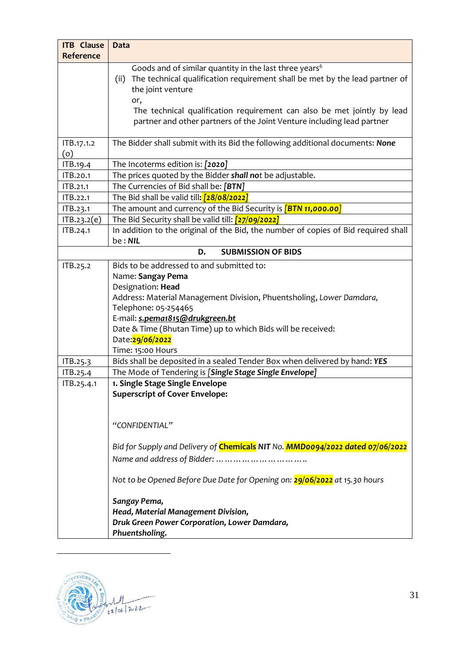| <b>ITB</b> Clause<br>Reference | <b>Data</b>                                                                                                                                                                                                                                                                                                                                |
|--------------------------------|--------------------------------------------------------------------------------------------------------------------------------------------------------------------------------------------------------------------------------------------------------------------------------------------------------------------------------------------|
|                                | Goods and of similar quantity in the last three years <sup>6</sup><br>The technical qualification requirement shall be met by the lead partner of<br>(ii)<br>the joint venture<br>or,<br>The technical qualification requirement can also be met jointly by lead<br>partner and other partners of the Joint Venture including lead partner |
| ITB.17.1.2<br>(o)              | The Bidder shall submit with its Bid the following additional documents: None                                                                                                                                                                                                                                                              |
| ITB.19.4                       | The Incoterms edition is: [2020]                                                                                                                                                                                                                                                                                                           |
| ITB.20.1                       | The prices quoted by the Bidder shall not be adjustable.                                                                                                                                                                                                                                                                                   |
| ITB.21.1                       | The Currencies of Bid shall be: [BTN]                                                                                                                                                                                                                                                                                                      |
| ITB.22.1                       | The Bid shall be valid till: [28/08/2022]                                                                                                                                                                                                                                                                                                  |
| ITB.23.1                       | The amount and currency of the Bid Security is $[BTN 11,000.00]$                                                                                                                                                                                                                                                                           |
|                                | The Bid Security shall be valid till: [27/09/2022]                                                                                                                                                                                                                                                                                         |
| ITB.23.2(e)                    |                                                                                                                                                                                                                                                                                                                                            |
| ITB.24.1                       | In addition to the original of the Bid, the number of copies of Bid required shall<br>be: NIL                                                                                                                                                                                                                                              |
|                                | <b>SUBMISSION OF BIDS</b><br>D.                                                                                                                                                                                                                                                                                                            |
| ITB.25.2                       | Bids to be addressed to and submitted to:                                                                                                                                                                                                                                                                                                  |
|                                | Name: Sangay Pema                                                                                                                                                                                                                                                                                                                          |
|                                | Designation: Head                                                                                                                                                                                                                                                                                                                          |
|                                | Address: Material Management Division, Phuentsholing, Lower Damdara,                                                                                                                                                                                                                                                                       |
|                                | Telephone: 05-254465                                                                                                                                                                                                                                                                                                                       |
|                                | E-mail: s.pema1815@drukgreen.bt                                                                                                                                                                                                                                                                                                            |
|                                | Date & Time (Bhutan Time) up to which Bids will be received:                                                                                                                                                                                                                                                                               |
|                                | Date: 29/06/2022                                                                                                                                                                                                                                                                                                                           |
|                                | Time: 15:00 Hours                                                                                                                                                                                                                                                                                                                          |
| ITB.25.3                       | Bids shall be deposited in a sealed Tender Box when delivered by hand: YES                                                                                                                                                                                                                                                                 |
| ITB.25.4                       | The Mode of Tendering is [Single Stage Single Envelope]                                                                                                                                                                                                                                                                                    |
| ITB.25.4.1                     | 1. Single Stage Single Envelope                                                                                                                                                                                                                                                                                                            |
|                                | <b>Superscript of Cover Envelope:</b>                                                                                                                                                                                                                                                                                                      |
|                                |                                                                                                                                                                                                                                                                                                                                            |
|                                | "CONFIDENTIAL"                                                                                                                                                                                                                                                                                                                             |
|                                | Bid for Supply and Delivery of Chemicals NIT No. MMD0094/2022 dated 07/06/2022                                                                                                                                                                                                                                                             |
|                                |                                                                                                                                                                                                                                                                                                                                            |
|                                |                                                                                                                                                                                                                                                                                                                                            |
|                                | Not to be Opened Before Due Date for Opening on: 29/06/2022 at 15.30 hours                                                                                                                                                                                                                                                                 |
|                                | Sangay Pema,                                                                                                                                                                                                                                                                                                                               |
|                                | Head, Material Management Division,                                                                                                                                                                                                                                                                                                        |
|                                | Druk Green Power Corporation, Lower Damdara,                                                                                                                                                                                                                                                                                               |
|                                | Phuentsholing.                                                                                                                                                                                                                                                                                                                             |

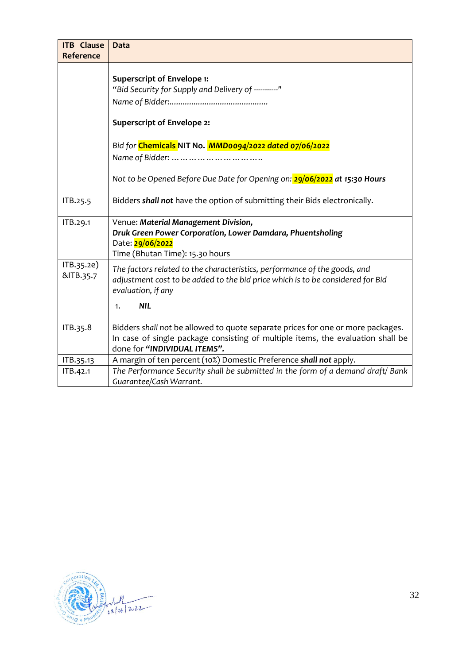| <b>ITB</b> Clause       | <b>Data</b>                                                                                                                                                                                           |
|-------------------------|-------------------------------------------------------------------------------------------------------------------------------------------------------------------------------------------------------|
| Reference               |                                                                                                                                                                                                       |
|                         | <b>Superscript of Envelope 1:</b><br>"Bid Security for Supply and Delivery of ----------"                                                                                                             |
|                         | <b>Superscript of Envelope 2:</b>                                                                                                                                                                     |
|                         | Bid for Chemicals NIT No. MMD0094/2022 dated 07/06/2022                                                                                                                                               |
|                         |                                                                                                                                                                                                       |
|                         | Not to be Opened Before Due Date for Opening on: 29/06/2022 at 15:30 Hours                                                                                                                            |
| ITB.25.5                | Bidders shall not have the option of submitting their Bids electronically.                                                                                                                            |
| ITB.29.1                | Venue: Material Management Division,<br>Druk Green Power Corporation, Lower Damdara, Phuentsholing<br>Date: 29/06/2022<br>Time (Bhutan Time): 15.30 hours                                             |
| ITB.35.2e)<br>&ITB.35.7 | The factors related to the characteristics, performance of the goods, and<br>adjustment cost to be added to the bid price which is to be considered for Bid<br>evaluation, if any<br><b>NIL</b><br>1. |
| ITB.35.8                | Bidders shall not be allowed to quote separate prices for one or more packages.<br>In case of single package consisting of multiple items, the evaluation shall be<br>done for "INDIVIDUAL ITEMS".    |
| ITB.35.13               | A margin of ten percent (10%) Domestic Preference shall not apply.                                                                                                                                    |
| ITB.42.1                | The Performance Security shall be submitted in the form of a demand draft/ Bank<br>Guarantee/Cash Warrant.                                                                                            |

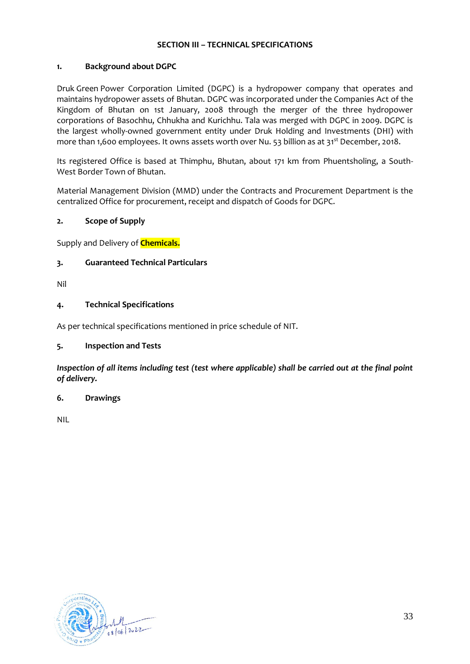#### **SECTION III – TECHNICAL SPECIFICATIONS**

#### <span id="page-32-0"></span>**1. Background about DGPC**

Druk Green Power Corporation Limited (DGPC) is a hydropower company that operates and maintains hydropower assets of Bhutan. DGPC was incorporated under the Companies Act of the Kingdom of Bhutan on 1st January, 2008 through the merger of the three hydropower corporations of Basochhu, Chhukha and Kurichhu. Tala was merged with DGPC in 2009. DGPC is the largest wholly-owned government entity under Druk Holding and Investments (DHI) with more than 1,600 employees. It owns assets worth over Nu. 53 billion as at 31<sup>st</sup> December, 2018.

Its registered Office is based at Thimphu, Bhutan, about 171 km from Phuentsholing, a South-West Border Town of Bhutan.

Material Management Division (MMD) under the Contracts and Procurement Department is the centralized Office for procurement, receipt and dispatch of Goods for DGPC.

#### <span id="page-32-1"></span>**2. Scope of Supply**

Supply and Delivery of **Chemicals.**

#### <span id="page-32-2"></span>**3. Guaranteed Technical Particulars**

Nil

#### <span id="page-32-3"></span>**4. Technical Specifications**

As per technical specifications mentioned in price schedule of NIT.

#### <span id="page-32-4"></span>**5. Inspection and Tests**

*Inspection of all items including test (test where applicable) shall be carried out at the final point of delivery.*

#### <span id="page-32-5"></span>**6. Drawings**

NIL

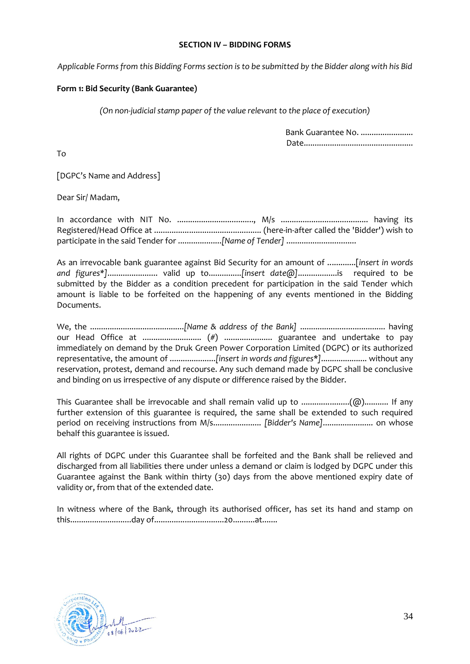#### **SECTION IV – BIDDING FORMS**

*Applicable Forms from this Bidding Forms section is to be submitted by the Bidder along with his Bid*

#### <span id="page-33-0"></span>**Form 1: Bid Security (Bank Guarantee)**

*(On non-judicial stamp paper of the value relevant to the place of execution)*

Bank Guarantee No. ........................ Date..................................................

To

[DGPC's Name and Address]

Dear Sir/ Madam,

In accordance with NIT No. ..................................., M/s ........................................ having its Registered/Head Office at ................................................. (here-in-after called the 'Bidder') wish to participate in the said Tender for ....................*[Name of Tender]* ................................

As an irrevocable bank guarantee against Bid Security for an amount of .............[*insert in words and figures\*]*....................... valid up to...............*[insert date@]*..................is required to be submitted by the Bidder as a condition precedent for participation in the said Tender which amount is liable to be forfeited on the happening of any events mentioned in the Bidding Documents.

We, the ...........................................*[Name & address of the Bank]* ....................................... having our Head Office at ........................... (#) ...................... guarantee and undertake to pay immediately on demand by the Druk Green Power Corporation Limited (DGPC) or its authorized representative, the amount of .....................*[insert in words and figures*\**]*..................... without any reservation, protest, demand and recourse. Any such demand made by DGPC shall be conclusive and binding on us irrespective of any dispute or difference raised by the Bidder.

This Guarantee shall be irrevocable and shall remain valid up to ......................(@)........... If any further extension of this guarantee is required, the same shall be extended to such required period on receiving instructions from M/s...................... *[Bidder's Name]*....................... on whose behalf this guarantee is issued.

All rights of DGPC under this Guarantee shall be forfeited and the Bank shall be relieved and discharged from all liabilities there under unless a demand or claim is lodged by DGPC under this Guarantee against the Bank within thirty (30) days from the above mentioned expiry date of validity or, from that of the extended date.

In witness where of the Bank, through its authorised officer, has set its hand and stamp on this............................day of................................20..........at.......

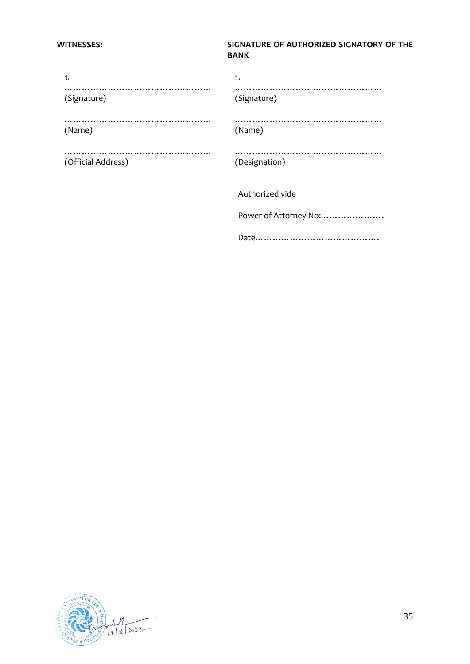### **WITNESSES: SIGNATURE OF AUTHORIZED SIGNATORY OF THE BANK**

| 1.                 | 1.                    |
|--------------------|-----------------------|
| (Signature)        | (Signature)           |
| (Name)             | (Name)                |
| (Official Address) | (Designation)         |
|                    | Authorized vide       |
|                    | Power of Attorney No: |
|                    |                       |

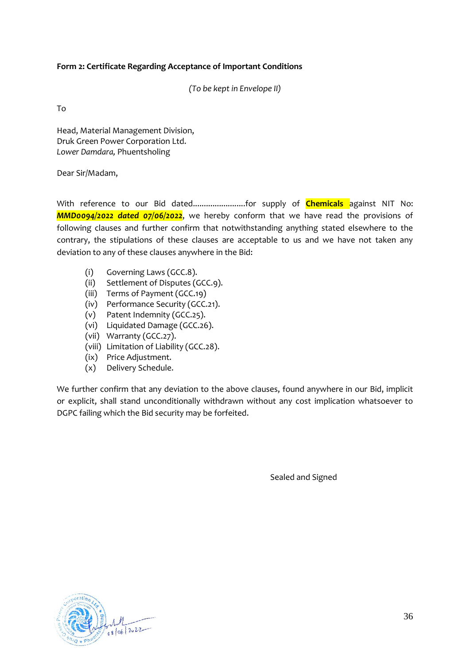#### <span id="page-35-0"></span>**Form 2: Certificate Regarding Acceptance of Important Conditions**

*(To be kept in Envelope II)*

To

Head, Material Management Division, Druk Green Power Corporation Ltd. *Lower Damdara,* Phuentsholing

Dear Sir/Madam,

With reference to our Bid dated........................for supply of **Chemicals** against NIT No: *MMD0094/2022 dated 07/06/2022*, we hereby conform that we have read the provisions of following clauses and further confirm that notwithstanding anything stated elsewhere to the contrary, the stipulations of these clauses are acceptable to us and we have not taken any deviation to any of these clauses anywhere in the Bid:

- (i) Governing Laws [\(GCC.8\)](#page-66-3).
- (ii) Settlement of Disputes [\(GCC.9\)](#page-66-4).
- (iii) Terms of Payment (GCC.19)
- (iv) Performance Security [\(GCC.21\)](#page-72-0).
- (v) Patent Indemnity [\(GCC.25\)](#page-73-0).
- (vi) Liquidated Damage (GCC.26).
- (vii) Warranty [\(GCC.27\)](#page-74-2).
- (viii) Limitation of Liability [\(GCC.28\)](#page-75-0).
- (ix) Price Adjustment.
- (x) Delivery Schedule.

We further confirm that any deviation to the above clauses, found anywhere in our Bid, implicit or explicit, shall stand unconditionally withdrawn without any cost implication whatsoever to DGPC failing which the Bid security may be forfeited.

Sealed and Signed

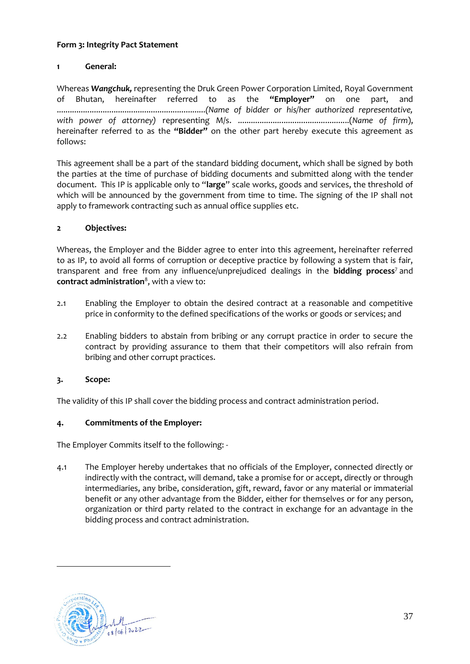# **Form 3: Integrity Pact Statement**

# **1 General:**

Whereas *Wangchuk,* representing the Druk Green Power Corporation Limited, Royal Government of Bhutan, hereinafter referred to as the **"Employer"** on one part, and ....................................................................*(Name of bidder or his/her authorized representative, with power of attorney)* representing M/s. ...................................................(*Name of firm*), hereinafter referred to as the **"Bidder"** on the other part hereby execute this agreement as follows:

This agreement shall be a part of the standard bidding document, which shall be signed by both the parties at the time of purchase of bidding documents and submitted along with the tender document. This IP is applicable only to "**large**" scale works, goods and services, the threshold of which will be announced by the government from time to time. The signing of the IP shall not apply to framework contracting such as annual office supplies etc.

# **2 Objectives:**

Whereas, the Employer and the Bidder agree to enter into this agreement, hereinafter referred to as IP, to avoid all forms of corruption or deceptive practice by following a system that is fair, transparent and free from any influence/unprejudiced dealings in the **bidding process**<sup>7</sup> and **contract administration**<sup>8</sup> , with a view to:

- 2.1 Enabling the Employer to obtain the desired contract at a reasonable and competitive price in conformity to the defined specifications of the works or goods or services; and
- 2.2 Enabling bidders to abstain from bribing or any corrupt practice in order to secure the contract by providing assurance to them that their competitors will also refrain from bribing and other corrupt practices.

# **3. Scope:**

The validity of this IP shall cover the bidding process and contract administration period.

## **4. Commitments of the Employer:**

The Employer Commits itself to the following: -

4.1 The Employer hereby undertakes that no officials of the Employer, connected directly or indirectly with the contract, will demand, take a promise for or accept, directly or through intermediaries, any bribe, consideration, gift, reward, favor or any material or immaterial benefit or any other advantage from the Bidder, either for themselves or for any person, organization or third party related to the contract in exchange for an advantage in the bidding process and contract administration.

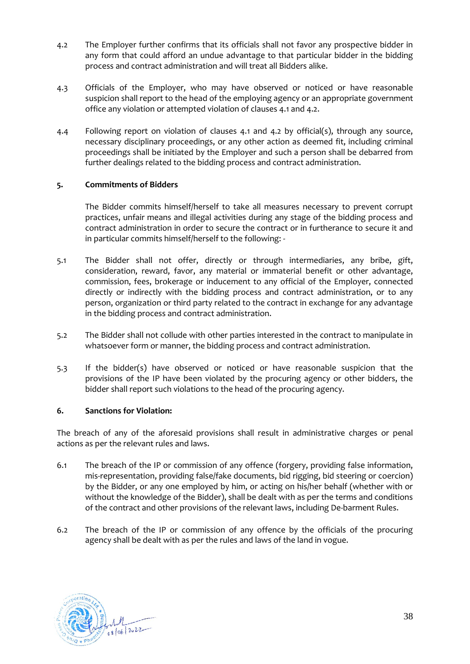- 4.2 The Employer further confirms that its officials shall not favor any prospective bidder in any form that could afford an undue advantage to that particular bidder in the bidding process and contract administration and will treat all Bidders alike.
- 4.3 Officials of the Employer, who may have observed or noticed or have reasonable suspicion shall report to the head of the employing agency or an appropriate government office any violation or attempted violation of clauses 4.1 and 4.2.
- 4.4 Following report on violation of clauses 4.1 and 4.2 by official(s), through any source, necessary disciplinary proceedings, or any other action as deemed fit, including criminal proceedings shall be initiated by the Employer and such a person shall be debarred from further dealings related to the bidding process and contract administration.

# **5. Commitments of Bidders**

The Bidder commits himself/herself to take all measures necessary to prevent corrupt practices, unfair means and illegal activities during any stage of the bidding process and contract administration in order to secure the contract or in furtherance to secure it and in particular commits himself/herself to the following: -

- 5.1 The Bidder shall not offer, directly or through intermediaries, any bribe, gift, consideration, reward, favor, any material or immaterial benefit or other advantage, commission, fees, brokerage or inducement to any official of the Employer, connected directly or indirectly with the bidding process and contract administration, or to any person, organization or third party related to the contract in exchange for any advantage in the bidding process and contract administration.
- 5.2 The Bidder shall not collude with other parties interested in the contract to manipulate in whatsoever form or manner, the bidding process and contract administration.
- 5.3 If the bidder(s) have observed or noticed or have reasonable suspicion that the provisions of the IP have been violated by the procuring agency or other bidders, the bidder shall report such violations to the head of the procuring agency.

## **6. Sanctions for Violation:**

The breach of any of the aforesaid provisions shall result in administrative charges or penal actions as per the relevant rules and laws.

- 6.1 The breach of the IP or commission of any offence (forgery, providing false information, mis-representation, providing false/fake documents, bid rigging, bid steering or coercion) by the Bidder, or any one employed by him, or acting on his/her behalf (whether with or without the knowledge of the Bidder), shall be dealt with as per the terms and conditions of the contract and other provisions of the relevant laws, including De-barment Rules.
- 6.2 The breach of the IP or commission of any offence by the officials of the procuring agency shall be dealt with as per the rules and laws of the land in vogue.

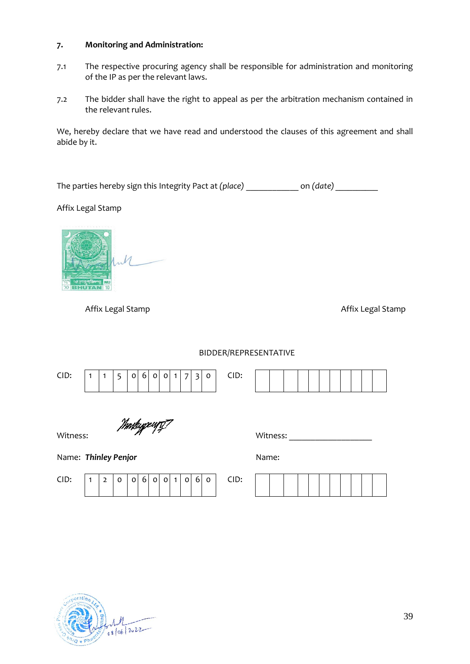## **7. Monitoring and Administration:**

- 7.1 The respective procuring agency shall be responsible for administration and monitoring of the IP as per the relevant laws.
- 7.2 The bidder shall have the right to appeal as per the arbitration mechanism contained in the relevant rules.

We, hereby declare that we have read and understood the clauses of this agreement and shall abide by it.

The parties hereby sign this Integrity Pact at *(place)* \_\_\_\_\_\_\_\_\_\_\_\_\_ on *(date)* \_\_\_\_\_\_\_\_\_

Affix Legal Stamp

Affix Legal Stamp **Affix** Legal Stamp

|                      | DIDDLIVINER IN DENTATIVE |                |   |                               |             |                           |                                           |              |      |          |  |  |  |  |  |  |
|----------------------|--------------------------|----------------|---|-------------------------------|-------------|---------------------------|-------------------------------------------|--------------|------|----------|--|--|--|--|--|--|
| CID:                 | $\mathbf{1}$             | 1              | 5 | 6<br>0                        | $\mathbf 0$ | $\mathbf 0$               | $\overline{7}$<br>$\overline{\mathbf{3}}$ | 0            | CID: |          |  |  |  |  |  |  |
| Witness:             |                          |                |   | <i>Immbygewy<del>g?</del></i> |             |                           |                                           |              |      | Witness: |  |  |  |  |  |  |
| Name: Thinley Penjor |                          |                |   |                               |             | Name:                     |                                           |              |      |          |  |  |  |  |  |  |
| CID:                 | $\mathbf{1}$             | $\overline{2}$ | 0 | $6 \overline{6}$<br>$\circ$   | $\circ$     | $\circ$<br>1 <sup>1</sup> | 6<br>$\circ$                              | $\mathbf{o}$ | CID: |          |  |  |  |  |  |  |



39

## BIDDER/REPRESENTATIVE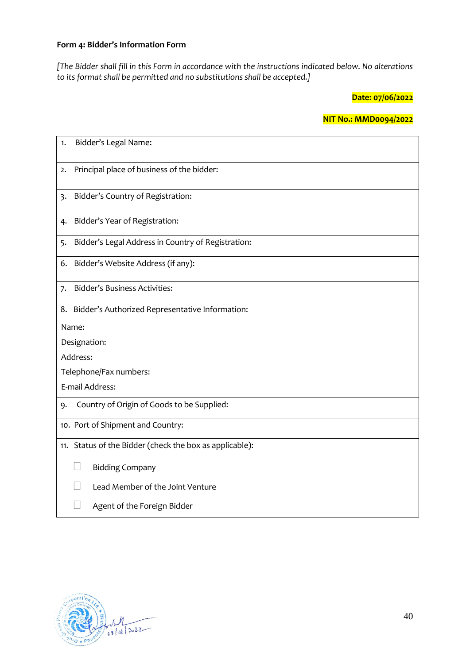## **Form 4: Bidder's Information Form**

*[The Bidder shall fill in this Form in accordance with the instructions indicated below. No alterations to its format shall be permitted and no substitutions shall be accepted.]*

**Date: 07/06/2022**

**NIT No.: MMD0094/2022**

| Bidder's Legal Name:<br>1.                               |
|----------------------------------------------------------|
| Principal place of business of the bidder:<br>2.         |
| Bidder's Country of Registration:<br>$\overline{3}$      |
| Bidder's Year of Registration:<br>4.                     |
| Bidder's Legal Address in Country of Registration:<br>5. |
| Bidder's Website Address (if any):<br>6.                 |
| <b>Bidder's Business Activities:</b><br>7.               |
| 8. Bidder's Authorized Representative Information:       |
| Name:                                                    |
| Designation:                                             |
| Address:                                                 |
| Telephone/Fax numbers:                                   |
| E-mail Address:                                          |
| Country of Origin of Goods to be Supplied:<br>9.         |
| 10. Port of Shipment and Country:                        |
| 11. Status of the Bidder (check the box as applicable):  |
| <b>Bidding Company</b>                                   |
| Lead Member of the Joint Venture                         |
| Agent of the Foreign Bidder                              |

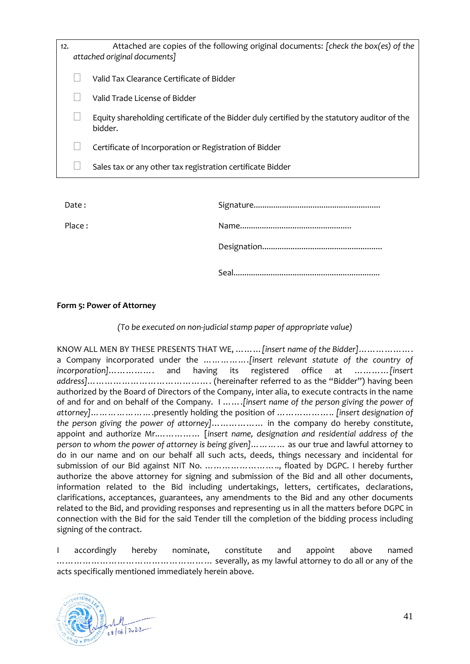| 12. | Attached are copies of the following original documents: [check the box(es) of the<br>attached original documents] |
|-----|--------------------------------------------------------------------------------------------------------------------|
|     | Valid Tax Clearance Certificate of Bidder                                                                          |
|     | Valid Trade License of Bidder                                                                                      |
|     | Equity shareholding certificate of the Bidder duly certified by the statutory auditor of the<br>bidder.            |
|     | Certificate of Incorporation or Registration of Bidder                                                             |
|     | Sales tax or any other tax registration certificate Bidder                                                         |
|     |                                                                                                                    |

| Date:  |  |
|--------|--|
| Place: |  |
|        |  |
|        |  |

## **Form 5: Power of Attorney**

*(To be executed on non-judicial stamp paper of appropriate value)*

KNOW ALL MEN BY THESE PRESENTS THAT WE, ………*[insert name of the Bidder]*………………. a Company incorporated under the *…………….[insert relevant statute of the country of incorporation]*……………. and having its registered office at …………*[insert address]*……………………………………. (hereinafter referred to as the "Bidder") having been authorized by the Board of Directors of the Company, inter alia, to execute contracts in the name of and for and on behalf of the Company. I …….*[insert name of the person giving the power of attorney]…………………*.presently holding the position of ……………….. *[insert designation of the person giving the power of attorney]*……………… in the company do hereby constitute, appoint and authorize Mr.…………… [*insert name, designation and residential address of the person to whom the power of attorney is being given]…………* as our true and lawful attorney to do in our name and on our behalf all such acts, deeds, things necessary and incidental for submission of our Bid against NIT No. …………………….., floated by DGPC. I hereby further authorize the above attorney for signing and submission of the Bid and all other documents, information related to the Bid including undertakings, letters, certificates, declarations, clarifications, acceptances, guarantees, any amendments to the Bid and any other documents related to the Bid, and providing responses and representing us in all the matters before DGPC in connection with the Bid for the said Tender till the completion of the bidding process including signing of the contract.

I accordingly hereby nominate, constitute and appoint above named ……………………………………………… severally, as my lawful attorney to do all or any of the acts specifically mentioned immediately herein above.

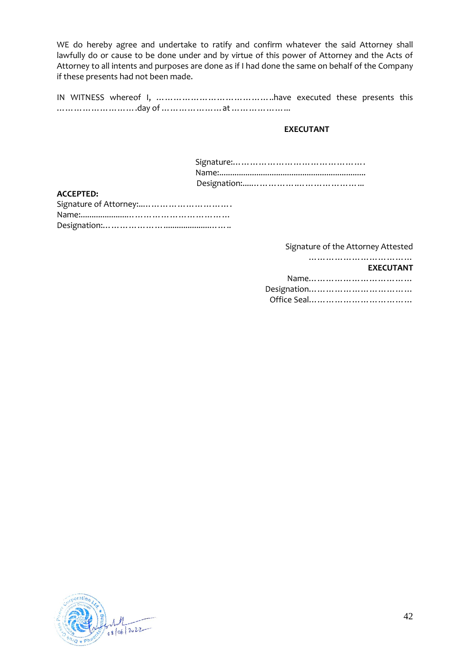WE do hereby agree and undertake to ratify and confirm whatever the said Attorney shall lawfully do or cause to be done under and by virtue of this power of Attorney and the Acts of Attorney to all intents and purposes are done as if I had done the same on behalf of the Company if these presents had not been made.

IN WITNESS whereof I, …………………………………..have executed these presents this ……………………….day of …………………at ………………...

### **EXECUTANT**

### **ACCEPTED:**

Signature of the Attorney Attested

#### ………………………………… **EXECUTANT**

| Designation |  |
|-------------|--|
|             |  |

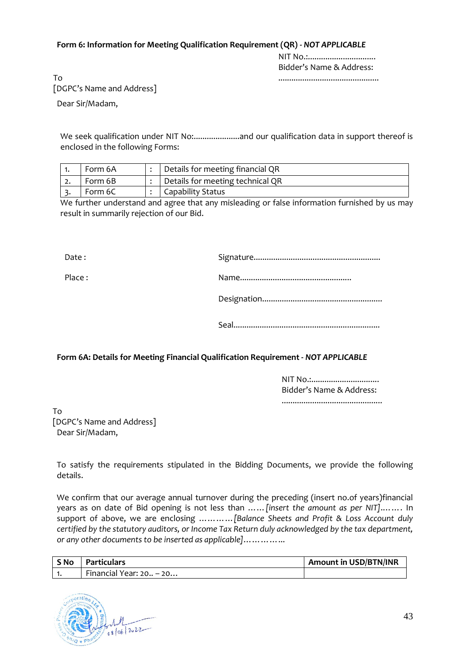### **Form 6: Information for Meeting Qualification Requirement (QR) -** *NOT APPLICABLE*

NIT No.:............................... Bidder's Name & Address:

..............................................

To [DGPC's Name and Address]

Dear Sir/Madam,

We seek qualification under NIT No:.....................and our qualification data in support thereof is enclosed in the following Forms:

|    | Form 6A | Details for meeting financial QR |
|----|---------|----------------------------------|
| ٠. | Form 6B | Details for meeting technical QR |
|    | Form 6C | Capability Status                |

We further understand and agree that any misleading or false information furnished by us may result in summarily rejection of our Bid.

Date : Signature..........................................................

Place : Name...................................................

Designation.......................................................

Seal...................................................................

# **Form 6A: Details for Meeting Financial Qualification Requirement -** *NOT APPLICABLE*

NIT No.:............................... Bidder's Name & Address: ..............................................

To [DGPC's Name and Address] Dear Sir/Madam,

To satisfy the requirements stipulated in the Bidding Documents, we provide the following details.

We confirm that our average annual turnover during the preceding (insert no.of years)financial years as on date of Bid opening is not less than ……*[insert the amount as per NIT]*.……. In support of above, we are enclosing …………*[Balance Sheets and Profit & Loss Account duly certified by the statutory auditors, or Income Tax Return duly acknowledged by the tax department, or any other documents to be inserted as applicable]*…………...

| S No Particulars          | Amount in USD/BTN/INR |
|---------------------------|-----------------------|
| Financial Year: $20 - 20$ |                       |

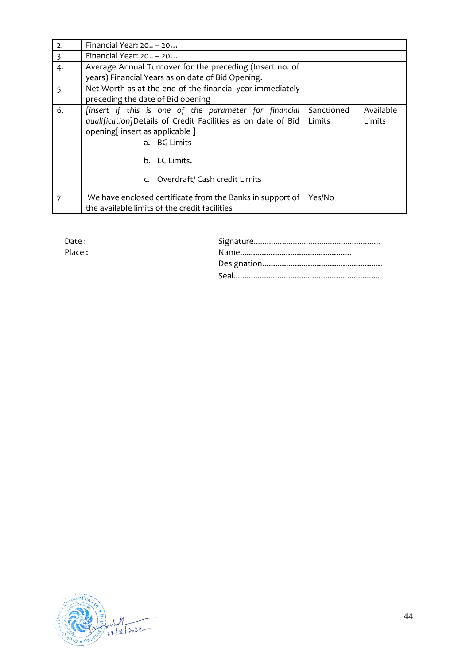| 2. | Financial Year: $20 - 20$                                                                                                                                              |                      |                     |  |  |  |  |
|----|------------------------------------------------------------------------------------------------------------------------------------------------------------------------|----------------------|---------------------|--|--|--|--|
| 3. | Financial Year: $20 - 20$                                                                                                                                              |                      |                     |  |  |  |  |
| 4. | Average Annual Turnover for the preceding (Insert no. of<br>years) Financial Years as on date of Bid Opening.                                                          |                      |                     |  |  |  |  |
| 5  | Net Worth as at the end of the financial year immediately<br>preceding the date of Bid opening                                                                         |                      |                     |  |  |  |  |
| 6. | [insert if this is one of the parameter for financial<br>qualification]Details of Credit Facilities as on date of Bid<br>opening[insert as applicable]<br>a. BG Limits | Sanctioned<br>Limits | Available<br>Limits |  |  |  |  |
|    | b. LC Limits.                                                                                                                                                          |                      |                     |  |  |  |  |
|    | c. Overdraft/Cash credit Limits                                                                                                                                        |                      |                     |  |  |  |  |
| 7  | We have enclosed certificate from the Banks in support of<br>the available limits of the credit facilities                                                             | Yes/No               |                     |  |  |  |  |

| Date:  |  |
|--------|--|
| Place: |  |
|        |  |
|        |  |

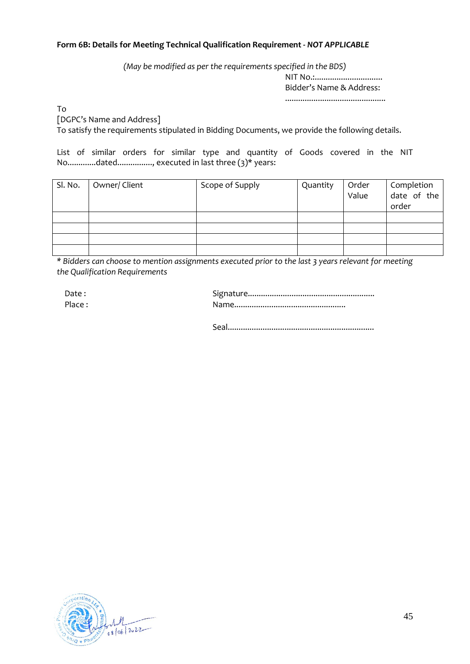## **Form 6B: Details for Meeting Technical Qualification Requirement -** *NOT APPLICABLE*

*(May be modified as per the requirements specified in the BDS)*

NIT No.:................................. Bidder's Name & Address:

..............................................

To

[DGPC's Name and Address]

To satisfy the requirements stipulated in Bidding Documents, we provide the following details.

List of similar orders for similar type and quantity of Goods covered in the NIT No.............dated................, executed in last three (3)\* years:

| Sl. No. | Owner/Client | Scope of Supply | Quantity | Order<br>Value | Completion<br>date of the<br>order |
|---------|--------------|-----------------|----------|----------------|------------------------------------|
|         |              |                 |          |                |                                    |
|         |              |                 |          |                |                                    |
|         |              |                 |          |                |                                    |
|         |              |                 |          |                |                                    |

*\* Bidders can choose to mention assignments executed prior to the last 3 years relevant for meeting the Qualification Requirements*

| Date : |  |
|--------|--|
| Place: |  |

Seal...................................................................

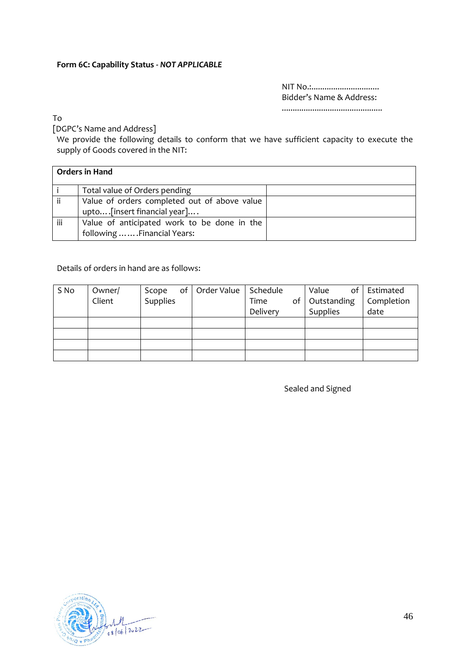## **Form 6C: Capability Status -** *NOT APPLICABLE*

NIT No.:............................... Bidder's Name & Address: ..............................................

To

[DGPC's Name and Address]

We provide the following details to conform that we have sufficient capacity to execute the supply of Goods covered in the NIT:

|     | <b>Orders in Hand</b>                        |  |
|-----|----------------------------------------------|--|
|     | Total value of Orders pending                |  |
| ii  | Value of orders completed out of above value |  |
|     | upto [insert financial year]                 |  |
| iii | Value of anticipated work to be done in the  |  |
|     | following  Financial Years:                  |  |

## Details of orders in hand are as follows:

| S No | Owner/ | Scope    | of   Order Value   Schedule |          | Value          | of   Estimated |
|------|--------|----------|-----------------------------|----------|----------------|----------------|
|      | Client | Supplies |                             | Time     | of Outstanding | Completion     |
|      |        |          |                             | Delivery | Supplies       | date           |
|      |        |          |                             |          |                |                |
|      |        |          |                             |          |                |                |
|      |        |          |                             |          |                |                |
|      |        |          |                             |          |                |                |

Sealed and Signed

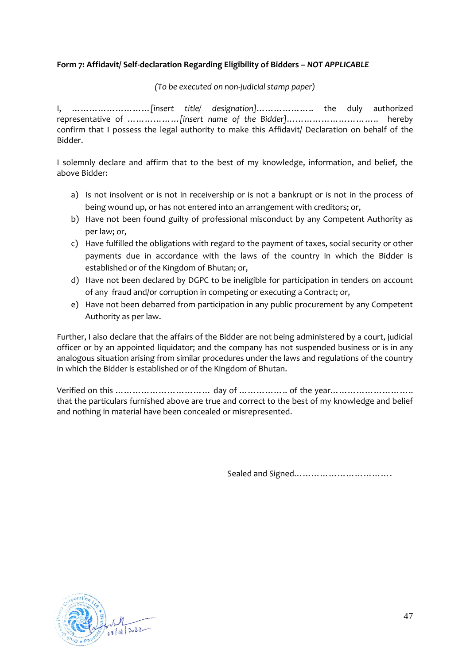# **Form 7: Affidavit/ Self-declaration Regarding Eligibility of Bidders –** *NOT APPLICABLE*

*(To be executed on non-judicial stamp paper)*

I, ………………………*[insert title/ designation]*……………….. the duly authorized representative of ………………*[insert name of the Bidder]*………………………….. hereby confirm that I possess the legal authority to make this Affidavit/ Declaration on behalf of the Bidder.

I solemnly declare and affirm that to the best of my knowledge, information, and belief, the above Bidder:

- a) Is not insolvent or is not in receivership or is not a bankrupt or is not in the process of being wound up, or has not entered into an arrangement with creditors; or,
- b) Have not been found guilty of professional misconduct by any Competent Authority as per law; or,
- c) Have fulfilled the obligations with regard to the payment of taxes, social security or other payments due in accordance with the laws of the country in which the Bidder is established or of the Kingdom of Bhutan; or,
- d) Have not been declared by DGPC to be ineligible for participation in tenders on account of any fraud and/or corruption in competing or executing a Contract; or,
- e) Have not been debarred from participation in any public procurement by any Competent Authority as per law.

Further, I also declare that the affairs of the Bidder are not being administered by a court, judicial officer or by an appointed liquidator; and the company has not suspended business or is in any analogous situation arising from similar procedures under the laws and regulations of the country in which the Bidder is established or of the Kingdom of Bhutan.

Verified on this …………………………… day of …………….. of the year……………………….. that the particulars furnished above are true and correct to the best of my knowledge and belief and nothing in material have been concealed or misrepresented.

Sealed and Signed…………………………….

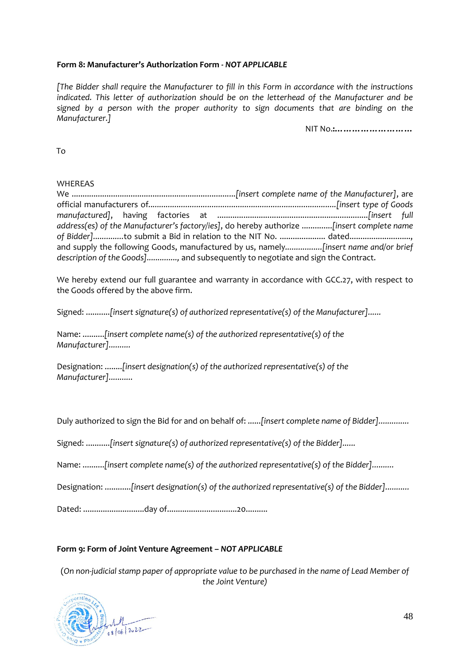# **Form 8: Manufacturer's Authorization Form** *- NOT APPLICABLE*

*[The Bidder shall require the Manufacturer to fill in this Form in accordance with the instructions indicated. This letter of authorization should be on the letterhead of the Manufacturer and be signed by a person with the proper authority to sign documents that are binding on the Manufacturer.]*

NIT No.**:………………………**

To

## WHEREAS

We ...........................................................................*[insert complete name of the Manufacturer]*, are official manufacturers of*......................................................................................[insert type of Goods manufactured]*, having factories at .....................................................................*[insert full address(es) of the Manufacturer's factory/ies]*, do hereby authorize ..............*[insert complete name*  of Bidder]..............to submit a Bid in relation to the NIT No. ..................... dated........................... and supply the following Goods, manufactured by us, namely*.................[insert name and/or brief description of the Goods]..............,* and subsequently to negotiate and sign the Contract.

We hereby extend our full guarantee and warranty in accordance with [GCC.27,](#page-74-0) with respect to the Goods offered by the above firm.

Signed: ...........*[insert signature(s) of authorized representative(s) of the Manufacturer]......*

Name: ..........*[insert complete name(s) of the authorized representative(s) of the Manufacturer]..........*

Designation: ........*[insert designation(s) of the authorized representative(s) of the Manufacturer]...........*

Duly authorized to sign the Bid for and on behalf of: ......*[insert complete name of Bidder]..............*

Signed: ...........*[insert signature(s) of authorized representative(s) of the Bidder]......*

Name: ..........*[insert complete name(s) of the authorized representative(s) of the Bidder]..........*

Designation: ............*[insert designation(s) of the authorized representative(s) of the Bidder]...........*

Dated: ............................day of................................20..........

## **Form 9: Form of Joint Venture Agreement –** *NOT APPLICABLE*

(*On non-judicial stamp paper of appropriate value to be purchased in the name of Lead Member of the Joint Venture)*

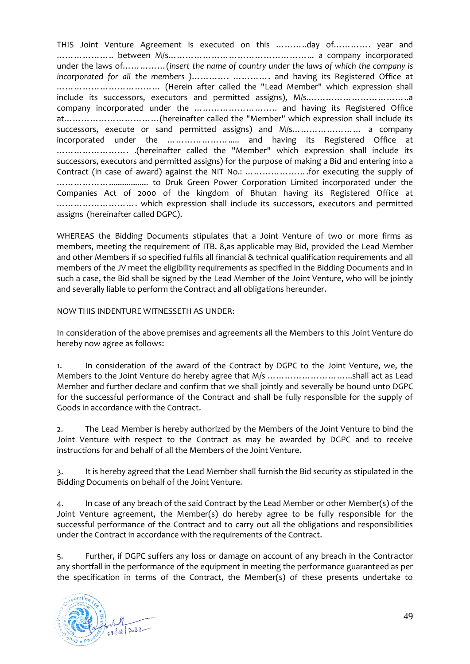THIS Joint Venture Agreement is executed on this ………..day of…………. year and ……………….. between M/s…………………………………………... a company incorporated under the laws of……………(*insert the name of country under the laws of which the company is incorporated for all the members )*…………. …………. and having its Registered Office at ……………………………… (Herein after called the "Lead Member" which expression shall include its successors, executors and permitted assigns), M/s.……………………………..a company incorporated under the ……………………….. and having its Registered Office at……………………………(hereinafter called the "Member" which expression shall include its successors, execute or sand permitted assigns) and M/s…………………… a company incorporated under the ........................... and having its Registered Office at ……………………. .(hereinafter called the "Member" which expression shall include its successors, executors and permitted assigns) for the purpose of making a Bid and entering into a Contract (in case of award) against the NIT No.: ………………….for executing the supply of ……………….................. to Druk Green Power Corporation Limited incorporated under the Companies Act of 2000 of the kingdom of Bhutan having its Registered Office at ………………………. which expression shall include its successors, executors and permitted assigns (hereinafter called DGPC).

WHEREAS the Bidding Documents stipulates that a Joint Venture of two or more firms as members, meeting the requirement of [ITB. 8,](#page-8-0)as applicable may Bid, provided the Lead Member and other Members if so specified fulfils all financial & technical qualification requirements and all members of the JV meet the eligibility requirements as specified in the Bidding Documents and in such a case, the Bid shall be signed by the Lead Member of the Joint Venture, who will be jointly and severally liable to perform the Contract and all obligations hereunder.

NOW THIS INDENTURE WITNESSETH AS UNDER:

In consideration of the above premises and agreements all the Members to this Joint Venture do hereby now agree as follows:

1. In consideration of the award of the Contract by DGPC to the Joint Venture, we, the Members to the Joint Venture do hereby agree that M/s ………………………...shall act as Lead Member and further declare and confirm that we shall jointly and severally be bound unto DGPC for the successful performance of the Contract and shall be fully responsible for the supply of Goods in accordance with the Contract.

2. The Lead Member is hereby authorized by the Members of the Joint Venture to bind the Joint Venture with respect to the Contract as may be awarded by DGPC and to receive instructions for and behalf of all the Members of the Joint Venture.

3. It is hereby agreed that the Lead Member shall furnish the Bid security as stipulated in the Bidding Documents on behalf of the Joint Venture.

4. In case of any breach of the said Contract by the Lead Member or other Member(s) of the Joint Venture agreement, the Member(s) do hereby agree to be fully responsible for the successful performance of the Contract and to carry out all the obligations and responsibilities under the Contract in accordance with the requirements of the Contract.

5. Further, if DGPC suffers any loss or damage on account of any breach in the Contractor any shortfall in the performance of the equipment in meeting the performance guaranteed as per the specification in terms of the Contract, the Member(s) of these presents undertake to

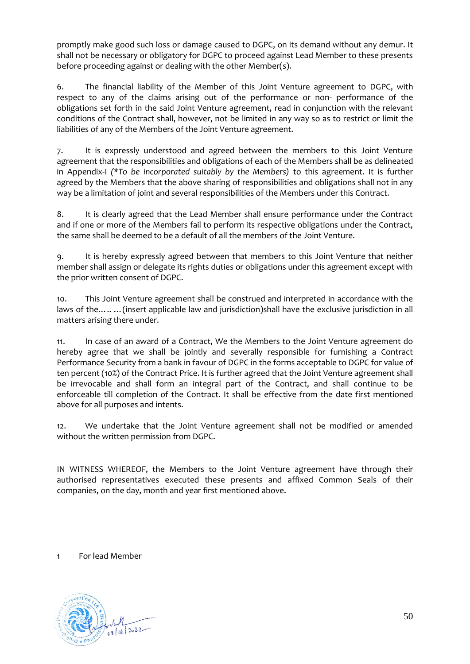promptly make good such loss or damage caused to DGPC, on its demand without any demur. It shall not be necessary or obligatory for DGPC to proceed against Lead Member to these presents before proceeding against or dealing with the other Member(s).

6. The financial liability of the Member of this Joint Venture agreement to DGPC, with respect to any of the claims arising out of the performance or non- performance of the obligations set forth in the said Joint Venture agreement, read in conjunction with the relevant conditions of the Contract shall, however, not be limited in any way so as to restrict or limit the liabilities of any of the Members of the Joint Venture agreement.

7. It is expressly understood and agreed between the members to this Joint Venture agreement that the responsibilities and obligations of each of the Members shall be as delineated in Appendix-I *(\*To be incorporated suitably by the Members)* to this agreement. It is further agreed by the Members that the above sharing of responsibilities and obligations shall not in any way be a limitation of joint and several responsibilities of the Members under this Contract.

8. It is clearly agreed that the Lead Member shall ensure performance under the Contract and if one or more of the Members fail to perform its respective obligations under the Contract, the same shall be deemed to be a default of all the members of the Joint Venture.

9. It is hereby expressly agreed between that members to this Joint Venture that neither member shall assign or delegate its rights duties or obligations under this agreement except with the prior written consent of DGPC.

10. This Joint Venture agreement shall be construed and interpreted in accordance with the laws of the... .. ... (insert applicable law and jurisdiction)shall have the exclusive jurisdiction in all matters arising there under.

11. In case of an award of a Contract, We the Members to the Joint Venture agreement do hereby agree that we shall be jointly and severally responsible for furnishing a Contract Performance Security from a bank in favour of DGPC in the forms acceptable to DGPC for value of ten percent (10%) of the Contract Price. It is further agreed that the Joint Venture agreement shall be irrevocable and shall form an integral part of the Contract, and shall continue to be enforceable till completion of the Contract. It shall be effective from the date first mentioned above for all purposes and intents.

12. We undertake that the Joint Venture agreement shall not be modified or amended without the written permission from DGPC.

IN WITNESS WHEREOF, the Members to the Joint Venture agreement have through their authorised representatives executed these presents and affixed Common Seals of their companies, on the day, month and year first mentioned above.

1 For lead Member

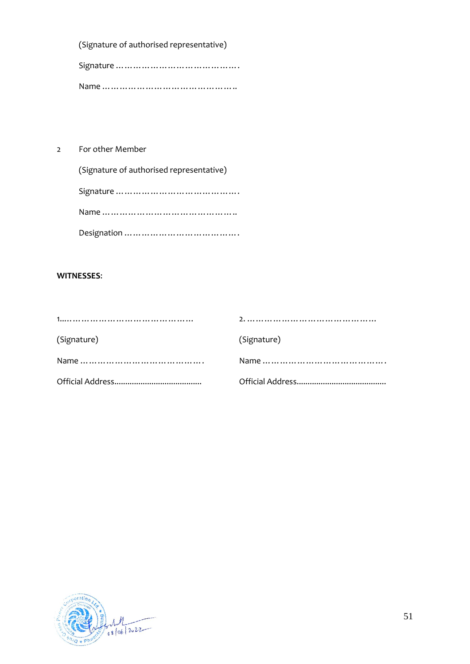(Signature of authorised representative)

Signature …………………………………… Name ………………………………………..

2 For other Member

| (Signature of authorised representative) |
|------------------------------------------|
|                                          |
|                                          |
|                                          |

## **WITNESSES**:

| (Signature) | (Signature) |
|-------------|-------------|
|             |             |
|             |             |

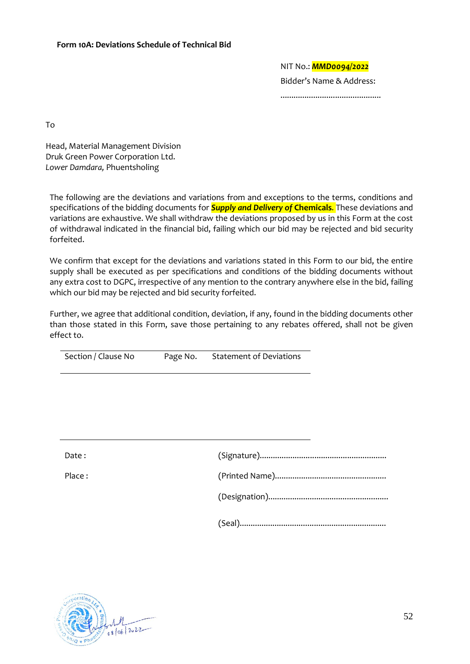NIT No.: *MMD0094/2022* Bidder's Name & Address: ..............................................

To

Head, Material Management Division Druk Green Power Corporation Ltd. *Lower Damdara,* Phuentsholing

The following are the deviations and variations from and exceptions to the terms, conditions and specifications of the bidding documents for *Supply and Delivery of* **Chemicals***.* These deviations and variations are exhaustive. We shall withdraw the deviations proposed by us in this Form at the cost of withdrawal indicated in the financial bid, failing which our bid may be rejected and bid security forfeited.

We confirm that except for the deviations and variations stated in this Form to our bid, the entire supply shall be executed as per specifications and conditions of the bidding documents without any extra cost to DGPC, irrespective of any mention to the contrary anywhere else in the bid, failing which our bid may be rejected and bid security forfeited.

Further, we agree that additional condition, deviation, if any, found in the bidding documents other than those stated in this Form, save those pertaining to any rebates offered, shall not be given effect to.

| Section / Clause No<br>Page No. | <b>Statement of Deviations</b> |
|---------------------------------|--------------------------------|
|---------------------------------|--------------------------------|

| Date : |  |
|--------|--|
| Place: |  |
|        |  |
|        |  |

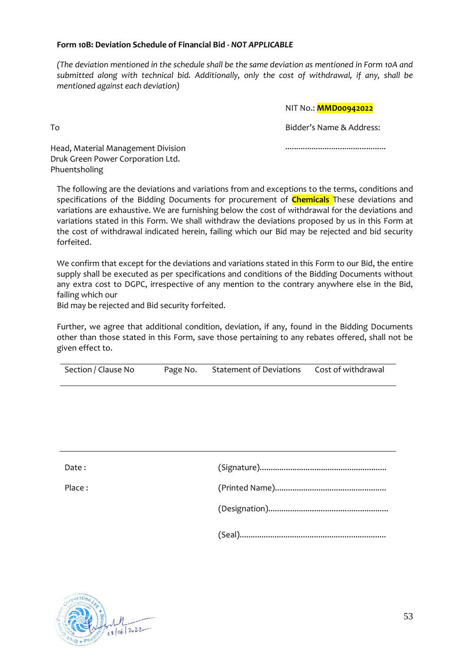### **Form 10B: Deviation Schedule of Financial Bid -** *NOT APPLICABLE*

*(The deviation mentioned in the schedule shall be the same deviation as mentioned in Form 10A and submitted along with technical bid. Additionally, only the cost of withdrawal, if any, shall be mentioned against each deviation)*

### NIT No.: **MMD00942022**

Bidder's Name & Address:

..............................................

Head, Material Management Division Druk Green Power Corporation Ltd. Phuentsholing

To

The following are the deviations and variations from and exceptions to the terms, conditions and specifications of the Bidding Documents for procurement of **Chemicals** These deviations and variations are exhaustive. We are furnishing below the cost of withdrawal for the deviations and variations stated in this Form. We shall withdraw the deviations proposed by us in this Form at the cost of withdrawal indicated herein, failing which our Bid may be rejected and bid security forfeited.

We confirm that except for the deviations and variations stated in this Form to our Bid, the entire supply shall be executed as per specifications and conditions of the Bidding Documents without any extra cost to DGPC, irrespective of any mention to the contrary anywhere else in the Bid, failing which our

Bid may be rejected and Bid security forfeited.

Further, we agree that additional condition, deviation, if any, found in the Bidding Documents other than those stated in this Form, save those pertaining to any rebates offered, shall not be given effect to.

| Date:  |  |
|--------|--|
| Place: |  |
|        |  |
|        |  |

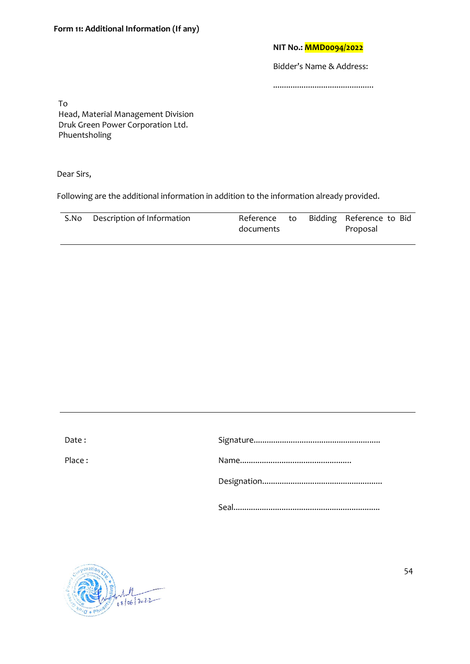### **NIT No.: MMD0094/2022**

Bidder's Name & Address:

..............................................

To Head, Material Management Division Druk Green Power Corporation Ltd. Phuentsholing

Dear Sirs,

Following are the additional information in addition to the information already provided.

| S.No | Description of Information |           |  | Reference to Bidding Reference to Bid |
|------|----------------------------|-----------|--|---------------------------------------|
|      |                            | documents |  | Proposal                              |

| Date:  |  |
|--------|--|
| Place: |  |
|        |  |
|        |  |

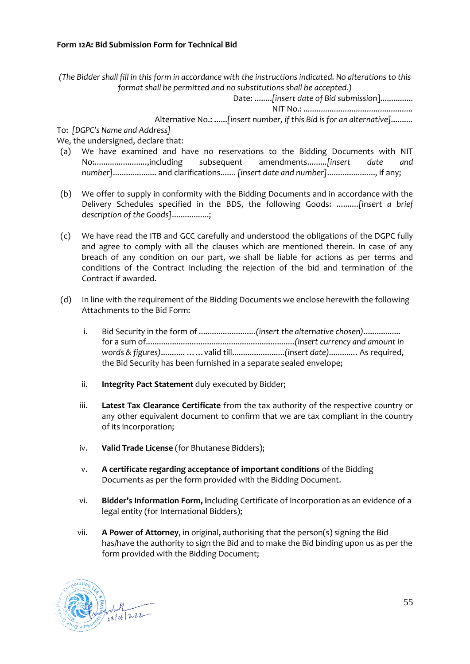*(The Bidder shall fill in this form in accordance with the instructions indicated. No alterations to this format shall be permitted and no substitutions shall be accepted.)*

Date: ........*[insert date of Bid submission*]...............

NIT No.: *..................................................*

Alternative No.: ......*[insert number, if this Bid is for an alternative]..........*

To: *[DGPC's Name and Address]*

We, the undersigned, declare that:

- (a) We have examined and have no reservations to the Bidding Documents with NIT No:........................,including subsequent amendments.........*[insert date and number]*.................... and clarifications....... *[insert date and number]*......................, if any;
- (b) We offer to supply in conformity with the Bidding Documents and in accordance with the Delivery Schedules specified in the BDS, the following Goods: ..........*[insert a brief description of the Goods]*.................;
- (c) We have read the ITB and GCC carefully and understood the obligations of the DGPC fully and agree to comply with all the clauses which are mentioned therein. In case of any breach of any condition on our part, we shall be liable for actions as per terms and conditions of the Contract including the rejection of the bid and termination of the Contract if awarded.
- (d) In line with the requirement of the Bidding Documents we enclose herewith the following Attachments to the Bid Form:
	- i. Bid Security in the form of *..........................(insert the alternative chosen)*................. for a sum of....................................................................*(insert currency and amount in words & figures)*........... ……valid till........................*(insert date)............*. As required, the Bid Security has been furnished in a separate sealed envelope;
	- ii. **Integrity Pact Statement** duly executed by Bidder;
	- iii. **Latest Tax Clearance Certificate** from the tax authority of the respective country or any other equivalent document to confirm that we are tax compliant in the country of its incorporation;
	- iv. **Valid Trade License** (for Bhutanese Bidders);
	- v. **A certificate regarding acceptance of important conditions** of the Bidding Documents as per the form provided with the Bidding Document.
	- vi. **Bidder's Information Form, i**ncluding Certificate of Incorporation as an evidence of a legal entity (for International Bidders);
	- vii. **A Power of Attorney**, in original, authorising that the person(s) signing the Bid has/have the authority to sign the Bid and to make the Bid binding upon us as per the form provided with the Bidding Document;

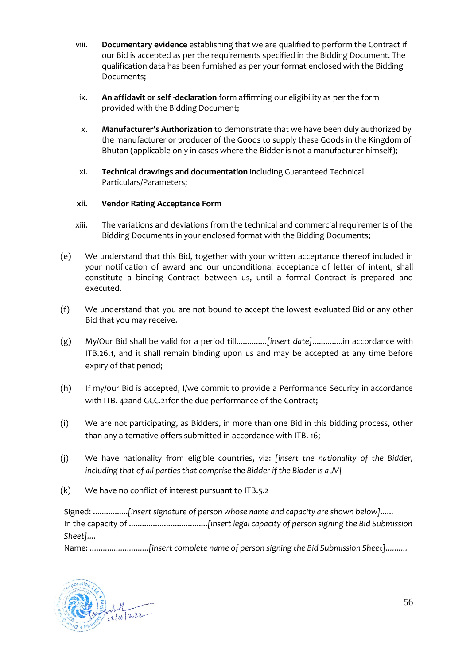- viii. **Documentary evidence** establishing that we are qualified to perform the Contract if our Bid is accepted as per the requirements specified in the Bidding Document. The qualification data has been furnished as per your format enclosed with the Bidding Documents;
- ix. **An affidavit or self -declaration** form affirming our eligibility as per the form provided with the Bidding Document;
- x. **Manufacturer's Authorization** to demonstrate that we have been duly authorized by the manufacturer or producer of the Goods to supply these Goods in the Kingdom of Bhutan (applicable only in cases where the Bidder is not a manufacturer himself);
- xi. **Technical drawings and documentation** including Guaranteed Technical Particulars/Parameters;

## **xii. Vendor Rating Acceptance Form**

- xiii. The variations and deviations from the technical and commercial requirements of the Bidding Documents in your enclosed format with the Bidding Documents;
- (e) We understand that this Bid, together with your written acceptance thereof included in your notification of award and our unconditional acceptance of letter of intent, shall constitute a binding Contract between us, until a formal Contract is prepared and executed.
- (f) We understand that you are not bound to accept the lowest evaluated Bid or any other Bid that you may receive.
- (g) My/Our Bid shall be valid for a period till..............*[insert date]*..............in accordance with [ITB.26.1,](#page-17-0) and it shall remain binding upon us and may be accepted at any time before expiry of that period;
- (h) If my/our Bid is accepted, I/we commit to provide a Performance Security in accordance with [ITB. 42a](#page-26-0)nd [GCC.21f](#page-72-0)or the due performance of the Contract;
- (i) We are not participating, as Bidders, in more than one Bid in this bidding process, other than any alternative offers submitted in accordance wit[h ITB. 16;](#page-11-0)
- (j) We have nationality from eligible countries, viz: *[insert the nationality of the Bidder, including that of all parties that comprise the Bidder if the Bidder is a JV]*
- (k) We have no conflict of interest pursuant t[o ITB.5.2](#page-7-0)

Signed: ................*[insert signature of person whose name and capacity are shown below]......* In the capacity of ....................................*[insert legal capacity of person signing the Bid Submission Sheet]....*

Name: ...........................*[insert complete name of person signing the Bid Submission Sheet]..........*

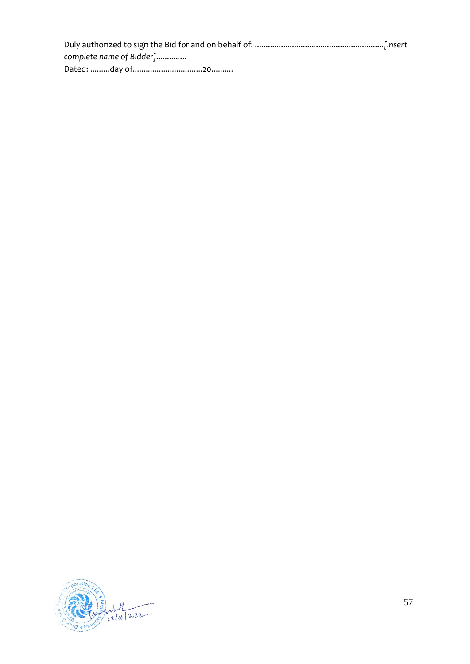| complete name of Bidder] |  |
|--------------------------|--|
|                          |  |

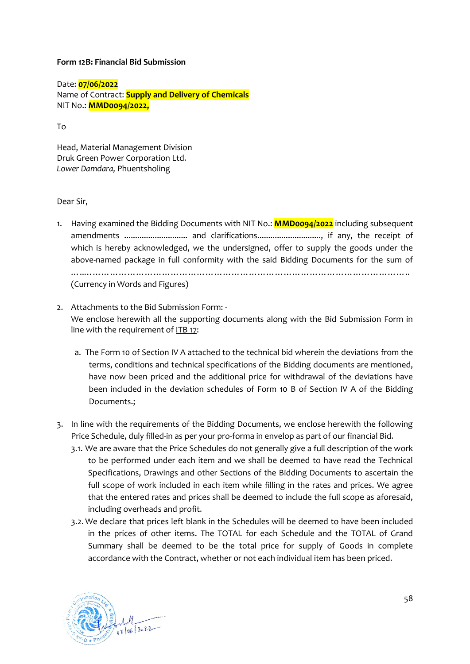### **Form 12B: Financial Bid Submission**

Date: **07/06/2022** Name of Contract: **Supply and Delivery of Chemicals**  NIT No.: **MMD0094/2022,** 

To

Head, Material Management Division Druk Green Power Corporation Ltd. *Lower Damdara,* Phuentsholing

### Dear Sir,

- 1. Having examined the Bidding Documents with NIT No.: **MMD0094/2022** including subsequent amendments ................................ and clarifications................................, if any, the receipt of which is hereby acknowledged, we the undersigned, offer to supply the goods under the above-named package in full conformity with the said Bidding Documents for the sum of …..………………………………………………………………………………………………….. (Currency in Words and Figures)
- 2. Attachments to the Bid Submission Form: We enclose herewith all the supporting documents along with the Bid Submission Form in line with the requirement of  $I$ TB 17:
	- a. The Form 10 of Section IV A attached to the technical bid wherein the deviations from the terms, conditions and technical specifications of the Bidding documents are mentioned, have now been priced and the additional price for withdrawal of the deviations have been included in the deviation schedules of Form 10 B of Section IV A of the Bidding Documents.;
- 3. In line with the requirements of the Bidding Documents, we enclose herewith the following Price Schedule, duly filled-in as per your pro-forma in envelop as part of our financial Bid.
	- 3.1. We are aware that the Price Schedules do not generally give a full description of the work to be performed under each item and we shall be deemed to have read the Technical Specifications, Drawings and other Sections of the Bidding Documents to ascertain the full scope of work included in each item while filling in the rates and prices. We agree that the entered rates and prices shall be deemed to include the full scope as aforesaid, including overheads and profit.
	- 3.2. We declare that prices left blank in the Schedules will be deemed to have been included in the prices of other items. The TOTAL for each Schedule and the TOTAL of Grand Summary shall be deemed to be the total price for supply of Goods in complete accordance with the Contract, whether or not each individual item has been priced.

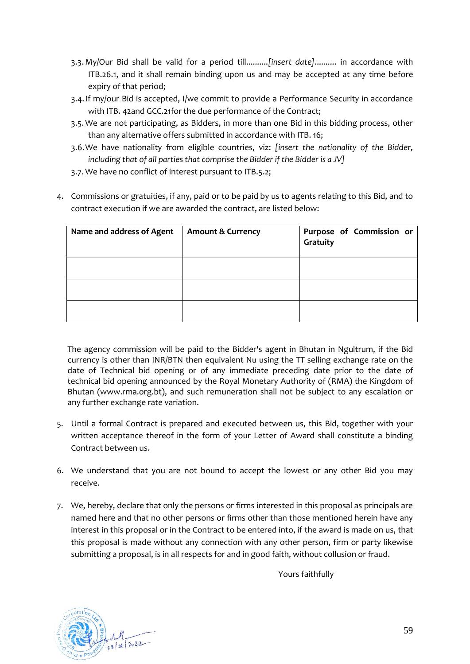- 3.3. My/Our Bid shall be valid for a period till..........*[insert date]*.......... in accordance with [ITB.26.1,](#page-17-0) and it shall remain binding upon us and may be accepted at any time before expiry of that period;
- 3.4.If my/our Bid is accepted, I/we commit to provide a Performance Security in accordance wit[h ITB. 42a](#page-26-0)n[d GCC.21f](#page-72-0)or the due performance of the Contract;
- 3.5. We are not participating, as Bidders, in more than one Bid in this bidding process, other than any alternative offers submitted in accordance wit[h ITB. 16;](#page-11-0)
- 3.6.We have nationality from eligible countries, viz: *[insert the nationality of the Bidder, including that of all parties that comprise the Bidder if the Bidder is a JV]*
- 3.7. We have no conflict of interest pursuant to [ITB.5.2;](#page-7-0)
- 4. Commissions or gratuities, if any, paid or to be paid by us to agents relating to this Bid, and to contract execution if we are awarded the contract, are listed below:

| Name and address of Agent | <b>Amount &amp; Currency</b> | Purpose of Commission or<br>Gratuity |
|---------------------------|------------------------------|--------------------------------------|
|                           |                              |                                      |
|                           |                              |                                      |
|                           |                              |                                      |

The agency commission will be paid to the Bidder's agent in Bhutan in Ngultrum, if the Bid currency is other than INR/BTN then equivalent Nu using the TT selling exchange rate on the date of Technical bid opening or of any immediate preceding date prior to the date of technical bid opening announced by the Royal Monetary Authority of (RMA) the Kingdom of Bhutan (www.rma.org.bt), and such remuneration shall not be subject to any escalation or any further exchange rate variation.

- 5. Until a formal Contract is prepared and executed between us, this Bid, together with your written acceptance thereof in the form of your Letter of Award shall constitute a binding Contract between us.
- 6. We understand that you are not bound to accept the lowest or any other Bid you may receive.
- 7. We, hereby, declare that only the persons or firms interested in this proposal as principals are named here and that no other persons or firms other than those mentioned herein have any interest in this proposal or in the Contract to be entered into, if the award is made on us, that this proposal is made without any connection with any other person, firm or party likewise submitting a proposal, is in all respects for and in good faith, without collusion or fraud.

Yours faithfully

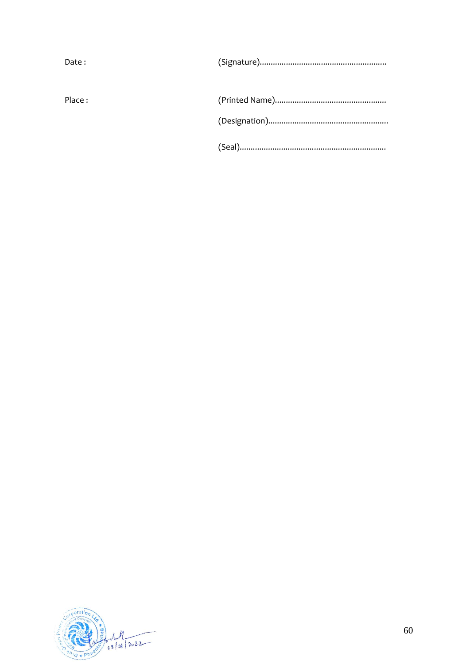| Date:  |  |
|--------|--|
| Place: |  |
|        |  |

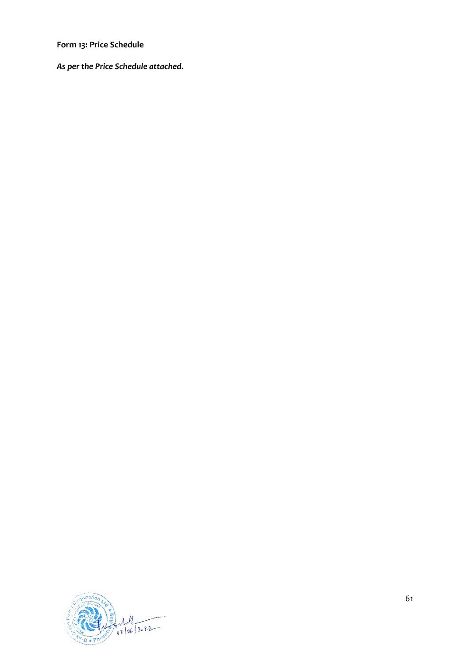**Form 13: Price Schedule**

*As per the Price Schedule attached.* 



61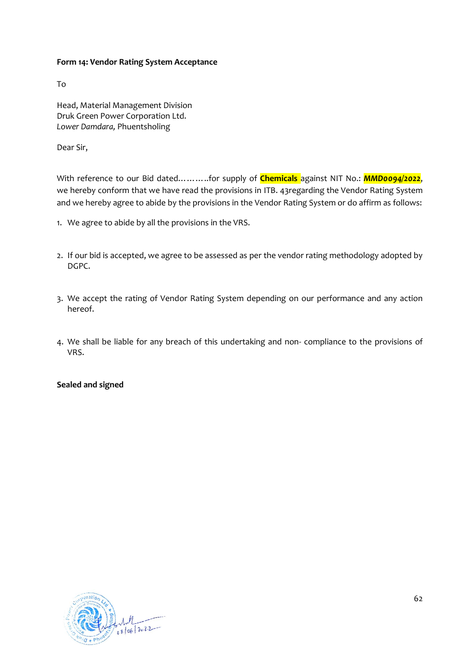## **Form 14: Vendor Rating System Acceptance**

To

Head, Material Management Division Druk Green Power Corporation Ltd. *Lower Damdara,* Phuentsholing

Dear Sir,

With reference to our Bid dated………..for supply of **Chemicals** against NIT No.: *MMD0094/2022*, we hereby conform that we have read the provisions in [ITB. 43r](#page-27-0)egarding the Vendor Rating System and we hereby agree to abide by the provisions in the Vendor Rating System or do affirm as follows:

- 1. We agree to abide by all the provisions in the VRS.
- 2. If our bid is accepted, we agree to be assessed as per the vendor rating methodology adopted by DGPC.
- 3. We accept the rating of Vendor Rating System depending on our performance and any action hereof.
- 4. We shall be liable for any breach of this undertaking and non- compliance to the provisions of VRS.

#### **Sealed and signed**

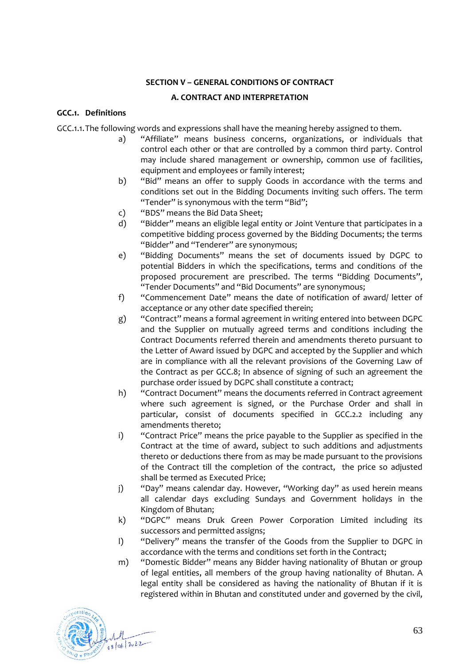## **SECTION V – GENERAL CONDITIONS OF CONTRACT**

### **A. CONTRACT AND INTERPRETATION**

## **GCC.1. Definitions**

GCC.1.1.The following words and expressions shall have the meaning hereby assigned to them.

- a) "Affiliate" means business concerns, organizations, or individuals that control each other or that are controlled by a common third party. Control may include shared management or ownership, common use of facilities, equipment and employees or family interest;
- b) "Bid" means an offer to supply Goods in accordance with the terms and conditions set out in the Bidding Documents inviting such offers. The term "Tender" is synonymous with the term "Bid";
- c) "BDS" means the Bid Data Sheet;
- d) "Bidder" means an eligible legal entity or Joint Venture that participates in a competitive bidding process governed by the Bidding Documents; the terms "Bidder" and "Tenderer" are synonymous;
- e) "Bidding Documents" means the set of documents issued by DGPC to potential Bidders in which the specifications, terms and conditions of the proposed procurement are prescribed. The terms "Bidding Documents", "Tender Documents" and "Bid Documents" are synonymous;
- f) "Commencement Date" means the date of notification of award/ letter of acceptance or any other date specified therein;
- g) "Contract" means a formal agreement in writing entered into between DGPC and the Supplier on mutually agreed terms and conditions including the Contract Documents referred therein and amendments thereto pursuant to the Letter of Award issued by DGPC and accepted by the Supplier and which are in compliance with all the relevant provisions of the Governing Law of the Contract as per [GCC.8;](#page-66-0) In absence of signing of such an agreement the purchase order issued by DGPC shall constitute a contract;
- h) "Contract Document" means the documents referred in Contract agreement where such agreement is signed, or the Purchase Order and shall in particular, consist of documents specified in [GCC.2.2](#page-63-0) including any amendments thereto;
- i) "Contract Price" means the price payable to the Supplier as specified in the Contract at the time of award, subject to such additions and adjustments thereto or deductions there from as may be made pursuant to the provisions of the Contract till the completion of the contract, the price so adjusted shall be termed as Executed Price;
- j) "Day" means calendar day. However, "Working day" as used herein means all calendar days excluding Sundays and Government holidays in the Kingdom of Bhutan;
- k) "DGPC" means Druk Green Power Corporation Limited including its successors and permitted assigns;
- l) "Delivery" means the transfer of the Goods from the Supplier to DGPC in accordance with the terms and conditions set forth in the Contract;
- m) "Domestic Bidder" means any Bidder having nationality of Bhutan or group of legal entities, all members of the group having nationality of Bhutan. A legal entity shall be considered as having the nationality of Bhutan if it is registered within in Bhutan and constituted under and governed by the civil,

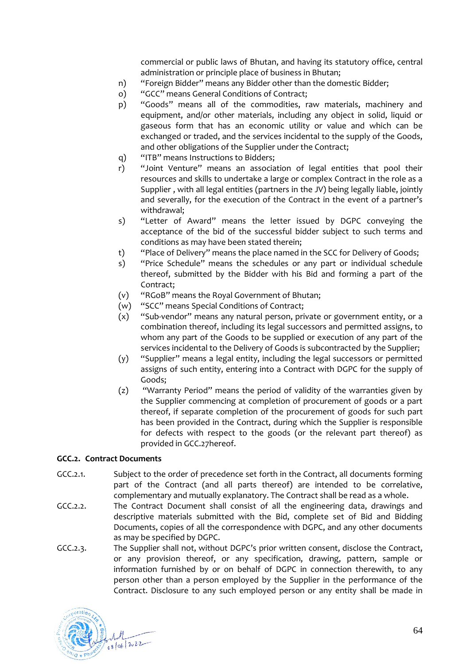commercial or public laws of Bhutan, and having its statutory office, central administration or principle place of business in Bhutan;

- n) "Foreign Bidder" means any Bidder other than the domestic Bidder;
- o) "GCC" means General Conditions of Contract;
- p) "Goods" means all of the commodities, raw materials, machinery and equipment, and/or other materials, including any object in solid, liquid or gaseous form that has an economic utility or value and which can be exchanged or traded, and the services incidental to the supply of the Goods, and other obligations of the Supplier under the Contract;
- q) "ITB" means Instructions to Bidders;
- r) "Joint Venture" means an association of legal entities that pool their resources and skills to undertake a large or complex Contract in the role as a Supplier , with all legal entities (partners in the JV) being legally liable, jointly and severally, for the execution of the Contract in the event of a partner's withdrawal;
- s) "Letter of Award" means the letter issued by DGPC conveying the acceptance of the bid of the successful bidder subject to such terms and conditions as may have been stated therein;
- t) "Place of Delivery" means the place named in the SCC for Delivery of Goods;
- s) "Price Schedule" means the schedules or any part or individual schedule thereof, submitted by the Bidder with his Bid and forming a part of the Contract;
- (v) "RGoB" means the Royal Government of Bhutan;
- (w) "SCC" means Special Conditions of Contract;
- (x) "Sub-vendor" means any natural person, private or government entity, or a combination thereof, including its legal successors and permitted assigns, to whom any part of the Goods to be supplied or execution of any part of the services incidental to the Delivery of Goods is subcontracted by the Supplier;
- (y) "Supplier" means a legal entity, including the legal successors or permitted assigns of such entity, entering into a Contract with DGPC for the supply of Goods;
- (z) "Warranty Period" means the period of validity of the warranties given by the Supplier commencing at completion of procurement of goods or a part thereof, if separate completion of the procurement of goods for such part has been provided in the Contract, during which the Supplier is responsible for defects with respect to the goods (or the relevant part thereof) as provided in [GCC.27h](#page-74-0)ereof.

## **GCC.2. Contract Documents**

- GCC.2.1. Subject to the order of precedence set forth in the Contract, all documents forming part of the Contract (and all parts thereof) are intended to be correlative, complementary and mutually explanatory. The Contract shall be read as a whole.
- <span id="page-63-0"></span>GCC.2.2. The Contract Document shall consist of all the engineering data, drawings and descriptive materials submitted with the Bid, complete set of Bid and Bidding Documents, copies of all the correspondence with DGPC, and any other documents as may be specified by DGPC.
- <span id="page-63-1"></span>GCC.2.3. The Supplier shall not, without DGPC's prior written consent, disclose the Contract, or any provision thereof, or any specification, drawing, pattern, sample or information furnished by or on behalf of DGPC in connection therewith, to any person other than a person employed by the Supplier in the performance of the Contract. Disclosure to any such employed person or any entity shall be made in

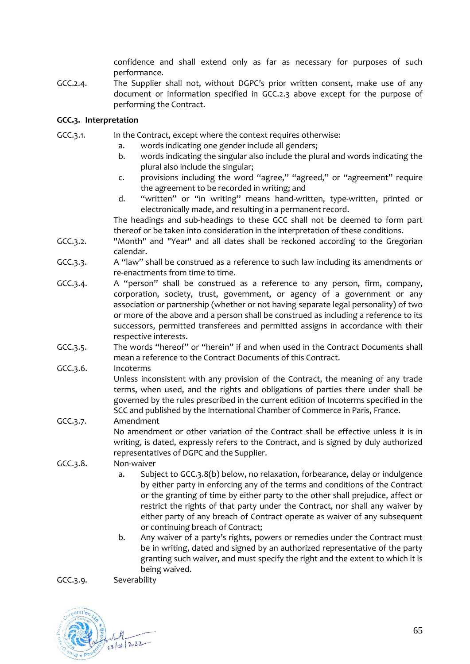confidence and shall extend only as far as necessary for purposes of such performance.

GCC.2.4. The Supplier shall not, without DGPC's prior written consent, make use of any document or information specified in [GCC.2.3](#page-63-1) above except for the purpose of performing the Contract.

# **GCC.3. Interpretation**

- GCC.3.1. In the Contract, except where the context requires otherwise:
	- a. words indicating one gender include all genders;
	- b. words indicating the singular also include the plural and words indicating the plural also include the singular;
	- c. provisions including the word "agree," "agreed," or "agreement" require the agreement to be recorded in writing; and
	- d. "written" or "in writing" means hand-written, type-written, printed or electronically made, and resulting in a permanent record.

The headings and sub-headings to these GCC shall not be deemed to form part thereof or be taken into consideration in the interpretation of these conditions.

- GCC.3.2. "Month" and "Year" and all dates shall be reckoned according to the Gregorian calendar.
- GCC.3.3. A "law" shall be construed as a reference to such law including its amendments or re-enactments from time to time.
- GCC.3.4. A "person" shall be construed as a reference to any person, firm, company, corporation, society, trust, government, or agency of a government or any association or partnership (whether or not having separate legal personality) of two or more of the above and a person shall be construed as including a reference to its successors, permitted transferees and permitted assigns in accordance with their respective interests.
- GCC.3.5. The words "hereof" or "herein" if and when used in the Contract Documents shall mean a reference to the Contract Documents of this Contract.
- GCC.3.6. Incoterms

Unless inconsistent with any provision of the Contract, the meaning of any trade terms, when used, and the rights and obligations of parties there under shall be governed by the rules prescribed in the current edition of Incoterms specified in the SCC and published by the International Chamber of Commerce in Paris, France.

- GCC.3.7. Amendment No amendment or other variation of the Contract shall be effective unless it is in writing, is dated, expressly refers to the Contract, and is signed by duly authorized representatives of DGPC and the Supplier.
- <span id="page-64-0"></span>GCC.3.8. Non-waiver
	- a. Subject to [GCC.3.8\(](#page-64-0)b) below, no relaxation, forbearance, delay or indulgence by either party in enforcing any of the terms and conditions of the Contract or the granting of time by either party to the other shall prejudice, affect or restrict the rights of that party under the Contract, nor shall any waiver by either party of any breach of Contract operate as waiver of any subsequent or continuing breach of Contract;
	- b. Any waiver of a party's rights, powers or remedies under the Contract must be in writing, dated and signed by an authorized representative of the party granting such waiver, and must specify the right and the extent to which it is being waived.

GCC.3.9. Severability

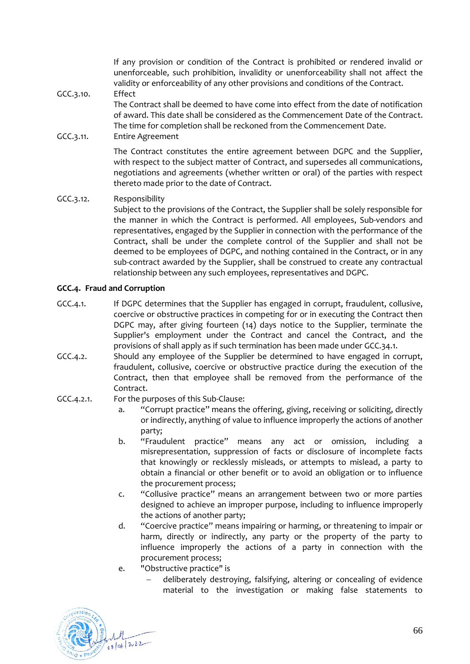If any provision or condition of the Contract is prohibited or rendered invalid or unenforceable, such prohibition, invalidity or unenforceability shall not affect the validity or enforceability of any other provisions and conditions of the Contract.

### GCC.3.10. Effect

The Contract shall be deemed to have come into effect from the date of notification of award. This date shall be considered as the Commencement Date of the Contract. The time for completion shall be reckoned from the Commencement Date.

### GCC.3.11. Entire Agreement

The Contract constitutes the entire agreement between DGPC and the Supplier, with respect to the subject matter of Contract, and supersedes all communications, negotiations and agreements (whether written or oral) of the parties with respect thereto made prior to the date of Contract.

GCC.3.12. Responsibility Subject to the provisions of the Contract, the Supplier shall be solely responsible for the manner in which the Contract is performed. All employees, Sub-vendors and representatives, engaged by the Supplier in connection with the performance of the Contract, shall be under the complete control of the Supplier and shall not be deemed to be employees of DGPC, and nothing contained in the Contract, or in any sub-contract awarded by the Supplier, shall be construed to create any contractual relationship between any such employees, representatives and DGPC.

## <span id="page-65-0"></span>**GCC.4. Fraud and Corruption**

- GCC.4.1. If DGPC determines that the Supplier has engaged in corrupt, fraudulent, collusive, coercive or obstructive practices in competing for or in executing the Contract then DGPC may, after giving fourteen (14) days notice to the Supplier, terminate the Supplier's employment under the Contract and cancel the Contract, and the provisions of shall apply as if such termination has been made unde[r GCC.34.1.](#page-77-0)
- GCC.4.2. Should any employee of the Supplier be determined to have engaged in corrupt, fraudulent, collusive, coercive or obstructive practice during the execution of the Contract, then that employee shall be removed from the performance of the Contract.
- GCC.4.2.1. For the purposes of this Sub-Clause:
	- a. "Corrupt practice" means the offering, giving, receiving or soliciting, directly or indirectly, anything of value to influence improperly the actions of another party;
	- b. "Fraudulent practice" means any act or omission, including a misrepresentation, suppression of facts or disclosure of incomplete facts that knowingly or recklessly misleads, or attempts to mislead, a party to obtain a financial or other benefit or to avoid an obligation or to influence the procurement process;
	- c. "Collusive practice" means an arrangement between two or more parties designed to achieve an improper purpose, including to influence improperly the actions of another party;
	- d. "Coercive practice" means impairing or harming, or threatening to impair or harm, directly or indirectly, any party or the property of the party to influence improperly the actions of a party in connection with the procurement process;
	- e. "Obstructive practice" is
		- − deliberately destroying, falsifying, altering or concealing of evidence material to the investigation or making false statements to

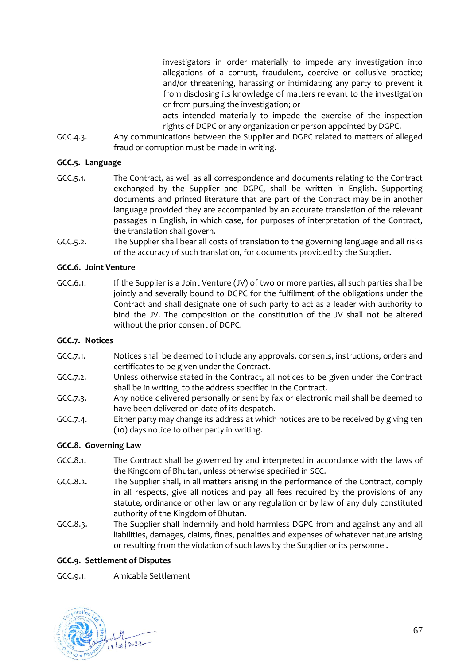investigators in order materially to impede any investigation into allegations of a corrupt, fraudulent, coercive or collusive practice; and/or threatening, harassing or intimidating any party to prevent it from disclosing its knowledge of matters relevant to the investigation or from pursuing the investigation; or

- acts intended materially to impede the exercise of the inspection rights of DGPC or any organization or person appointed by DGPC.
- GCC.4.3. Any communications between the Supplier and DGPC related to matters of alleged fraud or corruption must be made in writing.

## **GCC.5. Language**

- GCC.5.1. The Contract, as well as all correspondence and documents relating to the Contract exchanged by the Supplier and DGPC, shall be written in English. Supporting documents and printed literature that are part of the Contract may be in another language provided they are accompanied by an accurate translation of the relevant passages in English, in which case, for purposes of interpretation of the Contract, the translation shall govern.
- GCC.5.2. The Supplier shall bear all costs of translation to the governing language and all risks of the accuracy of such translation, for documents provided by the Supplier.

# **GCC.6. Joint Venture**

GCC.6.1. If the Supplier is a Joint Venture (JV) of two or more parties, all such parties shall be jointly and severally bound to DGPC for the fulfilment of the obligations under the Contract and shall designate one of such party to act as a leader with authority to bind the JV. The composition or the constitution of the JV shall not be altered without the prior consent of DGPC.

## **GCC.7. Notices**

- GCC.7.1. Notices shall be deemed to include any approvals, consents, instructions, orders and certificates to be given under the Contract.
- GCC.7.2. Unless otherwise stated in the Contract, all notices to be given under the Contract shall be in writing, to the address specified in the Contract.
- GCC.7.3. Any notice delivered personally or sent by fax or electronic mail shall be deemed to have been delivered on date of its despatch.
- GCC.7.4. Either party may change its address at which notices are to be received by giving ten (10) days notice to other party in writing.

## <span id="page-66-0"></span>**GCC.8. Governing Law**

- GCC.8.1. The Contract shall be governed by and interpreted in accordance with the laws of the Kingdom of Bhutan, unless otherwise specified in SCC.
- GCC.8.2. The Supplier shall, in all matters arising in the performance of the Contract, comply in all respects, give all notices and pay all fees required by the provisions of any statute, ordinance or other law or any regulation or by law of any duly constituted authority of the Kingdom of Bhutan.
- GCC.8.3. The Supplier shall indemnify and hold harmless DGPC from and against any and all liabilities, damages, claims, fines, penalties and expenses of whatever nature arising or resulting from the violation of such laws by the Supplier or its personnel.

## **GCC.9. Settlement of Disputes**

GCC.9.1. Amicable Settlement

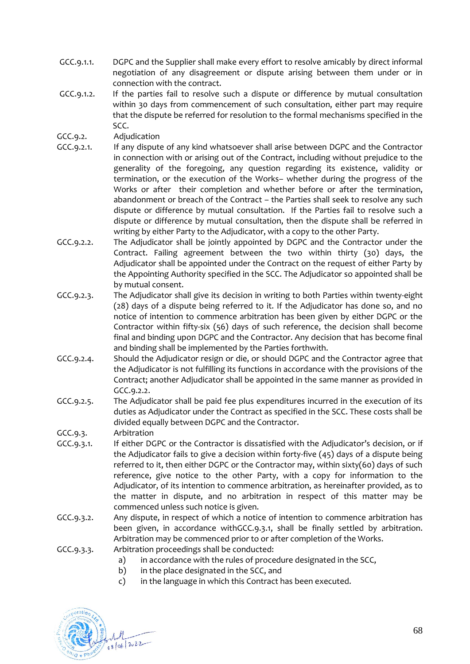- GCC.9.1.1. DGPC and the Supplier shall make every effort to resolve amicably by direct informal negotiation of any disagreement or dispute arising between them under or in connection with the contract.
- GCC.9.1.2. If the parties fail to resolve such a dispute or difference by mutual consultation within 30 days from commencement of such consultation, either part may require that the dispute be referred for resolution to the formal mechanisms specified in the SCC.
- GCC.9.2. Adjudication
- GCC.9.2.1. If any dispute of any kind whatsoever shall arise between DGPC and the Contractor in connection with or arising out of the Contract, including without prejudice to the generality of the foregoing, any question regarding its existence, validity or termination, or the execution of the Works– whether during the progress of the Works or after their completion and whether before or after the termination, abandonment or breach of the Contract – the Parties shall seek to resolve any such dispute or difference by mutual consultation. If the Parties fail to resolve such a dispute or difference by mutual consultation, then the dispute shall be referred in writing by either Party to the Adjudicator, with a copy to the other Party.
- <span id="page-67-0"></span>GCC.9.2.2. The Adjudicator shall be jointly appointed by DGPC and the Contractor under the Contract. Failing agreement between the two within thirty (30) days, the Adjudicator shall be appointed under the Contract on the request of either Party by the Appointing Authority specified in the SCC. The Adjudicator so appointed shall be by mutual consent.
- GCC.9.2.3. The Adjudicator shall give its decision in writing to both Parties within twenty-eight (28) days of a dispute being referred to it. If the Adjudicator has done so, and no notice of intention to commence arbitration has been given by either DGPC or the Contractor within fifty-six (56) days of such reference, the decision shall become final and binding upon DGPC and the Contractor. Any decision that has become final and binding shall be implemented by the Parties forthwith.
- GCC.9.2.4. Should the Adjudicator resign or die, or should DGPC and the Contractor agree that the Adjudicator is not fulfilling its functions in accordance with the provisions of the Contract; another Adjudicator shall be appointed in the same manner as provided in [GCC.9.2.2.](#page-67-0)
- GCC.9.2.5. The Adjudicator shall be paid fee plus expenditures incurred in the execution of its duties as Adjudicator under the Contract as specified in the SCC. These costs shall be divided equally between DGPC and the Contractor.

GCC.9.3. Arbitration

- <span id="page-67-1"></span>GCC.9.3.1. If either DGPC or the Contractor is dissatisfied with the Adjudicator's decision, or if the Adjudicator fails to give a decision within forty-five (45) days of a dispute being referred to it, then either DGPC or the Contractor may, within sixty(60) days of such reference, give notice to the other Party, with a copy for information to the Adjudicator, of its intention to commence arbitration, as hereinafter provided, as to the matter in dispute, and no arbitration in respect of this matter may be commenced unless such notice is given.
- GCC.9.3.2. Any dispute, in respect of which a notice of intention to commence arbitration has been given, in accordance wit[hGCC.9.3.1,](#page-67-1) shall be finally settled by arbitration. Arbitration may be commenced prior to or after completion of the Works.
- GCC.9.3.3. Arbitration proceedings shall be conducted:
	- a) in accordance with the rules of procedure designated in the SCC,
	- b) in the place designated in the SCC, and
	- c) in the language in which this Contract has been executed.

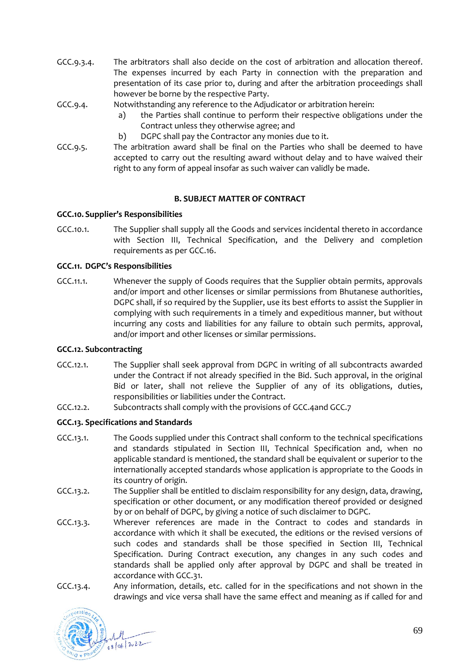- GCC.9.3.4. The arbitrators shall also decide on the cost of arbitration and allocation thereof. The expenses incurred by each Party in connection with the preparation and presentation of its case prior to, during and after the arbitration proceedings shall however be borne by the respective Party.
- GCC.9.4. Notwithstanding any reference to the Adjudicator or arbitration herein:
	- a) the Parties shall continue to perform their respective obligations under the Contract unless they otherwise agree; and
	- b) DGPC shall pay the Contractor any monies due to it.
- GCC.9.5. The arbitration award shall be final on the Parties who shall be deemed to have accepted to carry out the resulting award without delay and to have waived their right to any form of appeal insofar as such waiver can validly be made.

### **B. SUBJECT MATTER OF CONTRACT**

### **GCC.10. Supplier's Responsibilities**

GCC.10.1. The Supplier shall supply all the Goods and services incidental thereto in accordance with Section III, Technical Specification, and the Delivery and completion requirements as pe[r GCC.16.](#page-70-0)

### **GCC.11. DGPC's Responsibilities**

GCC.11.1. Whenever the supply of Goods requires that the Supplier obtain permits, approvals and/or import and other licenses or similar permissions from Bhutanese authorities, DGPC shall, if so required by the Supplier, use its best efforts to assist the Supplier in complying with such requirements in a timely and expeditious manner, but without incurring any costs and liabilities for any failure to obtain such permits, approval, and/or import and other licenses or similar permissions.

## **GCC.12. Subcontracting**

- GCC.12.1. The Supplier shall seek approval from DGPC in writing of all subcontracts awarded under the Contract if not already specified in the Bid. Such approval, in the original Bid or later, shall not relieve the Supplier of any of its obligations, duties, responsibilities or liabilities under the Contract.
- GCC.12.2. Subcontracts shall comply with the provisions o[f GCC.4a](#page-65-0)nd GCC.7

#### **GCC.13. Specifications and Standards**

- GCC.13.1. The Goods supplied under this Contract shall conform to the technical specifications and standards stipulated in Section III, Technical Specification and, when no applicable standard is mentioned, the standard shall be equivalent or superior to the internationally accepted standards whose application is appropriate to the Goods in its country of origin.
- GCC.13.2. The Supplier shall be entitled to disclaim responsibility for any design, data, drawing, specification or other document, or any modification thereof provided or designed by or on behalf of DGPC, by giving a notice of such disclaimer to DGPC.
- GCC.13.3. Wherever references are made in the Contract to codes and standards in accordance with which it shall be executed, the editions or the revised versions of such codes and standards shall be those specified in Section III, Technical Specification. During Contract execution, any changes in any such codes and standards shall be applied only after approval by DGPC and shall be treated in accordance with [GCC.31.](#page-76-0)
- GCC.13.4. Any information, details, etc. called for in the specifications and not shown in the drawings and vice versa shall have the same effect and meaning as if called for and

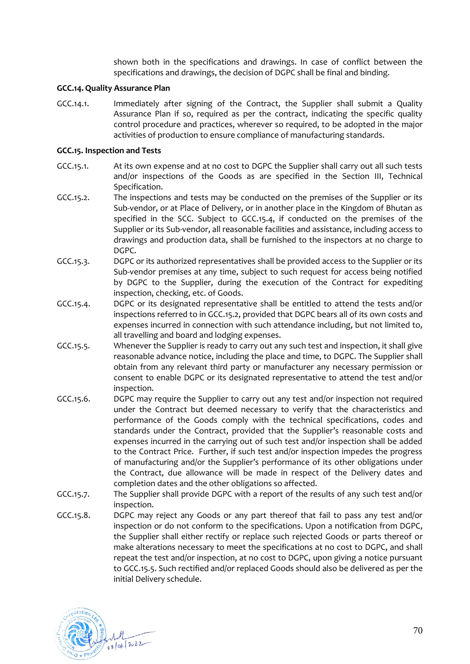shown both in the specifications and drawings. In case of conflict between the specifications and drawings, the decision of DGPC shall be final and binding.

## **GCC.14.Quality Assurance Plan**

GCC.14.1. Immediately after signing of the Contract, the Supplier shall submit a Quality Assurance Plan if so, required as per the contract, indicating the specific quality control procedure and practices, wherever so required, to be adopted in the major activities of production to ensure compliance of manufacturing standards.

### **GCC.15. Inspection and Tests**

- GCC.15.1. At its own expense and at no cost to DGPC the Supplier shall carry out all such tests and/or inspections of the Goods as are specified in the Section III, Technical Specification.
- <span id="page-69-1"></span>GCC.15.2. The inspections and tests may be conducted on the premises of the Supplier or its Sub-vendor, or at Place of Delivery, or in another place in the Kingdom of Bhutan as specified in the SCC. Subject to [GCC.15.4,](#page-69-0) if conducted on the premises of the Supplier or its Sub-vendor, all reasonable facilities and assistance, including access to drawings and production data, shall be furnished to the inspectors at no charge to DGPC.
- GCC.15.3. DGPC or its authorized representatives shall be provided access to the Supplier or its Sub-vendor premises at any time, subject to such request for access being notified by DGPC to the Supplier, during the execution of the Contract for expediting inspection, checking, etc. of Goods.
- <span id="page-69-0"></span>GCC.15.4. DGPC or its designated representative shall be entitled to attend the tests and/or inspections referred to i[n GCC.15.2,](#page-69-1) provided that DGPC bears all of its own costs and expenses incurred in connection with such attendance including, but not limited to, all travelling and board and lodging expenses.
- <span id="page-69-2"></span>GCC.15.5. Whenever the Supplier is ready to carry out any such test and inspection, it shall give reasonable advance notice, including the place and time, to DGPC. The Supplier shall obtain from any relevant third party or manufacturer any necessary permission or consent to enable DGPC or its designated representative to attend the test and/or inspection.
- GCC.15.6. DGPC may require the Supplier to carry out any test and/or inspection not required under the Contract but deemed necessary to verify that the characteristics and performance of the Goods comply with the technical specifications, codes and standards under the Contract, provided that the Supplier's reasonable costs and expenses incurred in the carrying out of such test and/or inspection shall be added to the Contract Price. Further, if such test and/or inspection impedes the progress of manufacturing and/or the Supplier's performance of its other obligations under the Contract, due allowance will be made in respect of the Delivery dates and completion dates and the other obligations so affected.
- <span id="page-69-3"></span>GCC.15.7. The Supplier shall provide DGPC with a report of the results of any such test and/or inspection.
- GCC.15.8. DGPC may reject any Goods or any part thereof that fail to pass any test and/or inspection or do not conform to the specifications. Upon a notification from DGPC, the Supplier shall either rectify or replace such rejected Goods or parts thereof or make alterations necessary to meet the specifications at no cost to DGPC, and shall repeat the test and/or inspection, at no cost to DGPC, upon giving a notice pursuant t[o GCC.15.5.](#page-69-2) Such rectified and/or replaced Goods should also be delivered as per the initial Delivery schedule.

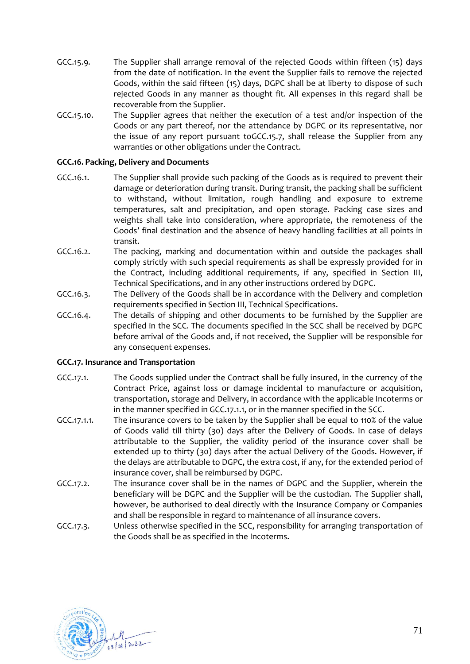- GCC.15.9. The Supplier shall arrange removal of the rejected Goods within fifteen (15) days from the date of notification. In the event the Supplier fails to remove the rejected Goods, within the said fifteen (15) days, DGPC shall be at liberty to dispose of such rejected Goods in any manner as thought fit. All expenses in this regard shall be recoverable from the Supplier.
- GCC.15.10. The Supplier agrees that neither the execution of a test and/or inspection of the Goods or any part thereof, nor the attendance by DGPC or its representative, nor the issue of any report pursuant t[oGCC.15.7,](#page-69-3) shall release the Supplier from any warranties or other obligations under the Contract.

## <span id="page-70-0"></span>**GCC.16. Packing, Delivery and Documents**

- GCC.16.1. The Supplier shall provide such packing of the Goods as is required to prevent their damage or deterioration during transit. During transit, the packing shall be sufficient to withstand, without limitation, rough handling and exposure to extreme temperatures, salt and precipitation, and open storage. Packing case sizes and weights shall take into consideration, where appropriate, the remoteness of the Goods' final destination and the absence of heavy handling facilities at all points in transit.
- GCC.16.2. The packing, marking and documentation within and outside the packages shall comply strictly with such special requirements as shall be expressly provided for in the Contract, including additional requirements, if any, specified in Section III, Technical Specifications, and in any other instructions ordered by DGPC.
- GCC.16.3. The Delivery of the Goods shall be in accordance with the Delivery and completion requirements specified in Section III, Technical Specifications.
- <span id="page-70-2"></span>GCC.16.4. The details of shipping and other documents to be furnished by the Supplier are specified in the SCC. The documents specified in the SCC shall be received by DGPC before arrival of the Goods and, if not received, the Supplier will be responsible for any consequent expenses.

#### **GCC.17. Insurance and Transportation**

- GCC.17.1. The Goods supplied under the Contract shall be fully insured, in the currency of the Contract Price, against loss or damage incidental to manufacture or acquisition, transportation, storage and Delivery, in accordance with the applicable Incoterms or in the manner specified i[n GCC.17.1.1,](#page-70-1) or in the manner specified in the SCC.
- <span id="page-70-1"></span>GCC.17.1.1. The insurance covers to be taken by the Supplier shall be equal to 110% of the value of Goods valid till thirty (30) days after the Delivery of Goods. In case of delays attributable to the Supplier, the validity period of the insurance cover shall be extended up to thirty (30) days after the actual Delivery of the Goods. However, if the delays are attributable to DGPC, the extra cost, if any, for the extended period of insurance cover, shall be reimbursed by DGPC.
- GCC.17.2. The insurance cover shall be in the names of DGPC and the Supplier, wherein the beneficiary will be DGPC and the Supplier will be the custodian. The Supplier shall, however, be authorised to deal directly with the Insurance Company or Companies and shall be responsible in regard to maintenance of all insurance covers.
- GCC.17.3. Unless otherwise specified in the SCC, responsibility for arranging transportation of the Goods shall be as specified in the Incoterms.

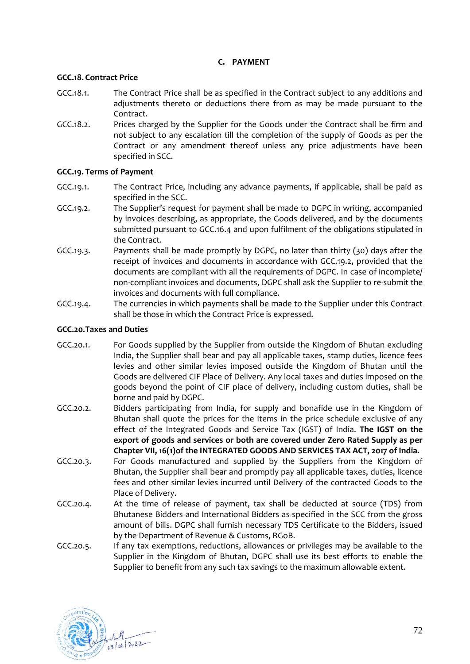# **C. PAYMENT**

# **GCC.18. Contract Price**

- GCC.18.1. The Contract Price shall be as specified in the Contract subject to any additions and adjustments thereto or deductions there from as may be made pursuant to the Contract.
- GCC.18.2. Prices charged by the Supplier for the Goods under the Contract shall be firm and not subject to any escalation till the completion of the supply of Goods as per the Contract or any amendment thereof unless any price adjustments have been specified in SCC.

# **GCC.19. Terms of Payment**

- GCC.19.1. The Contract Price, including any advance payments, if applicable, shall be paid as specified in the SCC.
- <span id="page-71-0"></span>GCC.19.2. The Supplier's request for payment shall be made to DGPC in writing, accompanied by invoices describing, as appropriate, the Goods delivered, and by the documents submitted pursuant to [GCC.16.4](#page-70-2) and upon fulfilment of the obligations stipulated in the Contract.
- GCC.19.3. Payments shall be made promptly by DGPC, no later than thirty (30) days after the receipt of invoices and documents in accordance with [GCC.19.2,](#page-71-0) provided that the documents are compliant with all the requirements of DGPC. In case of incomplete/ non-compliant invoices and documents, DGPC shall ask the Supplier to re-submit the invoices and documents with full compliance.
- GCC.19.4. The currencies in which payments shall be made to the Supplier under this Contract shall be those in which the Contract Price is expressed.

## **GCC.20.Taxes and Duties**

- GCC.20.1. For Goods supplied by the Supplier from outside the Kingdom of Bhutan excluding India, the Supplier shall bear and pay all applicable taxes, stamp duties, licence fees levies and other similar levies imposed outside the Kingdom of Bhutan until the Goods are delivered CIF Place of Delivery. Any local taxes and duties imposed on the goods beyond the point of CIF place of delivery, including custom duties, shall be borne and paid by DGPC.
- GCC.20.2. Bidders participating from India, for supply and bonafide use in the Kingdom of Bhutan shall quote the prices for the items in the price schedule exclusive of any effect of the Integrated Goods and Service Tax (IGST) of India. **The IGST on the export of goods and services or both are covered under Zero Rated Supply as per Chapter VII, 16(1)of the INTEGRATED GOODS AND SERVICES TAX ACT, 2017 of India.**
- GCC.20.3. For Goods manufactured and supplied by the Suppliers from the Kingdom of Bhutan, the Supplier shall bear and promptly pay all applicable taxes, duties, licence fees and other similar levies incurred until Delivery of the contracted Goods to the Place of Delivery.
- GCC.20.4. At the time of release of payment, tax shall be deducted at source (TDS) from Bhutanese Bidders and International Bidders as specified in the SCC from the gross amount of bills. DGPC shall furnish necessary TDS Certificate to the Bidders, issued by the Department of Revenue & Customs, RGoB.
- GCC.20.5. If any tax exemptions, reductions, allowances or privileges may be available to the Supplier in the Kingdom of Bhutan, DGPC shall use its best efforts to enable the Supplier to benefit from any such tax savings to the maximum allowable extent.

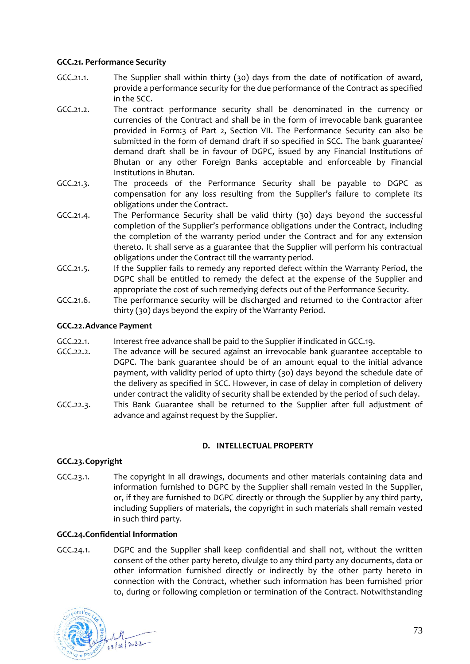### **GCC.21. Performance Security**

- <span id="page-72-2"></span>GCC.21.1. The Supplier shall within thirty (30) days from the date of notification of award, provide a performance security for the due performance of the Contract as specified in the SCC.
- <span id="page-72-3"></span>GCC.21.2. The contract performance security shall be denominated in the currency or currencies of the Contract and shall be in the form of irrevocable bank guarantee provided in Form:3 of Part 2, Section VII. The Performance Security can also be submitted in the form of demand draft if so specified in SCC. The bank guarantee/ demand draft shall be in favour of DGPC, issued by any Financial Institutions of Bhutan or any other Foreign Banks acceptable and enforceable by Financial Institutions in Bhutan.
- GCC.21.3. The proceeds of the Performance Security shall be payable to DGPC as compensation for any loss resulting from the Supplier's failure to complete its obligations under the Contract.
- GCC.21.4. The Performance Security shall be valid thirty (30) days beyond the successful completion of the Supplier's performance obligations under the Contract, including the completion of the warranty period under the Contract and for any extension thereto. It shall serve as a guarantee that the Supplier will perform his contractual obligations under the Contract till the warranty period.
- GCC.21.5. If the Supplier fails to remedy any reported defect within the Warranty Period, the DGPC shall be entitled to remedy the defect at the expense of the Supplier and appropriate the cost of such remedying defects out of the Performance Security.
- GCC.21.6. The performance security will be discharged and returned to the Contractor after thirty (30) days beyond the expiry of the Warranty Period.

### **GCC.22.Advance Payment**

- GCC.22.1. Interest free advance shall be paid to the Supplier if indicated in [GCC.19.](#page-71-0)
- <span id="page-72-4"></span>GCC.22.2. The advance will be secured against an irrevocable bank guarantee acceptable to DGPC. The bank guarantee should be of an amount equal to the initial advance payment, with validity period of upto thirty (30) days beyond the schedule date of the delivery as specified in SCC. However, in case of delay in completion of delivery under contract the validity of security shall be extended by the period of such delay.
- GCC.22.3. This Bank Guarantee shall be returned to the Supplier after full adjustment of advance and against request by the Supplier.

#### **D. INTELLECTUAL PROPERTY**

### **GCC.23.Copyright**

GCC.23.1. The copyright in all drawings, documents and other materials containing data and information furnished to DGPC by the Supplier shall remain vested in the Supplier, or, if they are furnished to DGPC directly or through the Supplier by any third party, including Suppliers of materials, the copyright in such materials shall remain vested in such third party.

#### <span id="page-72-1"></span>**GCC.24.Confidential Information**

<span id="page-72-0"></span>GCC.24.1. DGPC and the Supplier shall keep confidential and shall not, without the written consent of the other party hereto, divulge to any third party any documents, data or other information furnished directly or indirectly by the other party hereto in connection with the Contract, whether such information has been furnished prior to, during or following completion or termination of the Contract. Notwithstanding

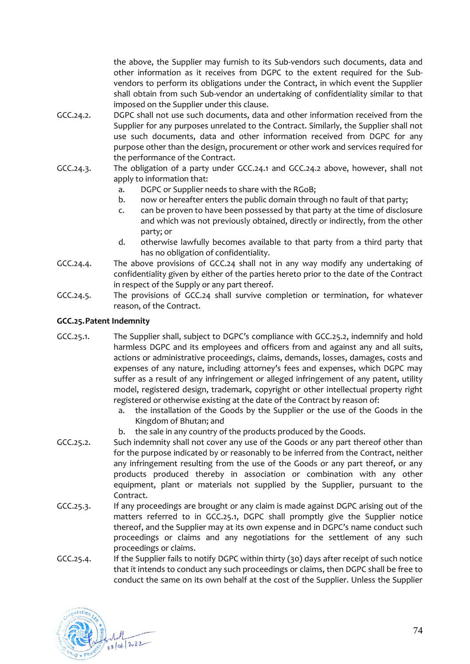the above, the Supplier may furnish to its Sub-vendors such documents, data and other information as it receives from DGPC to the extent required for the Subvendors to perform its obligations under the Contract, in which event the Supplier shall obtain from such Sub-vendor an undertaking of confidentiality similar to that imposed on the Supplier under this clause.

- <span id="page-73-0"></span>GCC.24.2. DGPC shall not use such documents, data and other information received from the Supplier for any purposes unrelated to the Contract. Similarly, the Supplier shall not use such documents, data and other information received from DGPC for any purpose other than the design, procurement or other work and services required for the performance of the Contract.
- GCC.24.3. The obligation of a party under [GCC.24.1](#page-72-0) and [GCC.24.2](#page-73-0) above, however, shall not apply to information that:
	- a. DGPC or Supplier needs to share with the RGoB;
	- b. now or hereafter enters the public domain through no fault of that party;
	- c. can be proven to have been possessed by that party at the time of disclosure and which was not previously obtained, directly or indirectly, from the other party; or
	- d. otherwise lawfully becomes available to that party from a third party that has no obligation of confidentiality.
- GCC.24.4. The above provisions of [GCC.24](#page-72-1) shall not in any way modify any undertaking of confidentiality given by either of the parties hereto prior to the date of the Contract in respect of the Supply or any part thereof.
- GCC.24.5. The provisions of [GCC.24](#page-72-1) shall survive completion or termination, for whatever reason, of the Contract.

### **GCC.25.Patent Indemnity**

- <span id="page-73-2"></span>GCC.25.1. The Supplier shall, subject to DGPC's compliance with [GCC.25.2,](#page-73-1) indemnify and hold harmless DGPC and its employees and officers from and against any and all suits, actions or administrative proceedings, claims, demands, losses, damages, costs and expenses of any nature, including attorney's fees and expenses, which DGPC may suffer as a result of any infringement or alleged infringement of any patent, utility model, registered design, trademark, copyright or other intellectual property right registered or otherwise existing at the date of the Contract by reason of:
	- a. the installation of the Goods by the Supplier or the use of the Goods in the Kingdom of Bhutan; and
	- b. the sale in any country of the products produced by the Goods.
- <span id="page-73-1"></span>GCC.25.2. Such indemnity shall not cover any use of the Goods or any part thereof other than for the purpose indicated by or reasonably to be inferred from the Contract, neither any infringement resulting from the use of the Goods or any part thereof, or any products produced thereby in association or combination with any other equipment, plant or materials not supplied by the Supplier, pursuant to the Contract.
- GCC.25.3. If any proceedings are brought or any claim is made against DGPC arising out of the matters referred to in [GCC.25.1,](#page-73-2) DGPC shall promptly give the Supplier notice thereof, and the Supplier may at its own expense and in DGPC's name conduct such proceedings or claims and any negotiations for the settlement of any such proceedings or claims.
- GCC.25.4. If the Supplier fails to notify DGPC within thirty (30) days after receipt of such notice that it intends to conduct any such proceedings or claims, then DGPC shall be free to conduct the same on its own behalf at the cost of the Supplier. Unless the Supplier

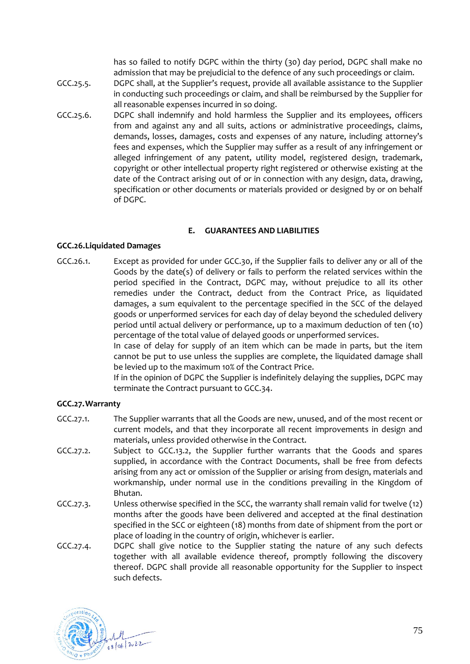has so failed to notify DGPC within the thirty (30) day period, DGPC shall make no admission that may be prejudicial to the defence of any such proceedings or claim.

- GCC.25.5. DGPC shall, at the Supplier's request, provide all available assistance to the Supplier in conducting such proceedings or claim, and shall be reimbursed by the Supplier for all reasonable expenses incurred in so doing.
- GCC.25.6. DGPC shall indemnify and hold harmless the Supplier and its employees, officers from and against any and all suits, actions or administrative proceedings, claims, demands, losses, damages, costs and expenses of any nature, including attorney's fees and expenses, which the Supplier may suffer as a result of any infringement or alleged infringement of any patent, utility model, registered design, trademark, copyright or other intellectual property right registered or otherwise existing at the date of the Contract arising out of or in connection with any design, data, drawing, specification or other documents or materials provided or designed by or on behalf of DGPC.

### **E. GUARANTEES AND LIABILITIES**

### <span id="page-74-0"></span>**GCC.26.Liquidated Damages**

<span id="page-74-1"></span>GCC.26.1. Except as provided for under [GCC.30,](#page-75-0) if the Supplier fails to deliver any or all of the Goods by the date(s) of delivery or fails to perform the related services within the period specified in the Contract, DGPC may, without prejudice to all its other remedies under the Contract, deduct from the Contract Price, as liquidated damages, a sum equivalent to the percentage specified in the SCC of the delayed goods or unperformed services for each day of delay beyond the scheduled delivery period until actual delivery or performance, up to a maximum deduction of ten (10) percentage of the total value of delayed goods or unperformed services.

In case of delay for supply of an item which can be made in parts, but the item cannot be put to use unless the supplies are complete, the liquidated damage shall be levied up to the maximum 10% of the Contract Price.

If in the opinion of DGPC the Supplier is indefinitely delaying the supplies, DGPC may terminate the Contract pursuant t[o GCC.34.](#page-77-0)

# **GCC.27.Warranty**

- GCC.27.1. The Supplier warrants that all the Goods are new, unused, and of the most recent or current models, and that they incorporate all recent improvements in design and materials, unless provided otherwise in the Contract.
- GCC.27.2. Subject to [GCC.13.2,](#page-68-0) the Supplier further warrants that the Goods and spares supplied, in accordance with the Contract Documents, shall be free from defects arising from any act or omission of the Supplier or arising from design, materials and workmanship, under normal use in the conditions prevailing in the Kingdom of Bhutan.
- <span id="page-74-2"></span>GCC.27.3. Unless otherwise specified in the SCC, the warranty shall remain valid for twelve (12) months after the goods have been delivered and accepted at the final destination specified in the SCC or eighteen (18) months from date of shipment from the port or place of loading in the country of origin, whichever is earlier.
- GCC.27.4. DGPC shall give notice to the Supplier stating the nature of any such defects together with all available evidence thereof, promptly following the discovery thereof. DGPC shall provide all reasonable opportunity for the Supplier to inspect such defects.

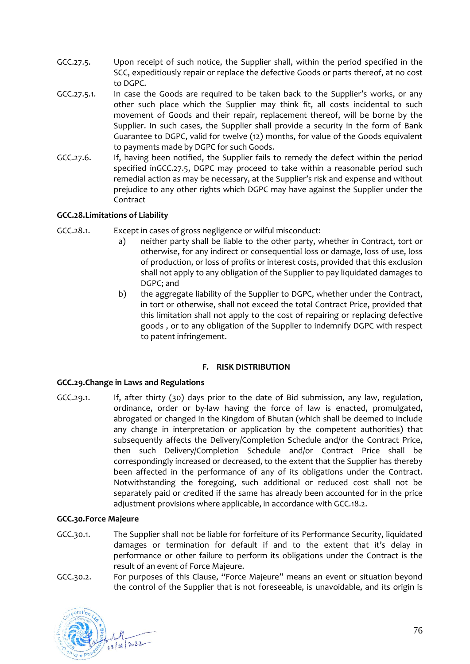- <span id="page-75-1"></span>GCC.27.5. Upon receipt of such notice, the Supplier shall, within the period specified in the SCC, expeditiously repair or replace the defective Goods or parts thereof, at no cost to DGPC.
- GCC.27.5.1. In case the Goods are required to be taken back to the Supplier's works, or any other such place which the Supplier may think fit, all costs incidental to such movement of Goods and their repair, replacement thereof, will be borne by the Supplier. In such cases, the Supplier shall provide a security in the form of Bank Guarantee to DGPC, valid for twelve (12) months, for value of the Goods equivalent to payments made by DGPC for such Goods.
- GCC.27.6. If, having been notified, the Supplier fails to remedy the defect within the period specified i[nGCC.27.5,](#page-75-1) DGPC may proceed to take within a reasonable period such remedial action as may be necessary, at the Supplier's risk and expense and without prejudice to any other rights which DGPC may have against the Supplier under the Contract

# **GCC.28.Limitations of Liability**

- GCC.28.1. Except in cases of gross negligence or wilful misconduct:
	- a) neither party shall be liable to the other party, whether in Contract, tort or otherwise, for any indirect or consequential loss or damage, loss of use, loss of production, or loss of profits or interest costs, provided that this exclusion shall not apply to any obligation of the Supplier to pay liquidated damages to DGPC; and
	- b) the aggregate liability of the Supplier to DGPC, whether under the Contract, in tort or otherwise, shall not exceed the total Contract Price, provided that this limitation shall not apply to the cost of repairing or replacing defective goods , or to any obligation of the Supplier to indemnify DGPC with respect to patent infringement.

### **F. RISK DISTRIBUTION**

### <span id="page-75-2"></span>**GCC.29.Change in Laws and Regulations**

GCC.29.1. If, after thirty (30) days prior to the date of Bid submission, any law, regulation, ordinance, order or by-law having the force of law is enacted, promulgated, abrogated or changed in the Kingdom of Bhutan (which shall be deemed to include any change in interpretation or application by the competent authorities) that subsequently affects the Delivery/Completion Schedule and/or the Contract Price, then such Delivery/Completion Schedule and/or Contract Price shall be correspondingly increased or decreased, to the extent that the Supplier has thereby been affected in the performance of any of its obligations under the Contract. Notwithstanding the foregoing, such additional or reduced cost shall not be separately paid or credited if the same has already been accounted for in the price adjustment provisions where applicable, in accordance with [GCC.18.2.](#page-71-1)

### <span id="page-75-0"></span>**GCC.30.Force Majeure**

- GCC.30.1. The Supplier shall not be liable for forfeiture of its Performance Security, liquidated damages or termination for default if and to the extent that it's delay in performance or other failure to perform its obligations under the Contract is the result of an event of Force Majeure.
- GCC.30.2. For purposes of this Clause, "Force Majeure" means an event or situation beyond the control of the Supplier that is not foreseeable, is unavoidable, and its origin is

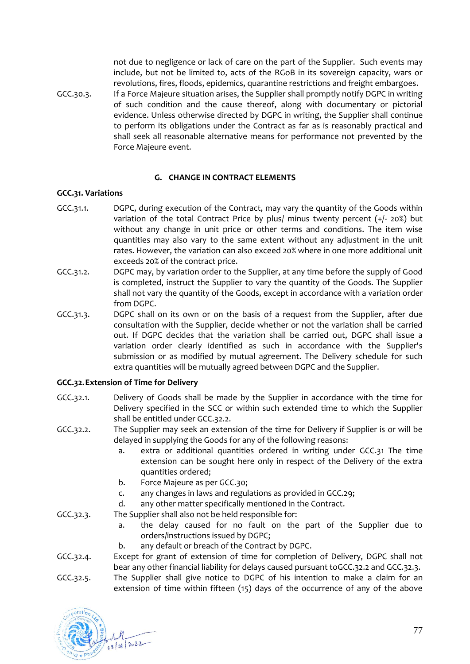not due to negligence or lack of care on the part of the Supplier. Such events may include, but not be limited to, acts of the RGoB in its sovereign capacity, wars or revolutions, fires, floods, epidemics, quarantine restrictions and freight embargoes.

GCC.30.3. If a Force Majeure situation arises, the Supplier shall promptly notify DGPC in writing of such condition and the cause thereof, along with documentary or pictorial evidence. Unless otherwise directed by DGPC in writing, the Supplier shall continue to perform its obligations under the Contract as far as is reasonably practical and shall seek all reasonable alternative means for performance not prevented by the Force Majeure event.

### **G. CHANGE IN CONTRACT ELEMENTS**

### <span id="page-76-1"></span>**GCC.31. Variations**

- GCC.31.1. DGPC, during execution of the Contract, may vary the quantity of the Goods within variation of the total Contract Price by plus/ minus twenty percent  $(+/- 20%)$  but without any change in unit price or other terms and conditions. The item wise quantities may also vary to the same extent without any adjustment in the unit rates. However, the variation can also exceed 20% where in one more additional unit exceeds 20% of the contract price.
- GCC.31.2. DGPC may, by variation order to the Supplier, at any time before the supply of Good is completed, instruct the Supplier to vary the quantity of the Goods. The Supplier shall not vary the quantity of the Goods, except in accordance with a variation order from DGPC.
- GCC.31.3. DGPC shall on its own or on the basis of a request from the Supplier, after due consultation with the Supplier, decide whether or not the variation shall be carried out. If DGPC decides that the variation shall be carried out, DGPC shall issue a variation order clearly identified as such in accordance with the Supplier's submission or as modified by mutual agreement. The Delivery schedule for such extra quantities will be mutually agreed between DGPC and the Supplier.

### **GCC.32.Extension of Time for Delivery**

- <span id="page-76-3"></span>GCC.32.1. Delivery of Goods shall be made by the Supplier in accordance with the time for Delivery specified in the SCC or within such extended time to which the Supplier shall be entitled under [GCC.32.2.](#page-76-0)
- <span id="page-76-0"></span>GCC.32.2. The Supplier may seek an extension of the time for Delivery if Supplier is or will be delayed in supplying the Goods for any of the following reasons:
	- a. extra or additional quantities ordered in writing under [GCC.31](#page-76-1) The time extension can be sought here only in respect of the Delivery of the extra quantities ordered;
	- b. Force Majeure as per [GCC.30;](#page-75-0)
	- c. any changes in laws and regulations as provided in [GCC.29;](#page-75-2)
	- d. any other matter specifically mentioned in the Contract.
- <span id="page-76-2"></span>GCC.32.3. The Supplier shall also not be held responsible for:
	- a. the delay caused for no fault on the part of the Supplier due to orders/instructions issued by DGPC;
	- b. any default or breach of the Contract by DGPC.
- GCC.32.4. Except for grant of extension of time for completion of Delivery, DGPC shall not bear any other financial liability for delays caused pursuant t[oGCC.32.2](#page-76-0) an[d GCC.32.3.](#page-76-2)
- GCC.32.5. The Supplier shall give notice to DGPC of his intention to make a claim for an extension of time within fifteen (15) days of the occurrence of any of the above

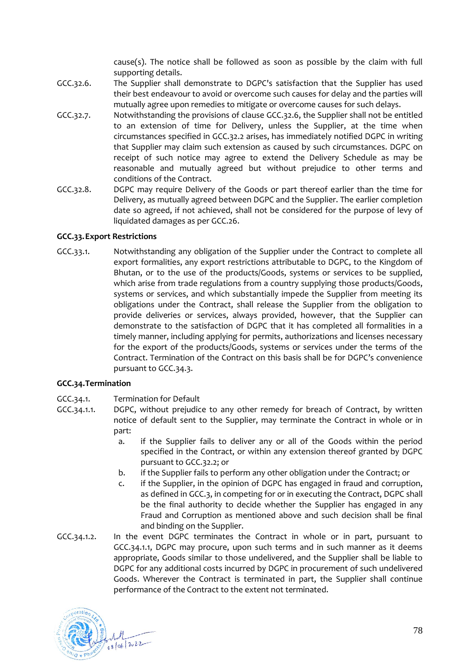cause(s). The notice shall be followed as soon as possible by the claim with full supporting details.

- <span id="page-77-1"></span>GCC.32.6. The Supplier shall demonstrate to DGPC's satisfaction that the Supplier has used their best endeavour to avoid or overcome such causes for delay and the parties will mutually agree upon remedies to mitigate or overcome causes for such delays.
- GCC.32.7. Notwithstanding the provisions of clause [GCC.32.6,](#page-77-1) the Supplier shall not be entitled to an extension of time for Delivery, unless the Supplier, at the time when circumstances specified in [GCC.32.2](#page-76-0) arises, has immediately notified DGPC in writing that Supplier may claim such extension as caused by such circumstances. DGPC on receipt of such notice may agree to extend the Delivery Schedule as may be reasonable and mutually agreed but without prejudice to other terms and conditions of the Contract.
- GCC.32.8. DGPC may require Delivery of the Goods or part thereof earlier than the time for Delivery, as mutually agreed between DGPC and the Supplier. The earlier completion date so agreed, if not achieved, shall not be considered for the purpose of levy of liquidated damages as pe[r GCC.26.](#page-74-0)

### **GCC.33.Export Restrictions**

GCC.33.1. Notwithstanding any obligation of the Supplier under the Contract to complete all export formalities, any export restrictions attributable to DGPC, to the Kingdom of Bhutan, or to the use of the products/Goods, systems or services to be supplied, which arise from trade regulations from a country supplying those products/Goods, systems or services, and which substantially impede the Supplier from meeting its obligations under the Contract, shall release the Supplier from the obligation to provide deliveries or services, always provided, however, that the Supplier can demonstrate to the satisfaction of DGPC that it has completed all formalities in a timely manner, including applying for permits, authorizations and licenses necessary for the export of the products/Goods, systems or services under the terms of the Contract. Termination of the Contract on this basis shall be for DGPC's convenience pursuant t[o GCC.34.3.](#page-78-0)

### <span id="page-77-0"></span>**GCC.34.Termination**

- GCC.34.1. Termination for Default
- <span id="page-77-2"></span>GCC.34.1.1. DGPC, without prejudice to any other remedy for breach of Contract, by written notice of default sent to the Supplier, may terminate the Contract in whole or in part:
	- a. if the Supplier fails to deliver any or all of the Goods within the period specified in the Contract, or within any extension thereof granted by DGPC pursuant to [GCC.32.2;](#page-76-0) or
	- b. if the Supplier fails to perform any other obligation under the Contract; or
	- c. if the Supplier, in the opinion of DGPC has engaged in fraud and corruption, as defined i[n GCC.3,](#page-64-0) in competing for or in executing the Contract, DGPC shall be the final authority to decide whether the Supplier has engaged in any Fraud and Corruption as mentioned above and such decision shall be final and binding on the Supplier.
- GCC.34.1.2. In the event DGPC terminates the Contract in whole or in part, pursuant to [GCC.34.1.1,](#page-77-2) DGPC may procure, upon such terms and in such manner as it deems appropriate, Goods similar to those undelivered, and the Supplier shall be liable to DGPC for any additional costs incurred by DGPC in procurement of such undelivered Goods. Wherever the Contract is terminated in part, the Supplier shall continue performance of the Contract to the extent not terminated.

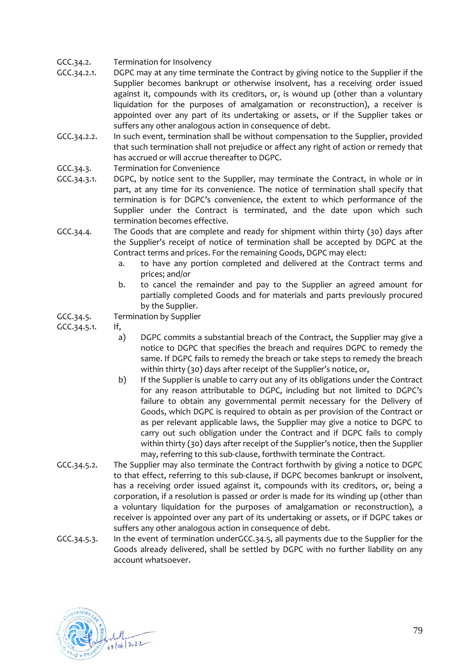- GCC.34.2. Termination for Insolvency
- GCC.34.2.1. DGPC may at any time terminate the Contract by giving notice to the Supplier if the Supplier becomes bankrupt or otherwise insolvent, has a receiving order issued against it, compounds with its creditors, or, is wound up (other than a voluntary liquidation for the purposes of amalgamation or reconstruction), a receiver is appointed over any part of its undertaking or assets, or if the Supplier takes or suffers any other analogous action in consequence of debt.
- GCC.34.2.2. In such event, termination shall be without compensation to the Supplier, provided that such termination shall not prejudice or affect any right of action or remedy that has accrued or will accrue thereafter to DGPC.
- <span id="page-78-0"></span>GCC.34.3. Termination for Convenience
- GCC.34.3.1. DGPC, by notice sent to the Supplier, may terminate the Contract, in whole or in part, at any time for its convenience. The notice of termination shall specify that termination is for DGPC's convenience, the extent to which performance of the Supplier under the Contract is terminated, and the date upon which such termination becomes effective.
- GCC.34.4. The Goods that are complete and ready for shipment within thirty (30) days after the Supplier's receipt of notice of termination shall be accepted by DGPC at the Contract terms and prices. For the remaining Goods, DGPC may elect:
	- a. to have any portion completed and delivered at the Contract terms and prices; and/or
	- b. to cancel the remainder and pay to the Supplier an agreed amount for partially completed Goods and for materials and parts previously procured by the Supplier.
- <span id="page-78-1"></span>GCC.34.5. Termination by Supplier

GCC.34.5.1. If,

- a) DGPC commits a substantial breach of the Contract, the Supplier may give a notice to DGPC that specifies the breach and requires DGPC to remedy the same. If DGPC fails to remedy the breach or take steps to remedy the breach within thirty (30) days after receipt of the Supplier's notice, or,
- b) If the Supplier is unable to carry out any of its obligations under the Contract for any reason attributable to DGPC, including but not limited to DGPC's failure to obtain any governmental permit necessary for the Delivery of Goods, which DGPC is required to obtain as per provision of the Contract or as per relevant applicable laws, the Supplier may give a notice to DGPC to carry out such obligation under the Contract and if DGPC fails to comply within thirty (30) days after receipt of the Supplier's notice, then the Supplier may, referring to this sub-clause, forthwith terminate the Contract.
- GCC.34.5.2. The Supplier may also terminate the Contract forthwith by giving a notice to DGPC to that effect, referring to this sub-clause, if DGPC becomes bankrupt or insolvent, has a receiving order issued against it, compounds with its creditors, or, being a corporation, if a resolution is passed or order is made for its winding up (other than a voluntary liquidation for the purposes of amalgamation or reconstruction), a receiver is appointed over any part of its undertaking or assets, or if DGPC takes or suffers any other analogous action in consequence of debt.
- GCC.34.5.3. In the event of termination unde[rGCC.34.5,](#page-78-1) all payments due to the Supplier for the Goods already delivered, shall be settled by DGPC with no further liability on any account whatsoever.

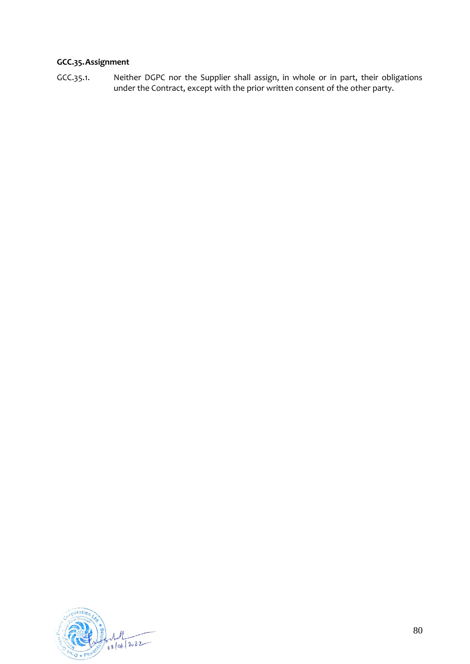# **GCC.35.Assignment**

GCC.35.1. Neither DGPC nor the Supplier shall assign, in whole or in part, their obligations under the Contract, except with the prior written consent of the other party.

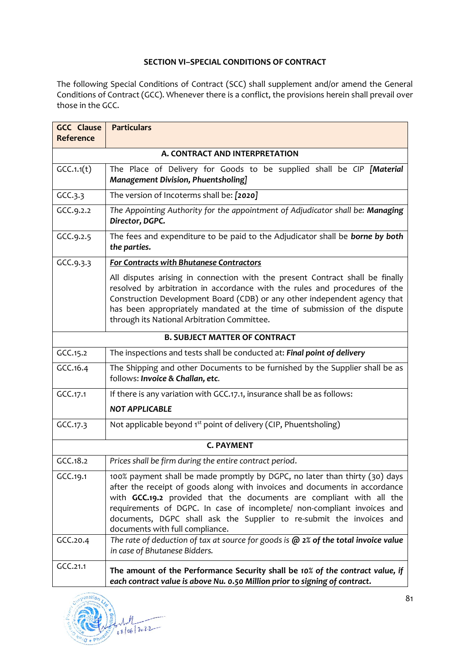### **SECTION VI–SPECIAL CONDITIONS OF CONTRACT**

The following Special Conditions of Contract (SCC) shall supplement and/or amend the General Conditions of Contract (GCC). Whenever there is a conflict, the provisions herein shall prevail over those in the GCC.

| <b>GCC Clause</b><br>Reference | <b>Particulars</b>                                                                                                                                                                                                                                                                                                                                                                                                      |  |  |  |  |  |
|--------------------------------|-------------------------------------------------------------------------------------------------------------------------------------------------------------------------------------------------------------------------------------------------------------------------------------------------------------------------------------------------------------------------------------------------------------------------|--|--|--|--|--|
| A. CONTRACT AND INTERPRETATION |                                                                                                                                                                                                                                                                                                                                                                                                                         |  |  |  |  |  |
| GCC.1.1(t)                     | The Place of Delivery for Goods to be supplied shall be CIP [Material<br>Management Division, Phuentsholing]                                                                                                                                                                                                                                                                                                            |  |  |  |  |  |
| GCC.3.3                        | The version of Incoterms shall be: [2020]                                                                                                                                                                                                                                                                                                                                                                               |  |  |  |  |  |
| GCC.9.2.2                      | The Appointing Authority for the appointment of Adjudicator shall be: Managing<br>Director, DGPC.                                                                                                                                                                                                                                                                                                                       |  |  |  |  |  |
| GCC.9.2.5                      | The fees and expenditure to be paid to the Adjudicator shall be borne by both<br>the parties.                                                                                                                                                                                                                                                                                                                           |  |  |  |  |  |
| GCC.9.3.3                      | For Contracts with Bhutanese Contractors                                                                                                                                                                                                                                                                                                                                                                                |  |  |  |  |  |
|                                | All disputes arising in connection with the present Contract shall be finally<br>resolved by arbitration in accordance with the rules and procedures of the<br>Construction Development Board (CDB) or any other independent agency that<br>has been appropriately mandated at the time of submission of the dispute<br>through its National Arbitration Committee.                                                     |  |  |  |  |  |
|                                | <b>B. SUBJECT MATTER OF CONTRACT</b>                                                                                                                                                                                                                                                                                                                                                                                    |  |  |  |  |  |
| GCC.15.2                       | The inspections and tests shall be conducted at: Final point of delivery                                                                                                                                                                                                                                                                                                                                                |  |  |  |  |  |
| GCC.16.4                       | The Shipping and other Documents to be furnished by the Supplier shall be as<br>follows: Invoice & Challan, etc.                                                                                                                                                                                                                                                                                                        |  |  |  |  |  |
| GCC.17.1                       | If there is any variation with GCC.17.1, insurance shall be as follows:                                                                                                                                                                                                                                                                                                                                                 |  |  |  |  |  |
|                                | <b>NOT APPLICABLE</b>                                                                                                                                                                                                                                                                                                                                                                                                   |  |  |  |  |  |
| GCC.17.3                       | Not applicable beyond 1 <sup>st</sup> point of delivery (CIP, Phuentsholing)                                                                                                                                                                                                                                                                                                                                            |  |  |  |  |  |
|                                | <b>C. PAYMENT</b>                                                                                                                                                                                                                                                                                                                                                                                                       |  |  |  |  |  |
| GCC.18.2                       | Prices shall be firm during the entire contract period.                                                                                                                                                                                                                                                                                                                                                                 |  |  |  |  |  |
| GCC.19.1                       | 100% payment shall be made promptly by DGPC, no later than thirty (30) days<br>after the receipt of goods along with invoices and documents in accordance<br>with GCC.19.2 provided that the documents are compliant with all the<br>requirements of DGPC. In case of incomplete/ non-compliant invoices and<br>documents, DGPC shall ask the Supplier to re-submit the invoices and<br>documents with full compliance. |  |  |  |  |  |
| GCC.20.4                       | The rate of deduction of tax at source for goods is $@$ $2%$ of the total invoice value<br>in case of Bhutanese Bidders.                                                                                                                                                                                                                                                                                                |  |  |  |  |  |
| GCC.21.1                       | The amount of the Performance Security shall be 10% of the contract value, if<br>each contract value is above Nu. 0.50 Million prior to signing of contract.                                                                                                                                                                                                                                                            |  |  |  |  |  |

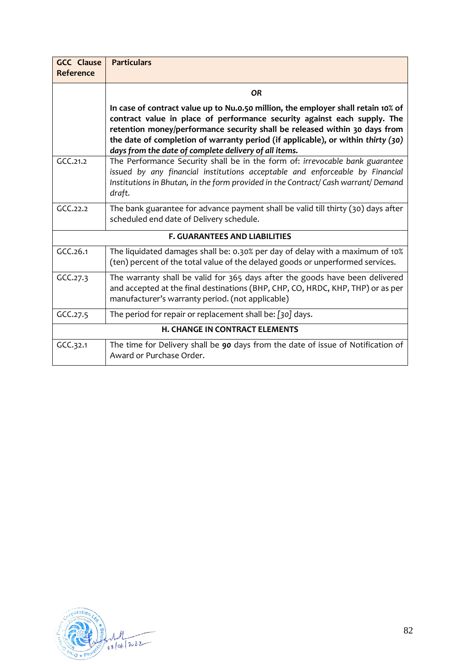| <b>GCC Clause</b> | <b>Particulars</b>                                                                                                                                                                                                                                                                                                                                                                       |  |  |  |  |
|-------------------|------------------------------------------------------------------------------------------------------------------------------------------------------------------------------------------------------------------------------------------------------------------------------------------------------------------------------------------------------------------------------------------|--|--|--|--|
| Reference         |                                                                                                                                                                                                                                                                                                                                                                                          |  |  |  |  |
|                   | <b>OR</b>                                                                                                                                                                                                                                                                                                                                                                                |  |  |  |  |
|                   | In case of contract value up to Nu.0.50 million, the employer shall retain 10% of<br>contract value in place of performance security against each supply. The<br>retention money/performance security shall be released within 30 days from<br>the date of completion of warranty period (if applicable), or within thirty (30)<br>days from the date of complete delivery of all items. |  |  |  |  |
| GCC.21.2          | The Performance Security shall be in the form of: irrevocable bank guarantee<br>issued by any financial institutions acceptable and enforceable by Financial<br>Institutions in Bhutan, in the form provided in the Contract/Cash warrant/Demand<br>draft.                                                                                                                               |  |  |  |  |
| GCC.22.2          | The bank guarantee for advance payment shall be valid till thirty (30) days after<br>scheduled end date of Delivery schedule.                                                                                                                                                                                                                                                            |  |  |  |  |
|                   | <b>F. GUARANTEES AND LIABILITIES</b>                                                                                                                                                                                                                                                                                                                                                     |  |  |  |  |
| GCC.26.1          | The liquidated damages shall be: 0.30% per day of delay with a maximum of 10%<br>(ten) percent of the total value of the delayed goods or unperformed services.                                                                                                                                                                                                                          |  |  |  |  |
| GCC.27.3          | The warranty shall be valid for 365 days after the goods have been delivered<br>and accepted at the final destinations (BHP, CHP, CO, HRDC, KHP, THP) or as per<br>manufacturer's warranty period. (not applicable)                                                                                                                                                                      |  |  |  |  |
| GCC.27.5          | The period for repair or replacement shall be: [30] days.                                                                                                                                                                                                                                                                                                                                |  |  |  |  |
|                   | <b>H. CHANGE IN CONTRACT ELEMENTS</b>                                                                                                                                                                                                                                                                                                                                                    |  |  |  |  |
| GCC.32.1          | The time for Delivery shall be 90 days from the date of issue of Notification of<br>Award or Purchase Order.                                                                                                                                                                                                                                                                             |  |  |  |  |

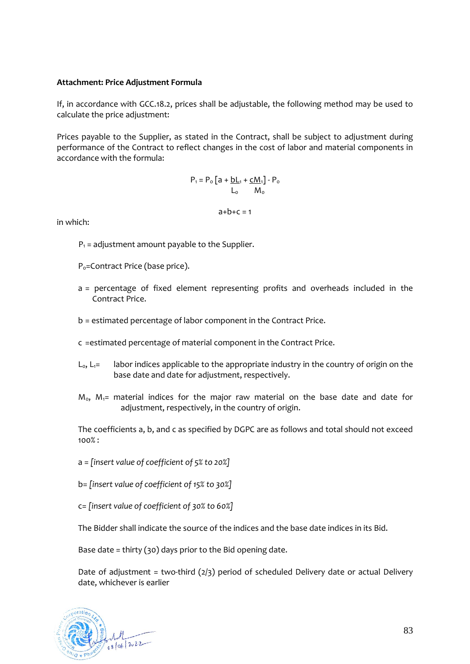#### **Attachment: Price Adjustment Formula**

If, in accordance with [GCC.18.2,](#page-71-1) prices shall be adjustable, the following method may be used to calculate the price adjustment:

Prices payable to the Supplier, as stated in the Contract, shall be subject to adjustment during performance of the Contract to reflect changes in the cost of labor and material components in accordance with the formula:

$$
P_1 = P_o \left[ a + \frac{bL_1 + cM_1}{L_o} \right] - P_o
$$
  

$$
L_o \qquad M_o
$$

 $a+b+c=1$ 

in which:

- $P_1$  = adjustment amount payable to the Supplier.
- P<sub>o</sub>=Contract Price (base price).
- a = percentage of fixed element representing profits and overheads included in the Contract Price.
- b = estimated percentage of labor component in the Contract Price.
- c =estimated percentage of material component in the Contract Price.
- $L_0$ ,  $L_1 =$  labor indices applicable to the appropriate industry in the country of origin on the base date and date for adjustment, respectively.
- $M<sub>0</sub>$ ,  $M<sub>1</sub>$  material indices for the major raw material on the base date and date for adjustment, respectively, in the country of origin.

The coefficients a, b, and c as specified by DGPC are as follows and total should not exceed 100% :

a = *[insert value of coefficient of 5% to 20%]*

b= *[insert value of coefficient of 15% to 30%]*

c= *[insert value of coefficient of 30% to 60%]*

The Bidder shall indicate the source of the indices and the base date indices in its Bid.

Base date = thirty (30) days prior to the Bid opening date.

Date of adjustment = two-third  $(2/3)$  period of scheduled Delivery date or actual Delivery date, whichever is earlier

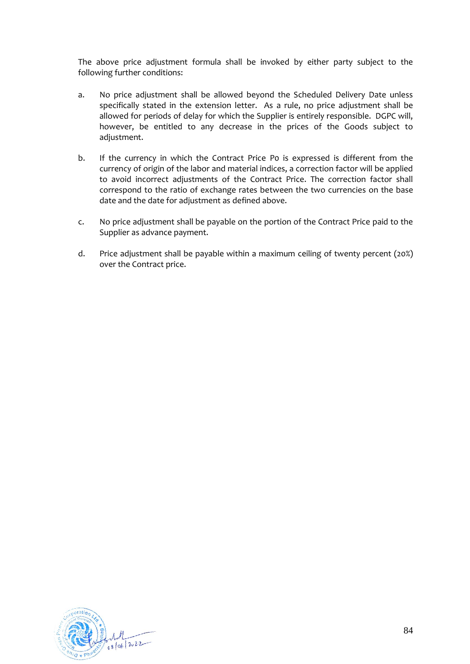The above price adjustment formula shall be invoked by either party subject to the following further conditions:

- a. No price adjustment shall be allowed beyond the Scheduled Delivery Date unless specifically stated in the extension letter. As a rule, no price adjustment shall be allowed for periods of delay for which the Supplier is entirely responsible. DGPC will, however, be entitled to any decrease in the prices of the Goods subject to adjustment.
- b. If the currency in which the Contract Price Po is expressed is different from the currency of origin of the labor and material indices, a correction factor will be applied to avoid incorrect adjustments of the Contract Price. The correction factor shall correspond to the ratio of exchange rates between the two currencies on the base date and the date for adjustment as defined above.
- c. No price adjustment shall be payable on the portion of the Contract Price paid to the Supplier as advance payment.
- d. Price adjustment shall be payable within a maximum ceiling of twenty percent (20%) over the Contract price.

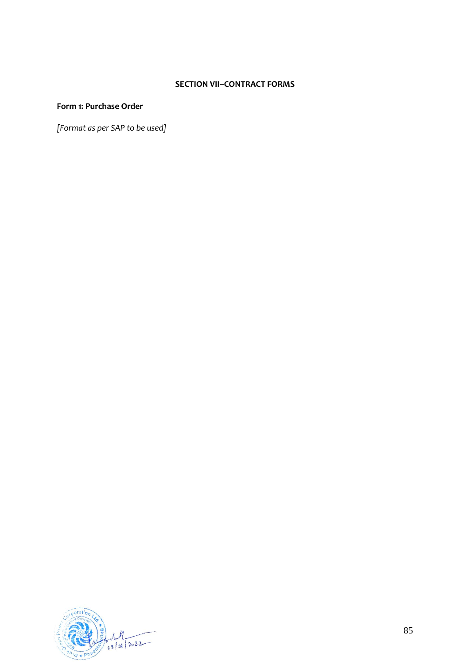# **SECTION VII–CONTRACT FORMS**

### **Form 1: Purchase Order**

*[Format as per SAP to be used]*

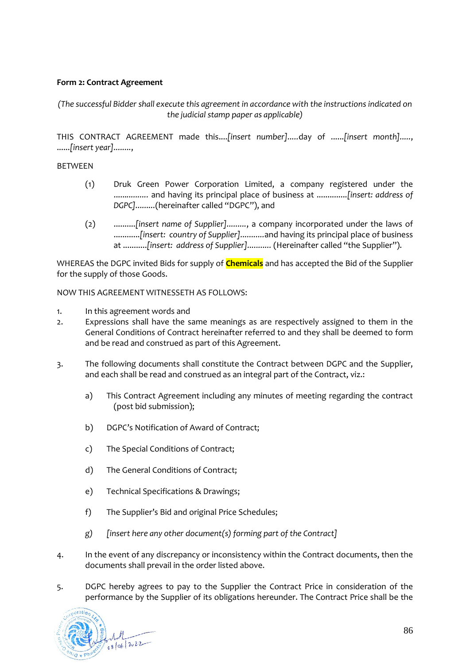# **Form 2: Contract Agreement**

*(The successful Bidder shall execute this agreement in accordance with the instructions indicated on the judicial stamp paper as applicable)*

THIS CONTRACT AGREEMENT made this....*[insert number].....*day of ......*[insert month].....*, ......*[insert year]........*,

### BETWEEN

- (1) Druk Green Power Corporation Limited, a company registered under the ......*..........* and having its principal place of business at ..............*[insert: address of DGPC].........*(hereinafter called "DGPC"), and
- (2) ..........*[insert name of Supplier].........*, a company incorporated under the laws of ............*[insert: country of Supplier]...........*and having its principal place of business at ...........*[insert: address of Supplier]...........* (Hereinafter called "the Supplier").

WHEREAS the DGPC invited Bids for supply of **Chemicals** and has accepted the Bid of the Supplier for the supply of those Goods.

NOW THIS AGREEMENT WITNESSETH AS FOLLOWS:

- 1. In this agreement words and
- 2. Expressions shall have the same meanings as are respectively assigned to them in the General Conditions of Contract hereinafter referred to and they shall be deemed to form and be read and construed as part of this Agreement.
- 3. The following documents shall constitute the Contract between DGPC and the Supplier, and each shall be read and construed as an integral part of the Contract, viz.:
	- a) This Contract Agreement including any minutes of meeting regarding the contract (post bid submission);
	- b) DGPC's Notification of Award of Contract;
	- c) The Special Conditions of Contract;
	- d) The General Conditions of Contract;
	- e) Technical Specifications & Drawings;
	- f) The Supplier's Bid and original Price Schedules;
	- *g) [insert here any other document(s) forming part of the Contract]*
- 4. In the event of any discrepancy or inconsistency within the Contract documents, then the documents shall prevail in the order listed above.
- 5. DGPC hereby agrees to pay to the Supplier the Contract Price in consideration of the performance by the Supplier of its obligations hereunder. The Contract Price shall be the

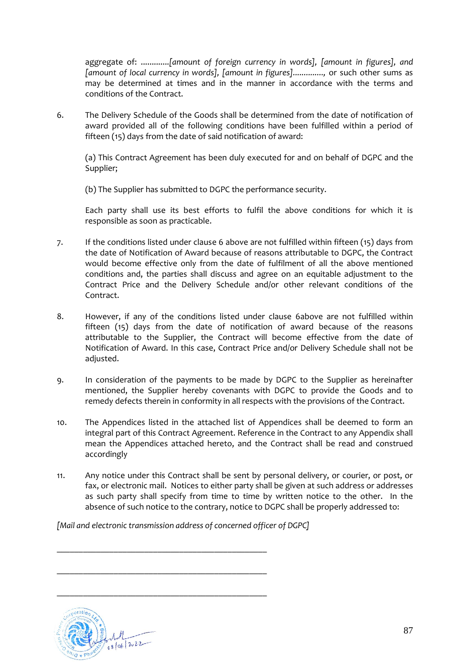aggregate of: .............*[amount of foreign currency in words], [amount in figures], and [amount of local currency in words], [amount in figures]..............,* or such other sums as may be determined at times and in the manner in accordance with the terms and conditions of the Contract.

<span id="page-86-0"></span>6. The Delivery Schedule of the Goods shall be determined from the date of notification of award provided all of the following conditions have been fulfilled within a period of fifteen (15) days from the date of said notification of award:

(a) This Contract Agreement has been duly executed for and on behalf of DGPC and the Supplier;

(b) The Supplier has submitted to DGPC the performance security.

Each party shall use its best efforts to fulfil the above conditions for which it is responsible as soon as practicable.

- 7. If the conditions listed under clause [6](#page-86-0) above are not fulfilled within fifteen (15) days from the date of Notification of Award because of reasons attributable to DGPC, the Contract would become effective only from the date of fulfilment of all the above mentioned conditions and, the parties shall discuss and agree on an equitable adjustment to the Contract Price and the Delivery Schedule and/or other relevant conditions of the Contract.
- 8. However, if any of the conditions listed under clause [6a](#page-86-0)bove are not fulfilled within fifteen (15) days from the date of notification of award because of the reasons attributable to the Supplier, the Contract will become effective from the date of Notification of Award. In this case, Contract Price and/or Delivery Schedule shall not be adjusted.
- 9. In consideration of the payments to be made by DGPC to the Supplier as hereinafter mentioned, the Supplier hereby covenants with DGPC to provide the Goods and to remedy defects therein in conformity in all respects with the provisions of the Contract.
- 10. The Appendices listed in the attached list of Appendices shall be deemed to form an integral part of this Contract Agreement. Reference in the Contract to any Appendix shall mean the Appendices attached hereto, and the Contract shall be read and construed accordingly
- 11. Any notice under this Contract shall be sent by personal delivery, or courier, or post, or fax, or electronic mail. Notices to either party shall be given at such address or addresses as such party shall specify from time to time by written notice to the other. In the absence of such notice to the contrary, notice to DGPC shall be properly addressed to:

*[Mail and electronic transmission address of concerned officer of DGPC]*

\_\_\_\_\_\_\_\_\_\_\_\_\_\_\_\_\_\_\_\_\_\_\_\_\_\_\_\_\_\_\_\_\_\_\_\_\_\_\_\_\_\_\_\_\_\_\_\_

\_\_\_\_\_\_\_\_\_\_\_\_\_\_\_\_\_\_\_\_\_\_\_\_\_\_\_\_\_\_\_\_\_\_\_\_\_\_\_\_\_\_\_\_\_\_\_\_

\_\_\_\_\_\_\_\_\_\_\_\_\_\_\_\_\_\_\_\_\_\_\_\_\_\_\_\_\_\_\_\_\_\_\_\_\_\_\_\_\_\_\_\_\_\_\_\_

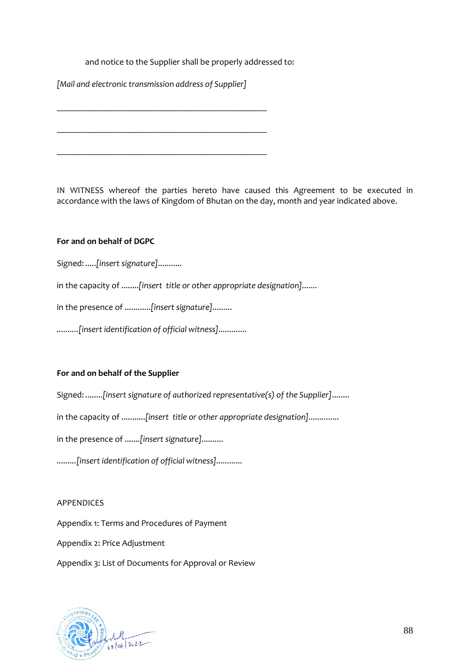### and notice to the Supplier shall be properly addressed to:

*[Mail and electronic transmission address of Supplier]*

\_\_\_\_\_\_\_\_\_\_\_\_\_\_\_\_\_\_\_\_\_\_\_\_\_\_\_\_\_\_\_\_\_\_\_\_\_\_\_\_\_\_\_\_\_\_\_\_

\_\_\_\_\_\_\_\_\_\_\_\_\_\_\_\_\_\_\_\_\_\_\_\_\_\_\_\_\_\_\_\_\_\_\_\_\_\_\_\_\_\_\_\_\_\_\_\_

\_\_\_\_\_\_\_\_\_\_\_\_\_\_\_\_\_\_\_\_\_\_\_\_\_\_\_\_\_\_\_\_\_\_\_\_\_\_\_\_\_\_\_\_\_\_\_\_

IN WITNESS whereof the parties hereto have caused this Agreement to be executed in accordance with the laws of Kingdom of Bhutan on the day, month and year indicated above.

### **For and on behalf of DGPC**

Signed: .....*[insert signature]...........*

in the capacity of ........*[insert title or other appropriate designation].......*

in the presence of ............*[insert signature].........*

*..........[insert identification of official witness].............*

#### **For and on behalf of the Supplier**

Signed: ........*[insert signature of authorized representative(s) of the Supplier]*........

in the capacity of ...........*[insert title or other appropriate designation]..............*

in the presence of .......*[insert signature]..........*

*.........[insert identification of official witness]............*

#### APPENDICES

Appendix 1: Terms and Procedures of Payment

Appendix 2: Price Adjustment

Appendix 3: List of Documents for Approval or Review

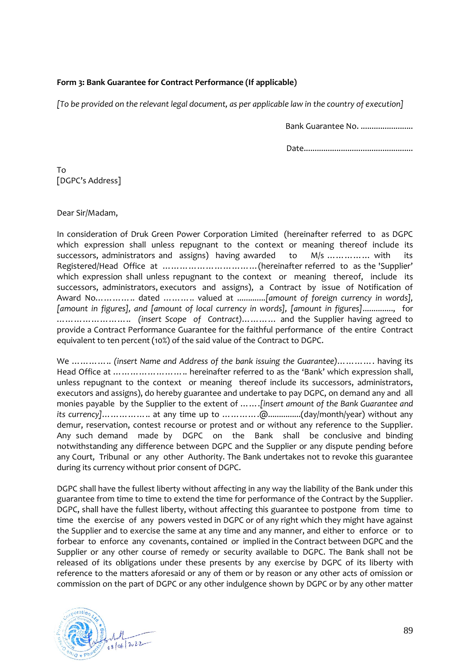## **Form 3: Bank Guarantee for Contract Performance (If applicable)**

*[To be provided on the relevant legal document, as per applicable law in the country of execution]*

Bank Guarantee No. .......................

Date..................................................

To [DGPC's Address]

Dear Sir/Madam,

In consideration of Druk Green Power Corporation Limited (hereinafter referred to as DGPC which expression shall unless repugnant to the context or meaning thereof include its successors, administrators and assigns) having awarded to M/s ................ with its Registered/Head Office at ……………………………(hereinafter referred to as the 'Supplier' which expression shall unless repugnant to the context or meaning thereof, include its successors, administrators, executors and assigns), a Contract by issue of Notification of Award No………….. dated ……….. valued at .............*[amount of foreign currency in words], [amount in figures], and [amount of local currency in words], [amount in figures]*.............., for …………………….. *(insert Scope of Contract)*………… and the Supplier having agreed to provide a Contract Performance Guarantee for the faithful performance of the entire Contract equivalent to ten percent (10%) of the said value of the Contract to DGPC.

We ………….. *(insert Name and Address of the bank issuing the Guarantee)*…………. having its Head Office at …………………….. hereinafter referred to as the 'Bank' which expression shall, unless repugnant to the context or meaning thereof include its successors, administrators, executors and assigns), do hereby guarantee and undertake to pay DGPC, on demand any and all monies payable by the Supplier to the extent of …….*[insert amount of the Bank Guarantee and its currency]*…………….. at any time up to ………….@...............(day/month/year) without any demur, reservation, contest recourse or protest and or without any reference to the Supplier. Any such demand made by DGPC on the Bank shall be conclusive and binding notwithstanding any difference between DGPC and the Supplier or any dispute pending before any Court, Tribunal or any other Authority. The Bank undertakes not to revoke this guarantee during its currency without prior consent of DGPC.

DGPC shall have the fullest liberty without affecting in any way the liability of the Bank under this guarantee from time to time to extend the time for performance of the Contract by the Supplier. DGPC, shall have the fullest liberty, without affecting this guarantee to postpone from time to time the exercise of any powers vested in DGPC or of any right which they might have against the Supplier and to exercise the same at any time and any manner, and either to enforce or to forbear to enforce any covenants, contained or implied in the Contract between DGPC and the Supplier or any other course of remedy or security available to DGPC. The Bank shall not be released of its obligations under these presents by any exercise by DGPC of its liberty with reference to the matters aforesaid or any of them or by reason or any other acts of omission or commission on the part of DGPC or any other indulgence shown by DGPC or by any other matter

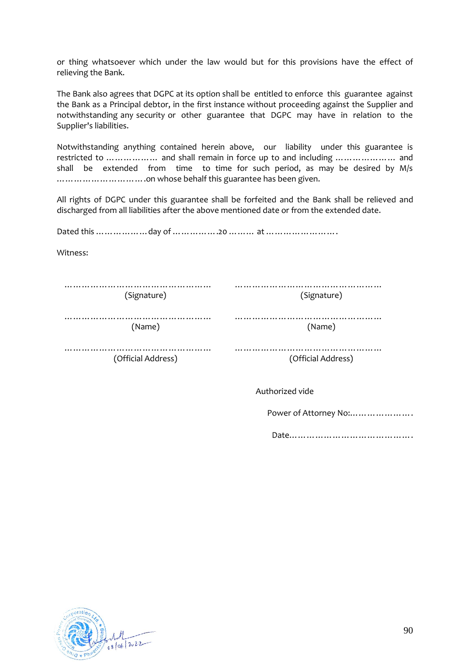or thing whatsoever which under the law would but for this provisions have the effect of relieving the Bank.

The Bank also agrees that DGPC at its option shall be entitled to enforce this guarantee against the Bank as a Principal debtor, in the first instance without proceeding against the Supplier and notwithstanding any security or other guarantee that DGPC may have in relation to the Supplier's liabilities.

Notwithstanding anything contained herein above, our liability under this guarantee is restricted to ……………… and shall remain in force up to and including ………………… and shall be extended from time to time for such period, as may be desired by M/s ………………………….on whose behalf this guarantee has been given.

All rights of DGPC under this guarantee shall be forfeited and the Bank shall be relieved and discharged from all liabilities after the above mentioned date or from the extended date.

Dated this ………………day of …………….20 ……… at …………………….

Witness:

| (Signature)             |
|-------------------------|
| (Name)                  |
| .<br>(Official Address) |
|                         |

Authorized vide

Power of Attorney No:………………….

Date…………………………………….

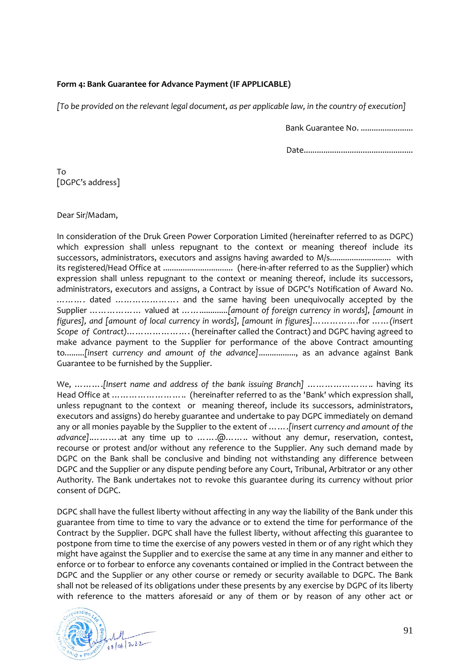### **Form 4: Bank Guarantee for Advance Payment (IF APPLICABLE)**

*[To be provided on the relevant legal document, as per applicable law, in the country of execution]*

Bank Guarantee No. ........................

Date..................................................

To [DGPC's address]

Dear Sir/Madam,

In consideration of the Druk Green Power Corporation Limited (hereinafter referred to as DGPC) which expression shall unless repugnant to the context or meaning thereof include its successors, administrators, executors and assigns having awarded to M/s............................ with its registered/Head Office at ................................ (here-in-after referred to as the Supplier) which expression shall unless repugnant to the context or meaning thereof, include its successors, administrators, executors and assigns, a Contract by issue of DGPC's Notification of Award No. ………. dated …………………. and the same having been unequivocally accepted by the Supplier ……………… valued at …….............*[amount of foreign currency in words], [amount in figures], and [amount of local currency in words], [amount in figures]*…………….for ……*(insert Scope of Contract)*…………………. (hereinafter called the Contract) and DGPC having agreed to make advance payment to the Supplier for performance of the above Contract amounting to*.*........*[insert currency and amount of the advance]*................., as an advance against Bank Guarantee to be furnished by the Supplier.

We, ……….*[Insert name and address of the bank issuing Branch]* ………………….. having its Head Office at …………………….. (hereinafter referred to as the 'Bank' which expression shall, unless repugnant to the context or meaning thereof, include its successors, administrators, executors and assigns) do hereby guarantee and undertake to pay DGPC immediately on demand any or all monies payable by the Supplier to the extent of …….*[insert currency and amount of the advance]*.……….at any time up to …….@…….. without any demur, reservation, contest, recourse or protest and/or without any reference to the Supplier. Any such demand made by DGPC on the Bank shall be conclusive and binding not withstanding any difference between DGPC and the Supplier or any dispute pending before any Court, Tribunal, Arbitrator or any other Authority. The Bank undertakes not to revoke this guarantee during its currency without prior consent of DGPC.

DGPC shall have the fullest liberty without affecting in any way the liability of the Bank under this guarantee from time to time to vary the advance or to extend the time for performance of the Contract by the Supplier. DGPC shall have the fullest liberty, without affecting this guarantee to postpone from time to time the exercise of any powers vested in them or of any right which they might have against the Supplier and to exercise the same at any time in any manner and either to enforce or to forbear to enforce any covenants contained or implied in the Contract between the DGPC and the Supplier or any other course or remedy or security available to DGPC. The Bank shall not be released of its obligations under these presents by any exercise by DGPC of its liberty with reference to the matters aforesaid or any of them or by reason of any other act or

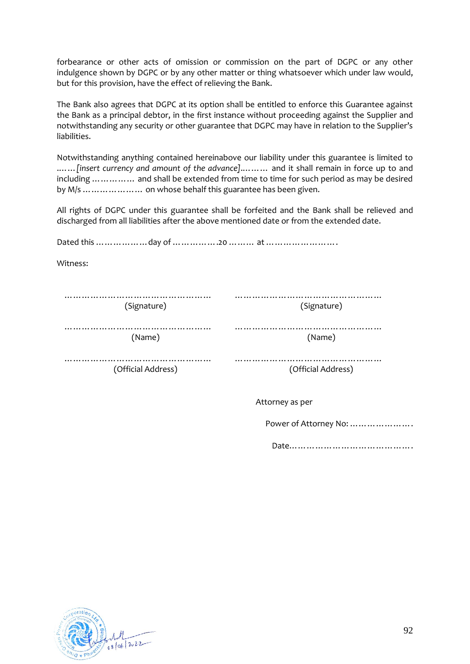forbearance or other acts of omission or commission on the part of DGPC or any other indulgence shown by DGPC or by any other matter or thing whatsoever which under law would, but for this provision, have the effect of relieving the Bank.

The Bank also agrees that DGPC at its option shall be entitled to enforce this Guarantee against the Bank as a principal debtor, in the first instance without proceeding against the Supplier and notwithstanding any security or other guarantee that DGPC may have in relation to the Supplier's liabilities.

Notwithstanding anything contained hereinabove our liability under this guarantee is limited to .……*[insert currency and amount of the advance]*.……… and it shall remain in force up to and including …………… and shall be extended from time to time for such period as may be desired by M/s ………………… on whose behalf this guarantee has been given.

All rights of DGPC under this guarantee shall be forfeited and the Bank shall be relieved and discharged from all liabilities after the above mentioned date or from the extended date.

Dated this ………………day of …………….20 ……… at …………………….

Witness:

| (Signature)            | (Signature)        |
|------------------------|--------------------|
|                        |                    |
| (Name)                 | (Name)             |
| <br>(Official Address) | (Official Address) |

Attorney as per

Power of Attorney No: ………………….

Date…………………………………….

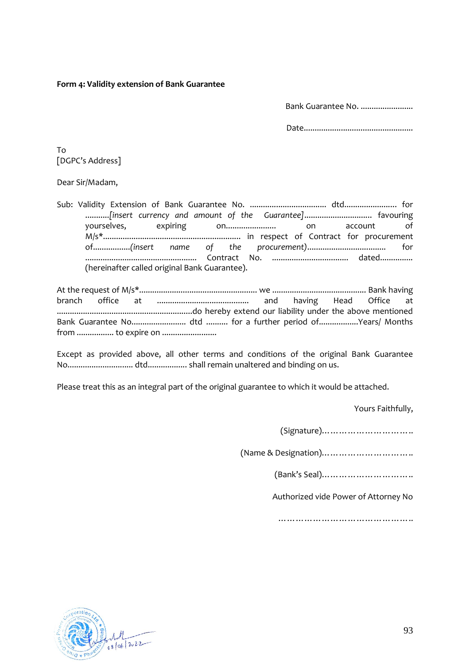#### **Form 4: Validity extension of Bank Guarantee**

Bank Guarantee No. .......................

Date..................................................

To [DGPC's Address]

Dear Sir/Madam,

Sub: Validity Extension of Bank Guarantee No. ................................... dtd........................ for ...........*[insert currency and amount of the Guarantee]*............................... favouring yourselves, expiring on....................... on account of M/s\*............................................................... in respect of Contract for procurement of.................*(insert name of the procurement)*.................................... for ................................................... Contract No. ................................... dated............... (hereinafter called original Bank Guarantee).

At the request of M/s\*...................................................... we ........................................... Bank having branch office at .......................................... and having Head Office at ..............................................................do hereby extend our liability under the above mentioned Bank Guarantee No......................... dtd .......... for a further period of..................Years/ Months from ................. to expire on .........................

Except as provided above, all other terms and conditions of the original Bank Guarantee No.............................. dtd.................. shall remain unaltered and binding on us.

Please treat this as an integral part of the original guarantee to which it would be attached.

Yours Faithfully,

(Signature)…………………………..

(Name & Designation)…………………………..

(Bank's Seal)…………………………..

Authorized vide Power of Attorney No

………………………………………..

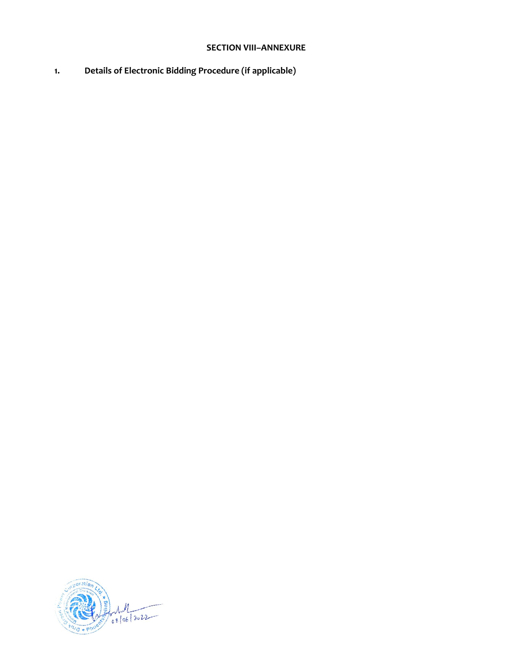# **SECTION VIII–ANNEXURE**

**1. Details of Electronic Bidding Procedure (if applicable)**

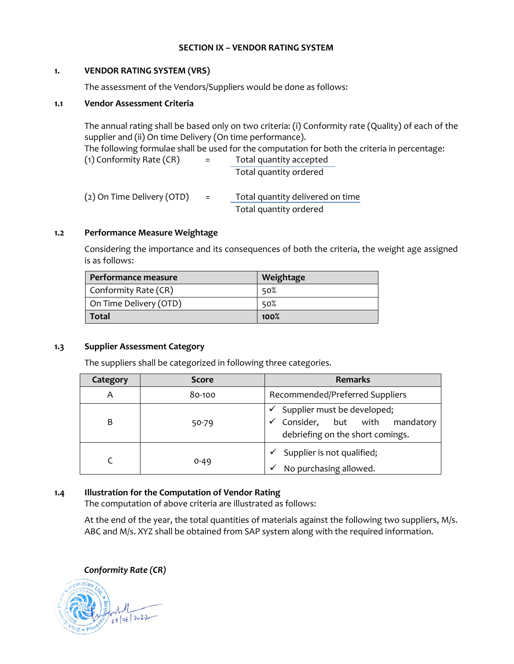#### **SECTION IX – VENDOR RATING SYSTEM**

#### **1. VENDOR RATING SYSTEM (VRS)**

The assessment of the Vendors/Suppliers would be done as follows:

#### **1.1 Vendor Assessment Criteria**

The annual rating shall be based only on two criteria: (i) Conformity rate (Quality) of each of the supplier and (ii) On time Delivery (On time performance). The following formulae shall be used for the computation for both the criteria in percentage: (1) Conformity Rate (CR) = Total quantity accepted Total quantity ordered

| (2) On Time Delivery (OTD) | - = 1 | Total quantity delivered on time |  |  |
|----------------------------|-------|----------------------------------|--|--|
|                            |       | Total quantity ordered           |  |  |

### **1.2 Performance Measure Weightage**

Considering the importance and its consequences of both the criteria, the weight age assigned is as follows:

| Performance measure    | Weightage |
|------------------------|-----------|
| Conformity Rate (CR)   | 50%       |
| On Time Delivery (OTD) | 50%       |
| <b>Total</b>           | 100%      |

#### **1.3 Supplier Assessment Category**

The suppliers shall be categorized in following three categories.

| Category | <b>Score</b> | <b>Remarks</b>                                                                                                  |  |  |  |  |
|----------|--------------|-----------------------------------------------------------------------------------------------------------------|--|--|--|--|
| A        | 80-100       | Recommended/Preferred Suppliers                                                                                 |  |  |  |  |
| B        | 50-79        | Supplier must be developed;<br>Consider, but with mandatory<br>$\checkmark$<br>debriefing on the short comings. |  |  |  |  |
|          | $0 - 49$     | Supplier is not qualified;<br>No purchasing allowed.                                                            |  |  |  |  |

#### **1.4 Illustration for the Computation of Vendor Rating**

The computation of above criteria are illustrated as follows:

At the end of the year, the total quantities of materials against the following two suppliers, M/s. ABC and M/s. XYZ shall be obtained from SAP system along with the required information.

*Conformity Rate (CR)*

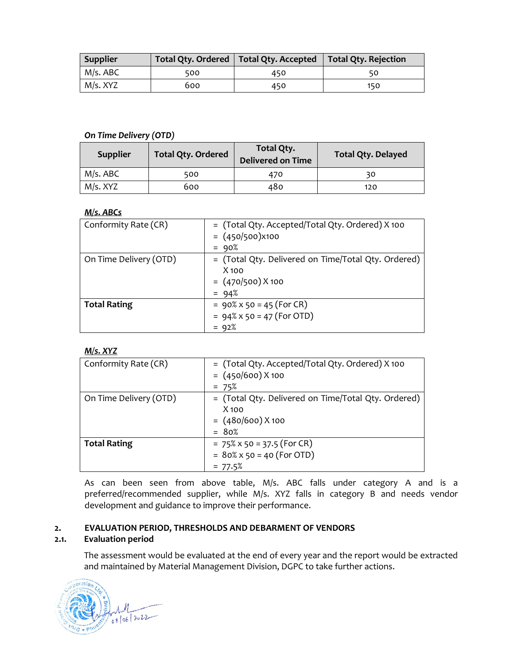| Supplier |     | Total Qty. Ordered   Total Qty. Accepted   Total Qty. Rejection |     |
|----------|-----|-----------------------------------------------------------------|-----|
| M/s. ABC | 500 | 450                                                             |     |
| M/s. XYZ | 600 | 450                                                             | 150 |

#### *On Time Delivery (OTD)*

| <b>Supplier</b> | <b>Total Qty. Ordered</b> | Total Qty.<br><b>Delivered on Time</b> | <b>Total Qty. Delayed</b> |  |  |
|-----------------|---------------------------|----------------------------------------|---------------------------|--|--|
| M/s. ABC        | 500                       | 470                                    | 30                        |  |  |
| M/s. XYZ        | 600                       | 480                                    | 120                       |  |  |

### *M/s. ABCs*

| Conformity Rate (CR)   | = (Total Qty. Accepted/Total Qty. Ordered) X 100<br>$= (450/500)x100$<br>$= 90%$                 |
|------------------------|--------------------------------------------------------------------------------------------------|
| On Time Delivery (OTD) | = (Total Qty. Delivered on Time/Total Qty. Ordered)<br>$X$ 100<br>$= (470/500) X 100$<br>$= 94%$ |
| <b>Total Rating</b>    | $= 90\% \times 50 = 45$ (For CR)<br>$= 94\% \times 50 = 47$ (For OTD)<br>$= 92%$                 |

### *M/s. XYZ*

| Conformity Rate (CR)   | = (Total Qty. Accepted/Total Qty. Ordered) X 100<br>$= (450/600) X 100$<br>$= 75%$               |
|------------------------|--------------------------------------------------------------------------------------------------|
| On Time Delivery (OTD) | = (Total Qty. Delivered on Time/Total Qty. Ordered)<br>$X$ 100<br>$= (480/600) X 100$<br>$= 80%$ |
| <b>Total Rating</b>    | $= 75\% \times 50 = 37.5$ (For CR)<br>$= 80\% \times 50 = 40$ (For OTD)<br>$= 77.5%$             |

As can been seen from above table, M/s. ABC falls under category A and is a preferred/recommended supplier, while M/s. XYZ falls in category B and needs vendor development and guidance to improve their performance.

### **2. EVALUATION PERIOD, THRESHOLDS AND DEBARMENT OF VENDORS**

### **2.1. Evaluation period**

The assessment would be evaluated at the end of every year and the report would be extracted and maintained by Material Management Division, DGPC to take further actions.

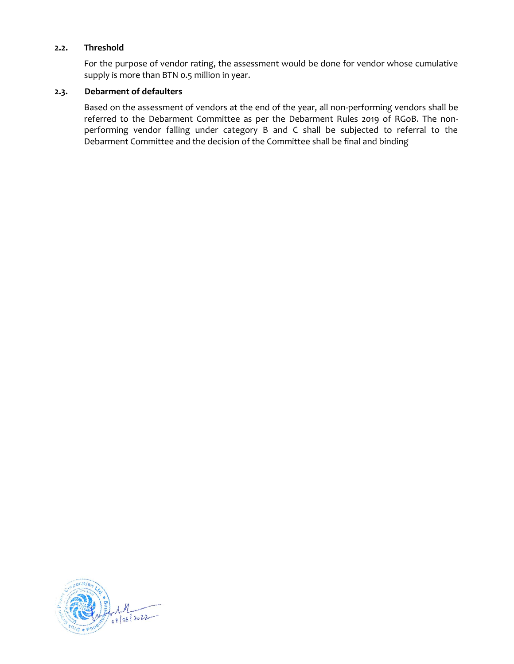#### **2.2. Threshold**

For the purpose of vendor rating, the assessment would be done for vendor whose cumulative supply is more than BTN 0.5 million in year.

#### **2.3. Debarment of defaulters**

Based on the assessment of vendors at the end of the year, all non-performing vendors shall be referred to the Debarment Committee as per the Debarment Rules 2019 of RGoB. The nonperforming vendor falling under category B and C shall be subjected to referral to the Debarment Committee and the decision of the Committee shall be final and binding

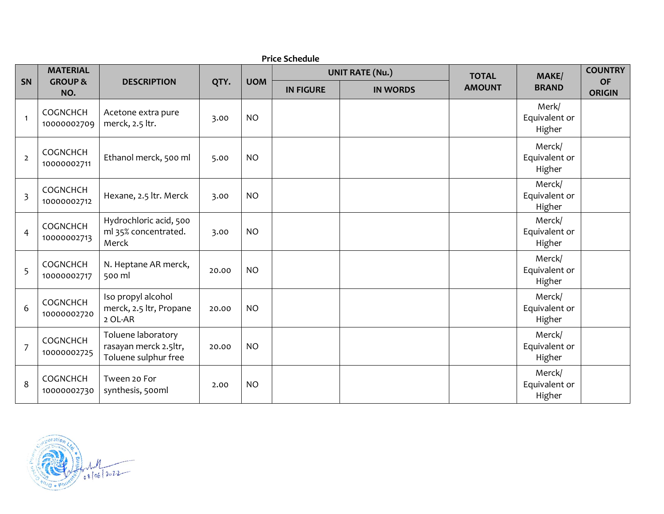|                         | <b>Price Schedule</b>                        |                                                                     |       |            |                        |                 |               |                                   |                            |
|-------------------------|----------------------------------------------|---------------------------------------------------------------------|-------|------------|------------------------|-----------------|---------------|-----------------------------------|----------------------------|
|                         | <b>MATERIAL</b><br><b>GROUP &amp;</b><br>NO. | <b>DESCRIPTION</b>                                                  | QTY.  |            | <b>UNIT RATE (Nu.)</b> |                 | <b>TOTAL</b>  | <b>MAKE/</b>                      | <b>COUNTRY</b>             |
| SN                      |                                              |                                                                     |       | <b>UOM</b> | <b>IN FIGURE</b>       | <b>IN WORDS</b> | <b>AMOUNT</b> | <b>BRAND</b>                      | <b>OF</b><br><b>ORIGIN</b> |
| $\overline{1}$          | COGNCHCH<br>10000002709                      | Acetone extra pure<br>merck, 2.5 ltr.                               | 3.00  | <b>NO</b>  |                        |                 |               | Merk/<br>Equivalent or<br>Higher  |                            |
| $\overline{2}$          | COGNCHCH<br>10000002711                      | Ethanol merck, 500 ml                                               | 5.00  | <b>NO</b>  |                        |                 |               | Merck/<br>Equivalent or<br>Higher |                            |
| $\overline{\mathbf{3}}$ | COGNCHCH<br>10000002712                      | Hexane, 2.5 ltr. Merck                                              | 3.00  | <b>NO</b>  |                        |                 |               | Merck/<br>Equivalent or<br>Higher |                            |
| 4                       | COGNCHCH<br>10000002713                      | Hydrochloric acid, 500<br>ml 35% concentrated.<br>Merck             | 3.00  | <b>NO</b>  |                        |                 |               | Merck/<br>Equivalent or<br>Higher |                            |
| 5                       | COGNCHCH<br>10000002717                      | N. Heptane AR merck,<br>500 ml                                      | 20.00 | <b>NO</b>  |                        |                 |               | Merck/<br>Equivalent or<br>Higher |                            |
| 6                       | COGNCHCH<br>10000002720                      | Iso propyl alcohol<br>merck, 2.5 ltr, Propane<br>2 OL-AR            | 20.00 | <b>NO</b>  |                        |                 |               | Merck/<br>Equivalent or<br>Higher |                            |
| $\overline{7}$          | COGNCHCH<br>10000002725                      | Toluene laboratory<br>rasayan merck 2.5ltr,<br>Toluene sulphur free | 20.00 | <b>NO</b>  |                        |                 |               | Merck/<br>Equivalent or<br>Higher |                            |
| 8                       | COGNCHCH<br>10000002730                      | Tween 20 For<br>synthesis, 500ml                                    | 2.00  | <b>NO</b>  |                        |                 |               | Merck/<br>Equivalent or<br>Higher |                            |

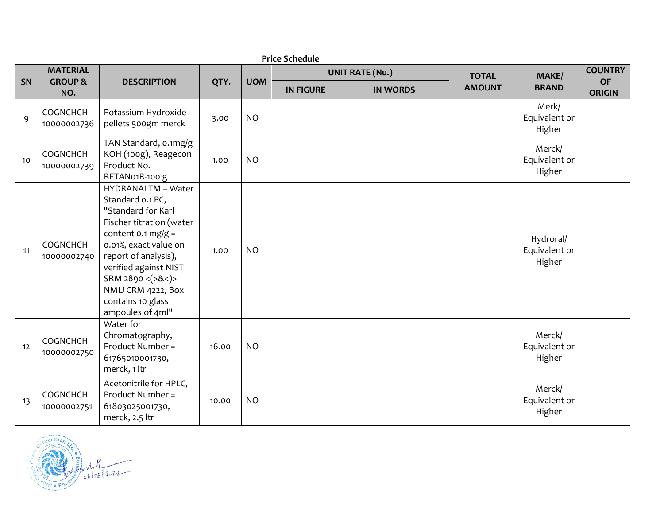|    | <b>Price Schedule</b>                        |                                                                                                                                                                                                                                                                               |       |            |                        |                 |               |                                      |                            |  |  |  |
|----|----------------------------------------------|-------------------------------------------------------------------------------------------------------------------------------------------------------------------------------------------------------------------------------------------------------------------------------|-------|------------|------------------------|-----------------|---------------|--------------------------------------|----------------------------|--|--|--|
| SN | <b>MATERIAL</b><br><b>GROUP &amp;</b><br>NO. | <b>DESCRIPTION</b>                                                                                                                                                                                                                                                            | QTY.  | <b>UOM</b> | <b>UNIT RATE (Nu.)</b> |                 | <b>TOTAL</b>  | MAKE/                                | <b>COUNTRY</b>             |  |  |  |
|    |                                              |                                                                                                                                                                                                                                                                               |       |            | <b>IN FIGURE</b>       | <b>IN WORDS</b> | <b>AMOUNT</b> | <b>BRAND</b>                         | <b>OF</b><br><b>ORIGIN</b> |  |  |  |
| 9  | COGNCHCH<br>10000002736                      | Potassium Hydroxide<br>pellets 500gm merck                                                                                                                                                                                                                                    | 3.00  | <b>NO</b>  |                        |                 |               | Merk/<br>Equivalent or<br>Higher     |                            |  |  |  |
| 10 | COGNCHCH<br>10000002739                      | TAN Standard, o.1mg/g<br>KOH (100g), Reagecon<br>Product No.<br>RETAN01R-100 g                                                                                                                                                                                                | 1.00  | <b>NO</b>  |                        |                 |               | Merck/<br>Equivalent or<br>Higher    |                            |  |  |  |
| 11 | COGNCHCH<br>10000002740                      | HYDRANALTM - Water<br>Standard o.1 PC,<br>"Standard for Karl<br>Fischer titration (water<br>content $0.1$ mg/g =<br>0.01%, exact value on<br>report of analysis),<br>verified against NIST<br>SRM 2890 <(>&<)><br>NMIJ CRM 4222, Box<br>contains 10 glass<br>ampoules of 4ml" | 1.00  | <b>NO</b>  |                        |                 |               | Hydroral/<br>Equivalent or<br>Higher |                            |  |  |  |
| 12 | COGNCHCH<br>10000002750                      | Water for<br>Chromatography,<br>Product Number =<br>61765010001730,<br>merck, 1 ltr                                                                                                                                                                                           | 16.00 | <b>NO</b>  |                        |                 |               | Merck/<br>Equivalent or<br>Higher    |                            |  |  |  |
| 13 | COGNCHCH<br>10000002751                      | Acetonitrile for HPLC,<br>Product Number =<br>61803025001730,<br>merck, 2.5 ltr                                                                                                                                                                                               | 10.00 | <b>NO</b>  |                        |                 |               | Merck/<br>Equivalent or<br>Higher    |                            |  |  |  |